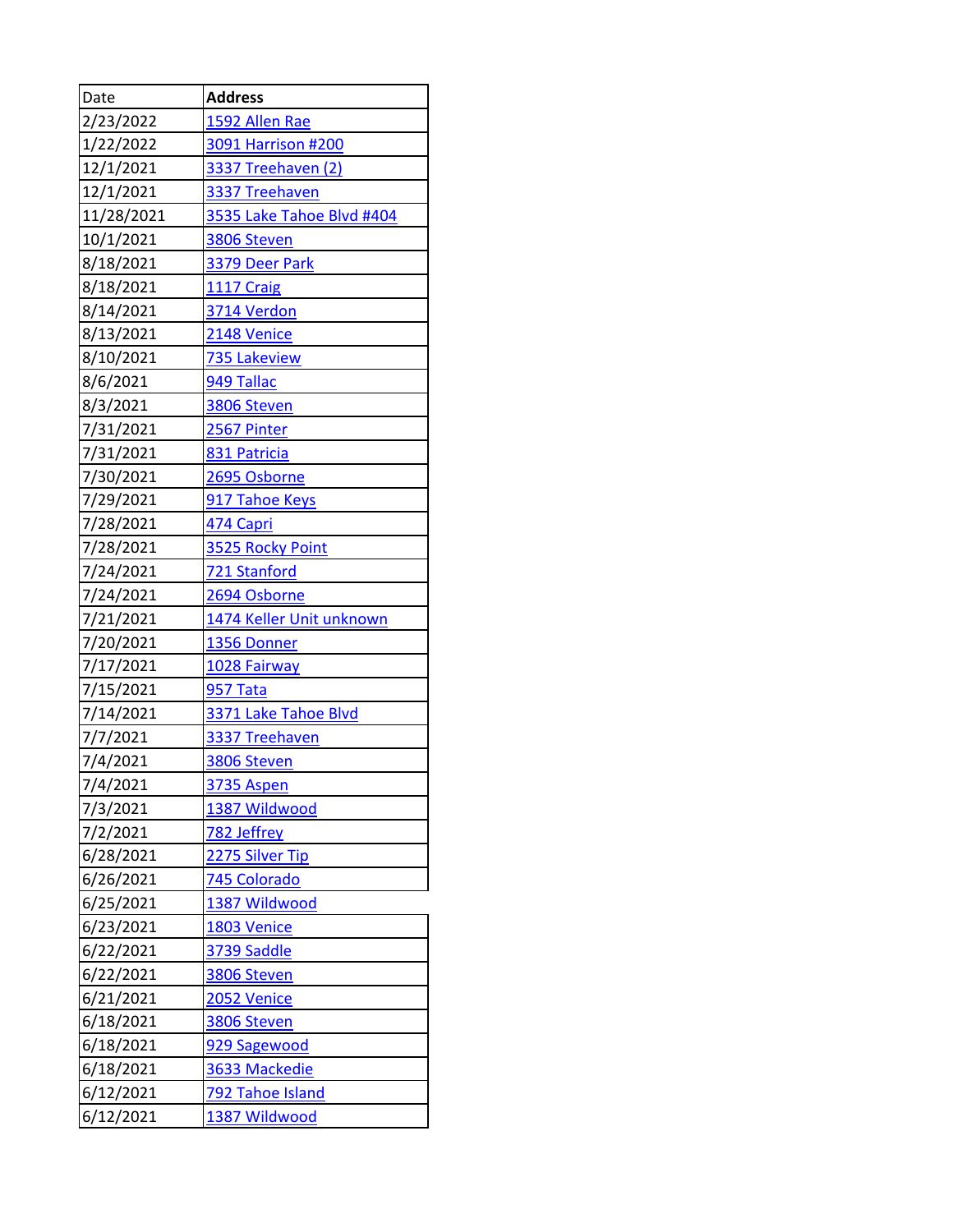| Date       | <b>Address</b>            |
|------------|---------------------------|
| 2/23/2022  | 1592 Allen Rae            |
| 1/22/2022  | 3091 Harrison #200        |
| 12/1/2021  | <b>3337 Treehaven (2)</b> |
| 12/1/2021  | 3337 Treehaven            |
| 11/28/2021 | 3535 Lake Tahoe Blvd #404 |
| 10/1/2021  | 3806 Steven               |
| 8/18/2021  | 3379 Deer Park            |
| 8/18/2021  | <b>1117 Craig</b>         |
| 8/14/2021  | 3714 Verdon               |
| 8/13/2021  | <b>2148 Venice</b>        |
| 8/10/2021  | 735 Lakeview              |
| 8/6/2021   | 949 Tallac                |
| 8/3/2021   | 3806 Steven               |
| 7/31/2021  | <b>2567 Pinter</b>        |
| 7/31/2021  | 831 Patricia              |
| 7/30/2021  | 2695 Osborne              |
| 7/29/2021  | 917 Tahoe Keys            |
| 7/28/2021  | 474 Capri                 |
| 7/28/2021  | 3525 Rocky Point          |
| 7/24/2021  | 721 Stanford              |
| 7/24/2021  | 2694 Osborne              |
| 7/21/2021  | 1474 Keller Unit unknown  |
| 7/20/2021  | 1356 Donner               |
| 7/17/2021  | 1028 Fairway              |
| 7/15/2021  | <b>957 Tata</b>           |
| 7/14/2021  | 3371 Lake Tahoe Blvd      |
| 7/7/2021   | 3337 Treehaven            |
| 7/4/2021   | 3806 Steven               |
| 7/4/2021   | 3735 Aspen                |
| 7/3/2021   | 1387 Wildwood             |
| 7/2/2021   | 782 Jeffrey               |
| 6/28/2021  | 2275 Silver Tip           |
| 6/26/2021  | 745 Colorado              |
| 6/25/2021  | 1387 Wildwood             |
| 6/23/2021  | 1803 Venice               |
| 6/22/2021  | 3739 Saddle               |
| 6/22/2021  | 3806 Steven               |
| 6/21/2021  | <b>2052 Venice</b>        |
| 6/18/2021  | 3806 Steven               |
| 6/18/2021  | 929 Sagewood              |
| 6/18/2021  | 3633 Mackedie             |
| 6/12/2021  | 792 Tahoe Island          |
| 6/12/2021  | 1387 Wildwood             |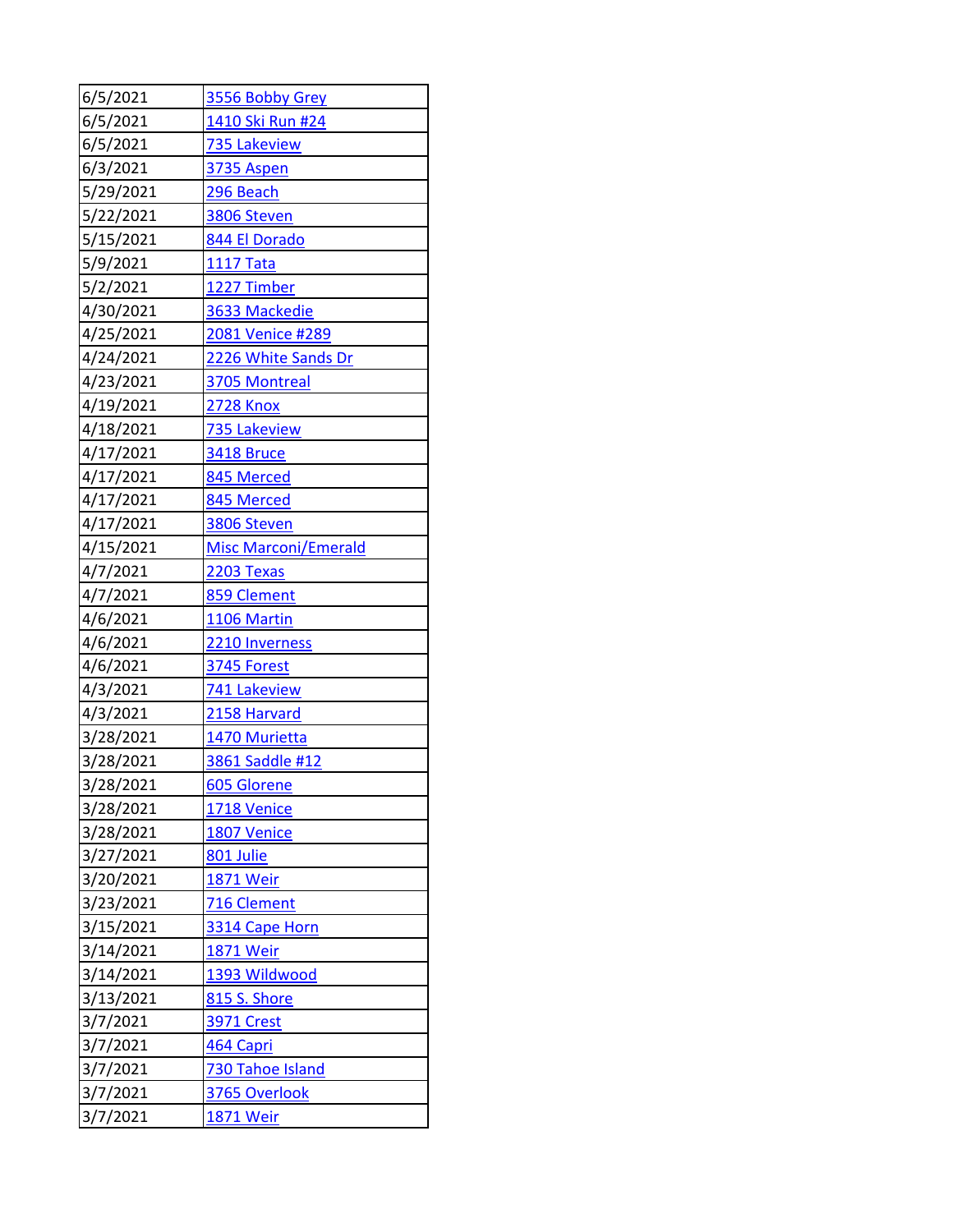| 6/5/2021  | 3556 Bobby Grey             |
|-----------|-----------------------------|
| 6/5/2021  | 1410 Ski Run #24            |
| 6/5/2021  | 735 Lakeview                |
| 6/3/2021  | <b>3735 Aspen</b>           |
| 5/29/2021 | 296 Beach                   |
| 5/22/2021 | 3806 Steven                 |
| 5/15/2021 | 844 El Dorado               |
| 5/9/2021  | <b>1117 Tata</b>            |
| 5/2/2021  | 1227 Timber                 |
| 4/30/2021 | 3633 Mackedie               |
| 4/25/2021 | 2081 Venice #289            |
| 4/24/2021 | 2226 White Sands Dr         |
| 4/23/2021 | 3705 Montreal               |
| 4/19/2021 | <b>2728 Knox</b>            |
| 4/18/2021 | 735 Lakeview                |
| 4/17/2021 | <b>3418 Bruce</b>           |
| 4/17/2021 | 845 Merced                  |
| 4/17/2021 | 845 Merced                  |
| 4/17/2021 | 3806 Steven                 |
| 4/15/2021 | <b>Misc Marconi/Emerald</b> |
| 4/7/2021  | <b>2203 Texas</b>           |
| 4/7/2021  | 859 Clement                 |
| 4/6/2021  | 1106 Martin                 |
| 4/6/2021  | 2210 Inverness              |
| 4/6/2021  | <b>3745 Forest</b>          |
| 4/3/2021  | 741 Lakeview                |
| 4/3/2021  | 2158 Harvard                |
| 3/28/2021 | 1470 Murietta               |
| 3/28/2021 | 3861 Saddle #12             |
| 3/28/2021 | 605 Glorene                 |
| 3/28/2021 | <b>1718 Venice</b>          |
| 3/28/2021 | 1807 Venice                 |
| 3/27/2021 | 801 Julie                   |
| 3/20/2021 | <b>1871 Weir</b>            |
| 3/23/2021 | 716 Clement                 |
| 3/15/2021 | 3314 Cape Horn              |
| 3/14/2021 | <b>1871 Weir</b>            |
| 3/14/2021 | 1393 Wildwood               |
| 3/13/2021 | 815 S. Shore                |
| 3/7/2021  | <u>3971 Crest</u>           |
| 3/7/2021  | 464 Capri                   |
| 3/7/2021  | 730 Tahoe Island            |
| 3/7/2021  | 3765 Overlook               |
| 3/7/2021  | 1871 Weir                   |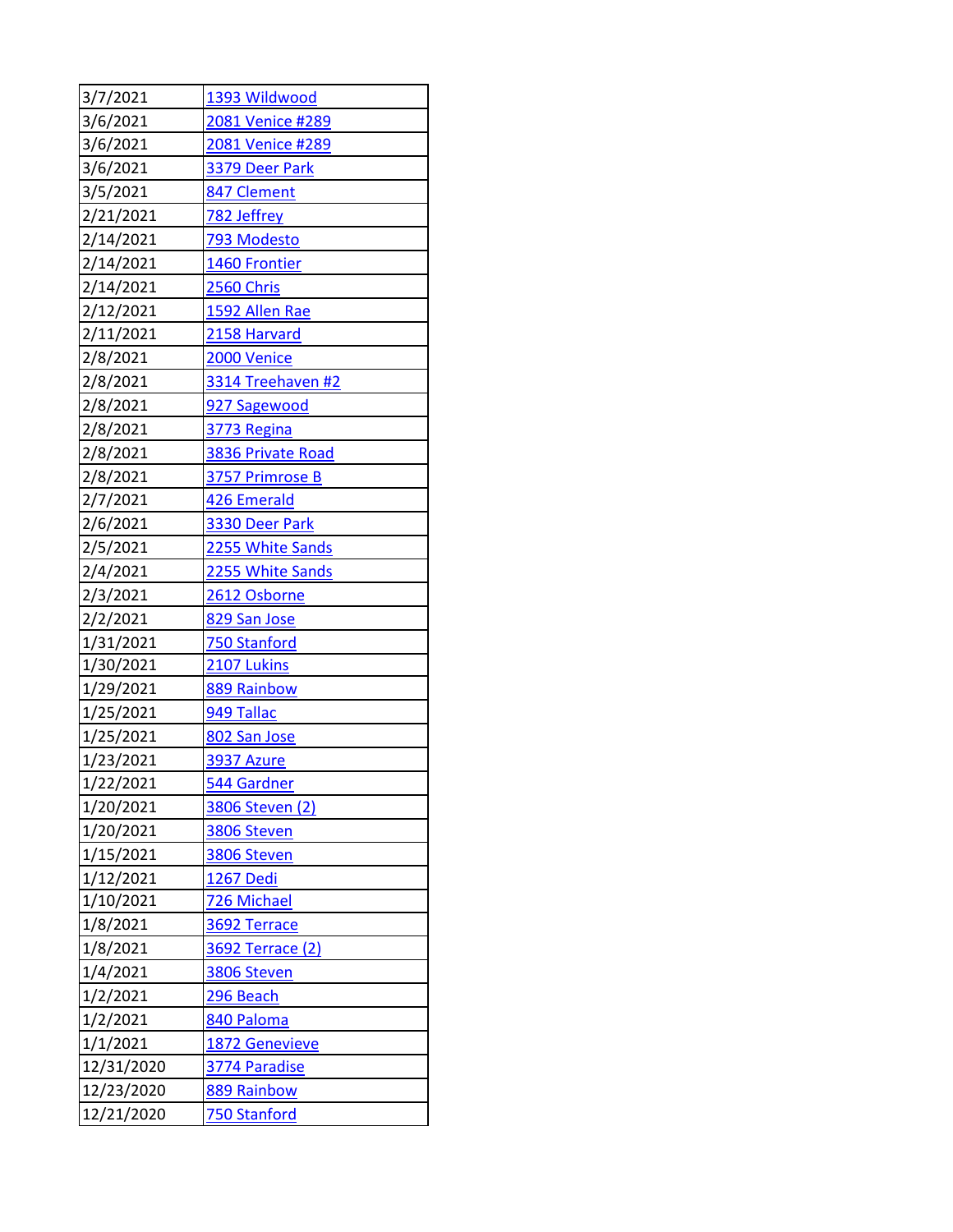| 3/7/2021   | 1393 Wildwood           |
|------------|-------------------------|
| 3/6/2021   | 2081 Venice #289        |
| 3/6/2021   | 2081 Venice #289        |
| 3/6/2021   | 3379 Deer Park          |
| 3/5/2021   | 847 Clement             |
| 2/21/2021  | 782 Jeffrey             |
| 2/14/2021  | 793 Modesto             |
| 2/14/2021  | 1460 Frontier           |
| 2/14/2021  | 2560 Chris              |
| 2/12/2021  | 1592 Allen Rae          |
| 2/11/2021  | 2158 Harvard            |
| 2/8/2021   | 2000 Venice             |
| 2/8/2021   | 3314 Treehaven #2       |
| 2/8/2021   | 927 Sagewood            |
| 2/8/2021   | 3773 Regina             |
| 2/8/2021   | 3836 Private Road       |
| 2/8/2021   | 3757 Primrose B         |
| 2/7/2021   | 426 Emerald             |
| 2/6/2021   | 3330 Deer Park          |
| 2/5/2021   | 2255 White Sands        |
| 2/4/2021   | 2255 White Sands        |
| 2/3/2021   | 2612 Osborne            |
| 2/2/2021   | 829 San Jose            |
| 1/31/2021  | 750 Stanford            |
| 1/30/2021  | 2107 Lukins             |
| 1/29/2021  | 889 Rainbow             |
| 1/25/2021  | 949 Tallac              |
| 1/25/2021  | 802 San Jose            |
| 1/23/2021  | <b>3937 Azure</b>       |
| 1/22/2021  | 544 Gardner             |
| 1/20/2021  | 3806 Steven (2)         |
| 1/20/2021  | 3806 Steven             |
| 1/15/2021  | 3806 Steven             |
| 1/12/2021  | <b>1267 Dedi</b>        |
| 1/10/2021  | 726 Michael             |
| 1/8/2021   | 3692 Terrace            |
| 1/8/2021   | <b>3692 Terrace (2)</b> |
| 1/4/2021   | 3806 Steven             |
| 1/2/2021   | 296 Beach               |
| 1/2/2021   | 840 Paloma              |
| 1/1/2021   | 1872 Genevieve          |
| 12/31/2020 | 3774 Paradise           |
| 12/23/2020 | 889 Rainbow             |
| 12/21/2020 | 750 Stanford            |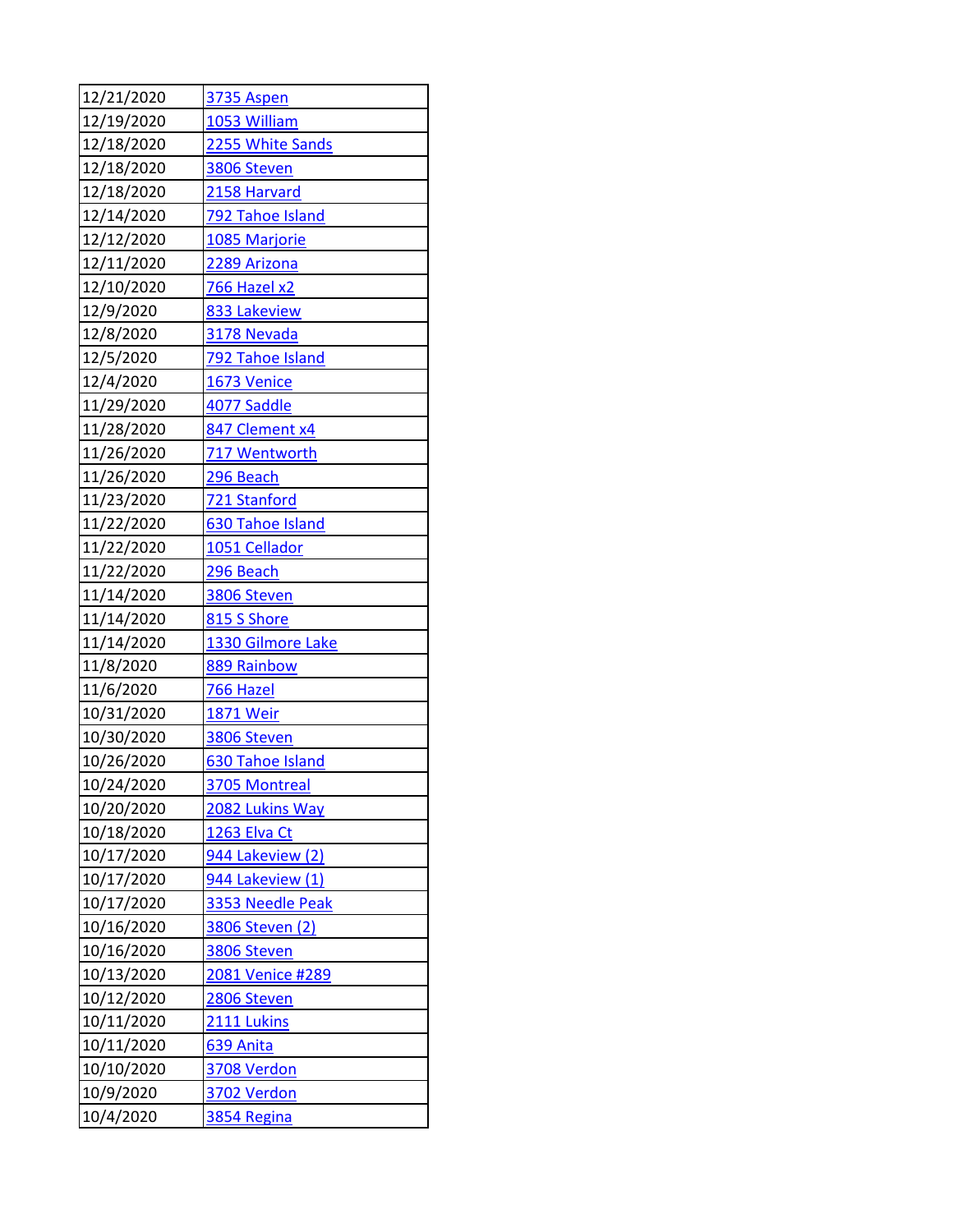| 12/21/2020 | <b>3735 Aspen</b>  |
|------------|--------------------|
| 12/19/2020 | 1053 William       |
| 12/18/2020 | 2255 White Sands   |
| 12/18/2020 | 3806 Steven        |
| 12/18/2020 | 2158 Harvard       |
| 12/14/2020 | 792 Tahoe Island   |
| 12/12/2020 | 1085 Marjorie      |
| 12/11/2020 | 2289 Arizona       |
| 12/10/2020 | 766 Hazel x2       |
| 12/9/2020  | 833 Lakeview       |
| 12/8/2020  | 3178 Nevada        |
| 12/5/2020  | 792 Tahoe Island   |
| 12/4/2020  | 1673 Venice        |
| 11/29/2020 | 4077 Saddle        |
| 11/28/2020 | 847 Clement x4     |
| 11/26/2020 | 717 Wentworth      |
| 11/26/2020 | 296 Beach          |
| 11/23/2020 | 721 Stanford       |
| 11/22/2020 | 630 Tahoe Island   |
| 11/22/2020 | 1051 Cellador      |
| 11/22/2020 | 296 Beach          |
| 11/14/2020 | 3806 Steven        |
| 11/14/2020 | 815 S Shore        |
| 11/14/2020 | 1330 Gilmore Lake  |
| 11/8/2020  | 889 Rainbow        |
| 11/6/2020  | 766 Hazel          |
| 10/31/2020 | 1871 Weir          |
| 10/30/2020 | 3806 Steven        |
| 10/26/2020 | 630 Tahoe Island   |
| 10/24/2020 | 3705 Montreal      |
| 10/20/2020 | 2082 Lukins Way    |
| 10/18/2020 | 1263 Elva Ct       |
| 10/17/2020 | 944 Lakeview (2)   |
| 10/17/2020 | 944 Lakeview (1)   |
| 10/17/2020 | 3353 Needle Peak   |
| 10/16/2020 | 3806 Steven (2)    |
| 10/16/2020 | 3806 Steven        |
| 10/13/2020 | 2081 Venice #289   |
| 10/12/2020 | 2806 Steven        |
| 10/11/2020 | <b>2111 Lukins</b> |
| 10/11/2020 | 639 Anita          |
| 10/10/2020 | 3708 Verdon        |
| 10/9/2020  | <b>3702 Verdon</b> |
| 10/4/2020  | 3854 Regina        |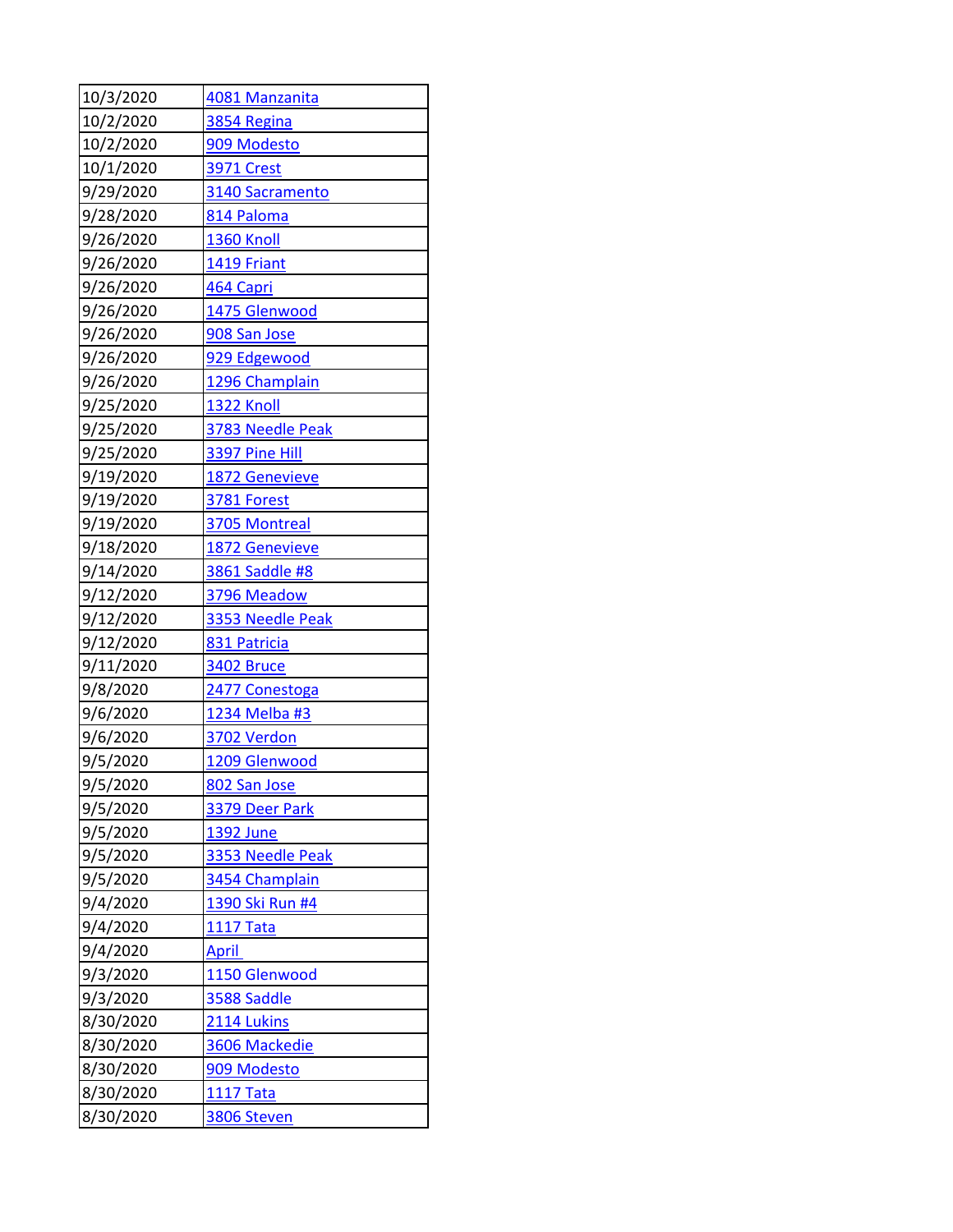| 10/3/2020 | 4081 Manzanita    |
|-----------|-------------------|
| 10/2/2020 | 3854 Regina       |
| 10/2/2020 | 909 Modesto       |
| 10/1/2020 | <b>3971 Crest</b> |
| 9/29/2020 | 3140 Sacramento   |
| 9/28/2020 | 814 Paloma        |
| 9/26/2020 | <b>1360 Knoll</b> |
| 9/26/2020 | 1419 Friant       |
| 9/26/2020 | 464 Capri         |
| 9/26/2020 | 1475 Glenwood     |
| 9/26/2020 | 908 San Jose      |
| 9/26/2020 | 929 Edgewood      |
| 9/26/2020 | 1296 Champlain    |
| 9/25/2020 | 1322 Knoll        |
| 9/25/2020 | 3783 Needle Peak  |
| 9/25/2020 | 3397 Pine Hill    |
| 9/19/2020 | 1872 Genevieve    |
| 9/19/2020 | 3781 Forest       |
| 9/19/2020 | 3705 Montreal     |
| 9/18/2020 | 1872 Genevieve    |
| 9/14/2020 | 3861 Saddle #8    |
| 9/12/2020 | 3796 Meadow       |
| 9/12/2020 | 3353 Needle Peak  |
| 9/12/2020 | 831 Patricia      |
| 9/11/2020 | <b>3402 Bruce</b> |
| 9/8/2020  | 2477 Conestoga    |
| 9/6/2020  | 1234 Melba #3     |
| 9/6/2020  | 3702 Verdon       |
| 9/5/2020  | 1209 Glenwood     |
| 9/5/2020  | 802 San Jose      |
| 9/5/2020  | 3379 Deer Park    |
| 9/5/2020  | 1392 June         |
| 9/5/2020  | 3353 Needle Peak  |
| 9/5/2020  | 3454 Champlain    |
| 9/4/2020  | 1390 Ski Run #4   |
| 9/4/2020  | <u>1117 Tata</u>  |
| 9/4/2020  | <b>April</b>      |
| 9/3/2020  | 1150 Glenwood     |
| 9/3/2020  | 3588 Saddle       |
| 8/30/2020 | 2114 Lukins       |
| 8/30/2020 | 3606 Mackedie     |
| 8/30/2020 | 909 Modesto       |
| 8/30/2020 | <b>1117 Tata</b>  |
| 8/30/2020 | 3806 Steven       |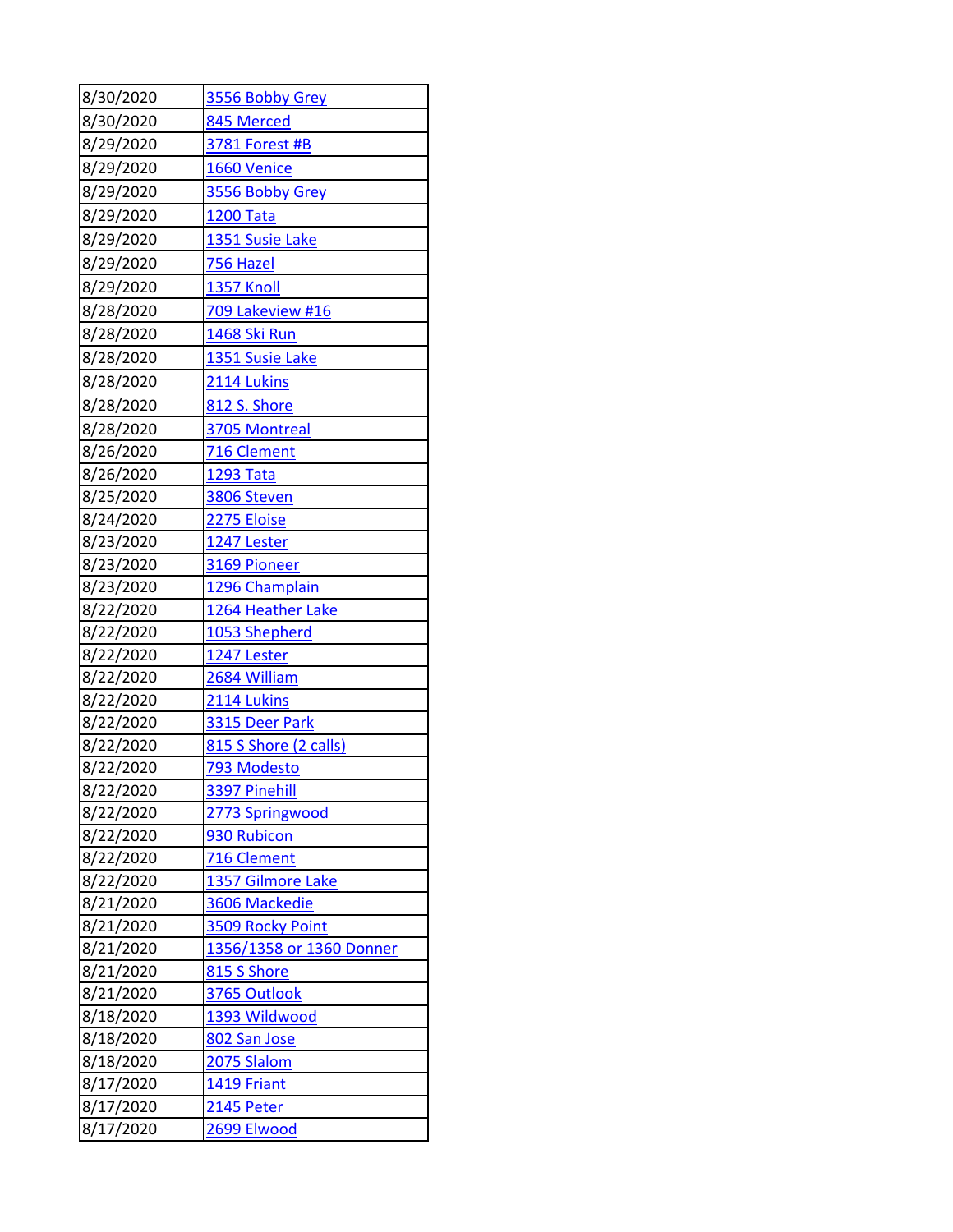| 8/30/2020              | 3556 Bobby Grey            |
|------------------------|----------------------------|
| 8/30/2020              | 845 Merced                 |
| 8/29/2020              | 3781 Forest #B             |
| 8/29/2020              | <b>1660 Venice</b>         |
| 8/29/2020              | 3556 Bobby Grey            |
| 8/29/2020              | <b>1200 Tata</b>           |
| 8/29/2020              | 1351 Susie Lake            |
| 8/29/2020              | <u>756 Hazel</u>           |
| 8/29/2020              | 1357 Knoll                 |
| 8/28/2020              | 709 Lakeview #16           |
| 8/28/2020              | 1468 Ski Run               |
| 8/28/2020              | 1351 Susie Lake            |
| 8/28/2020              | 2114 Lukins                |
| 8/28/2020              | 812 S. Shore               |
| 8/28/2020              | 3705 Montreal              |
| 8/26/2020              | 716 Clement                |
| 8/26/2020              | <b>1293 Tata</b>           |
| 8/25/2020              | 3806 Steven                |
| 8/24/2020              | 2275 Eloise                |
| 8/23/2020              | 1247 Lester                |
| 8/23/2020              | 3169 Pioneer               |
| 8/23/2020              | 1296 Champlain             |
| 8/22/2020              | 1264 Heather Lake          |
| 8/22/2020              | 1053 Shepherd              |
| 8/22/2020              | 1247 Lester                |
| 8/22/2020              | 2684 William               |
| 8/22/2020              | 2114 Lukins                |
| 8/22/2020              | 3315 Deer Park             |
| 8/22/2020              | 815 S Shore (2 calls)      |
| 8/22/2020              | 793 Modesto                |
| 8/22/2020              | 3397 Pinehill              |
| 8/22/2020              | 2773 Springwood            |
| 8/22/2020<br>8/22/2020 | 930 Rubicon<br>716 Clement |
| 8/22/2020              | 1357 Gilmore Lake          |
| 8/21/2020              | 3606 Mackedie              |
| 8/21/2020              | 3509 Rocky Point           |
| 8/21/2020              | 1356/1358 or 1360 Donner   |
| 8/21/2020              | 815 S Shore                |
| 8/21/2020              | 3765 Outlook               |
| 8/18/2020              | 1393 Wildwood              |
| 8/18/2020              | 802 San Jose               |
| 8/18/2020              | 2075 Slalom                |
| 8/17/2020              | 1419 Friant                |
| 8/17/2020              | 2145 Peter                 |
| 8/17/2020              | 2699 Elwood                |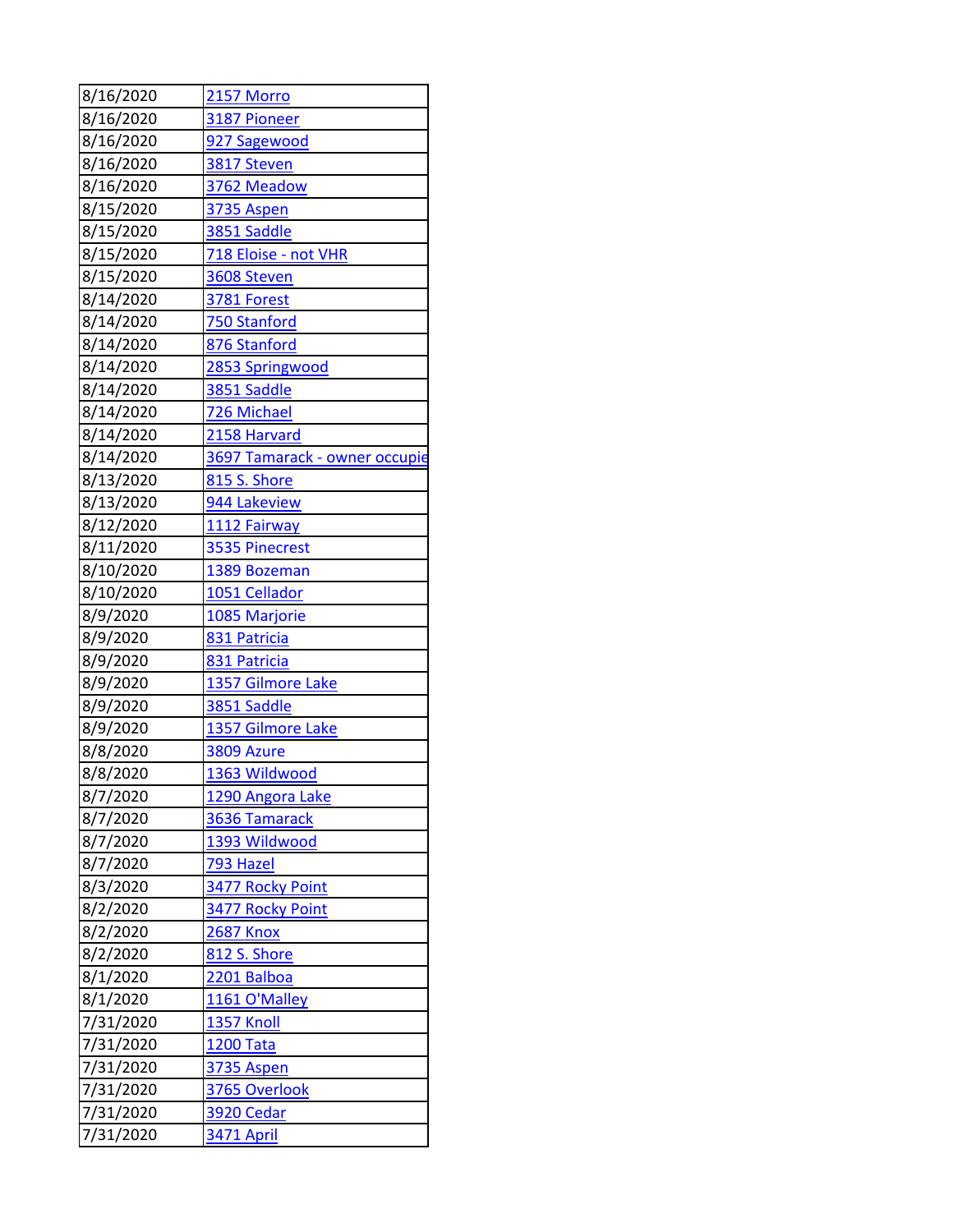| 8/16/2020            | <b>2157 Morro</b>             |
|----------------------|-------------------------------|
| 8/16/2020            | 3187 Pioneer                  |
| 8/16/2020            | 927 Sagewood                  |
| 8/16/2020            | 3817 Steven                   |
| 8/16/2020            | 3762 Meadow                   |
| 8/15/2020            | 3735 Aspen                    |
| 8/15/2020            | 3851 Saddle                   |
| 8/15/2020            | 718 Eloise - not VHR          |
| 8/15/2020            | 3608 Steven                   |
| 8/14/2020            | <b>3781 Forest</b>            |
| 8/14/2020            | 750 Stanford                  |
| 8/14/2020            | 876 Stanford                  |
| 8/14/2020            | 2853 Springwood               |
| 8/14/2020            | 3851 Saddle                   |
| 8/14/2020            | 726 Michael                   |
| 8/14/2020            | 2158 Harvard                  |
| 8/14/2020            | 3697 Tamarack - owner occupie |
| 8/13/2020            | <b>815 S. Shore</b>           |
| 8/13/2020            | 944 Lakeview                  |
| 8/12/2020            | 1112 Fairway                  |
| 8/11/2020            | 3535 Pinecrest                |
| 8/10/2020            | 1389 Bozeman                  |
| 8/10/2020            | 1051 Cellador                 |
| 8/9/2020             | 1085 Marjorie                 |
| 8/9/2020             | 831 Patricia                  |
| 8/9/2020             | 831 Patricia                  |
| 8/9/2020             | 1357 Gilmore Lake             |
| 8/9/2020             | 3851 Saddle                   |
| 8/9/2020             | 1357 Gilmore Lake             |
| 8/8/2020             | 3809 Azure                    |
| 8/8/2020             | 1363 Wildwood                 |
| 8/7/2020             | 1290 Angora Lake              |
| 8/7/2020             | 3636 Tamarack                 |
| 8/7/2020             | 1393 Wildwood                 |
| 8/7/2020             | 793 Hazel                     |
| 8/3/2020             | 3477 Rocky Point              |
| 8/2/2020             | 3477 Rocky Point              |
| 8/2/2020             | <b>2687 Knox</b>              |
| 8/2/2020<br>8/1/2020 | 812 S. Shore<br>2201 Balboa   |
| 8/1/2020             | 1161 O'Malley                 |
| 7/31/2020            | <b>1357 Knoll</b>             |
| 7/31/2020            | <b>1200 Tata</b>              |
| 7/31/2020            |                               |
|                      | 3735 Aspen                    |
| 7/31/2020            | 3765 Overlook                 |
| 7/31/2020            | <b>3920 Cedar</b>             |
| 7/31/2020            | <b>3471 April</b>             |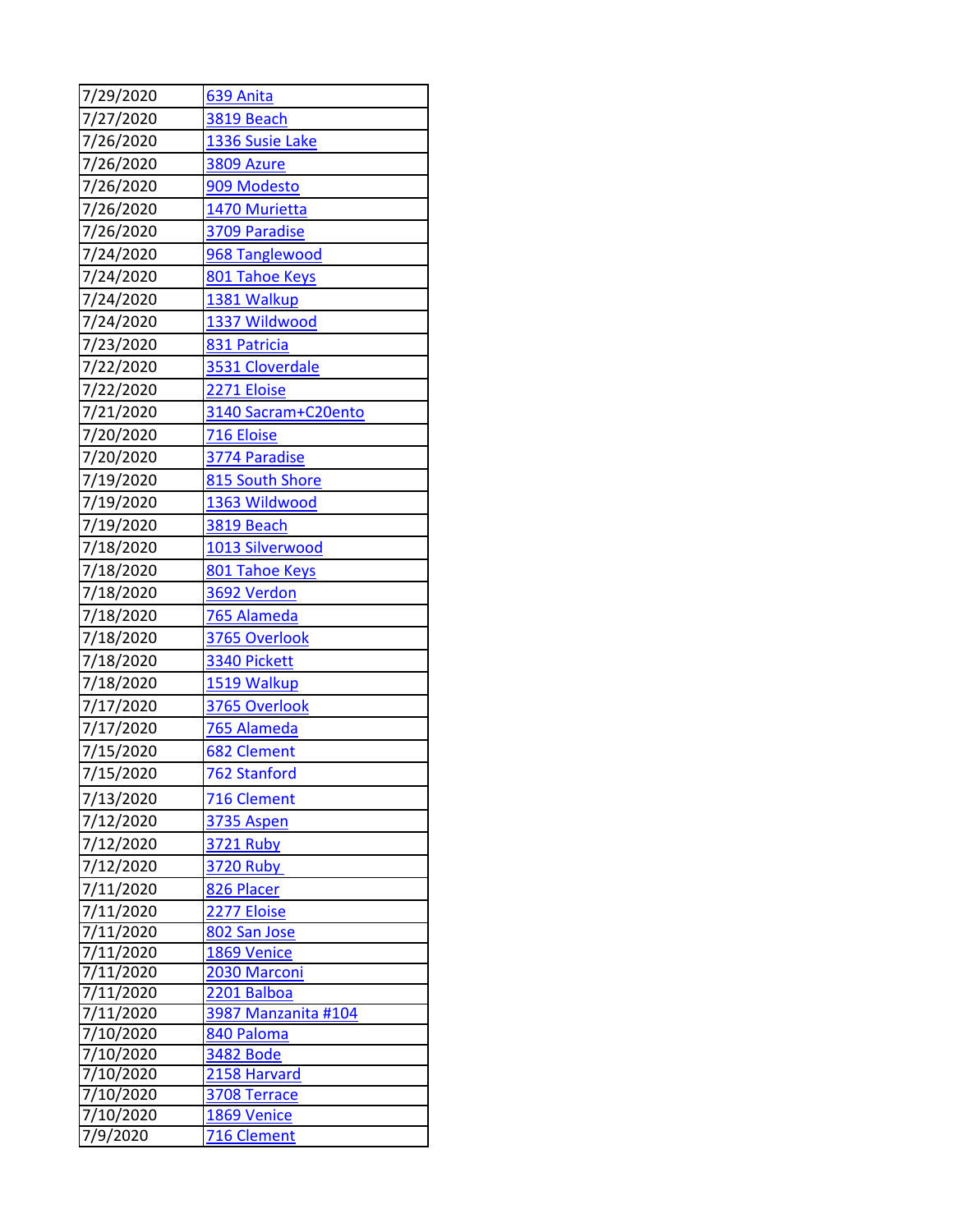| 7/29/2020              | 639 Anita                   |
|------------------------|-----------------------------|
| 7/27/2020              | <b>3819 Beach</b>           |
| 7/26/2020              | 1336 Susie Lake             |
| 7/26/2020              | 3809 Azure                  |
| 7/26/2020              | 909 Modesto                 |
| 7/26/2020              | 1470 Murietta               |
| 7/26/2020              | 3709 Paradise               |
| 7/24/2020              | 968 Tanglewood              |
| 7/24/2020              | 801 Tahoe Keys              |
| 7/24/2020              | 1381 Walkup                 |
| 7/24/2020              | 1337 Wildwood               |
| 7/23/2020              | 831 Patricia                |
| 7/22/2020              | 3531 Cloverdale             |
| 7/22/2020              | 2271 Eloise                 |
| 7/21/2020              | 3140 Sacram+C20ento         |
| 7/20/2020              | 716 Eloise                  |
| 7/20/2020              | 3774 Paradise               |
| 7/19/2020              | 815 South Shore             |
| 7/19/2020              | 1363 Wildwood               |
| 7/19/2020              | 3819 Beach                  |
| 7/18/2020              | 1013 Silverwood             |
| 7/18/2020              | 801 Tahoe Keys              |
| 7/18/2020              | 3692 Verdon                 |
| 7/18/2020              | 765 Alameda                 |
| 7/18/2020              | 3765 Overlook               |
| 7/18/2020              | 3340 Pickett                |
| 7/18/2020              | 1519 Walkup                 |
| 7/17/2020              | 3765 Overlook               |
| 7/17/2020              | 765 Alameda                 |
| 7/15/2020              | 682 Clement                 |
| 7/15/2020              | 762 Stanford                |
| 7/13/2020              | 716 Clement                 |
| 7/12/2020              | <b>3735 Aspen</b>           |
| 7/12/2020              | 3721 Ruby                   |
| 7/12/2020              | 3720 Ruby                   |
| 7/11/2020              | 826 Placer                  |
| 7/11/2020              | 2277 Eloise                 |
| 7/11/2020              | 802 San Jose                |
| 7/11/2020<br>7/11/2020 | 1869 Venice<br>2030 Marconi |
| 7/11/2020              | 2201 Balboa                 |
| 7/11/2020              | 3987 Manzanita #104         |
| 7/10/2020              | 840 Paloma                  |
| 7/10/2020              | <b>3482 Bode</b>            |
| 7/10/2020              | 2158 Harvard                |
| 7/10/2020              | 3708 Terrace                |
| 7/10/2020              | 1869 Venice                 |
| 7/9/2020               | 716 Clement                 |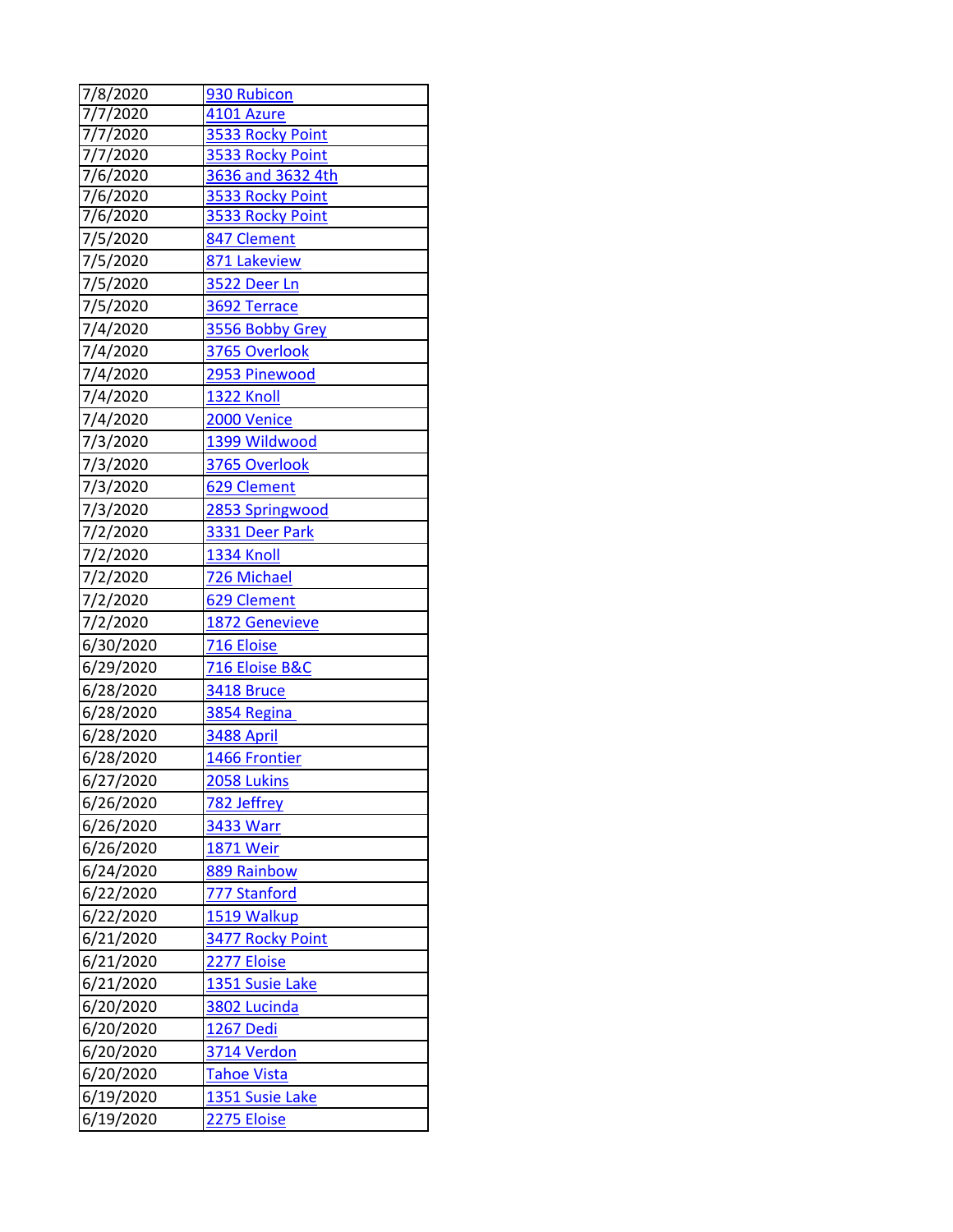| 7/8/2020  | 930 Rubicon       |
|-----------|-------------------|
| 7/7/2020  | 4101 Azure        |
| 7/7/2020  | 3533 Rocky Point  |
| 7/7/2020  | 3533 Rocky Point  |
| 7/6/2020  | 3636 and 3632 4th |
| 7/6/2020  | 3533 Rocky Point  |
| 7/6/2020  | 3533 Rocky Point  |
| 7/5/2020  | 847 Clement       |
| 7/5/2020  | 871 Lakeview      |
| 7/5/2020  | 3522 Deer Ln      |
| 7/5/2020  | 3692 Terrace      |
| 7/4/2020  | 3556 Bobby Grey   |
| 7/4/2020  | 3765 Overlook     |
| 7/4/2020  | 2953 Pinewood     |
| 7/4/2020  | <b>1322 Knoll</b> |
| 7/4/2020  | 2000 Venice       |
| 7/3/2020  | 1399 Wildwood     |
| 7/3/2020  | 3765 Overlook     |
| 7/3/2020  | 629 Clement       |
| 7/3/2020  | 2853 Springwood   |
| 7/2/2020  | 3331 Deer Park    |
| 7/2/2020  | 1334 Knoll        |
| 7/2/2020  | 726 Michael       |
| 7/2/2020  | 629 Clement       |
| 7/2/2020  | 1872 Genevieve    |
| 6/30/2020 | 716 Eloise        |
| 6/29/2020 | 716 Eloise B&C    |
| 6/28/2020 | 3418 Bruce        |
| 6/28/2020 | 3854 Regina       |
| 6/28/2020 | 3488 April        |
| 6/28/2020 | 1466 Frontier     |
| 6/27/2020 | 2058 Lukins       |
| 6/26/2020 | 782 Jeffrey       |
| 6/26/2020 | 3433 Warr         |
| 6/26/2020 | <b>1871 Weir</b>  |
| 6/24/2020 | 889 Rainbow       |
| 6/22/2020 | 777 Stanford      |
| 6/22/2020 | 1519 Walkup       |
| 6/21/2020 | 3477 Rocky Point  |
| 6/21/2020 | 2277 Eloise       |
| 6/21/2020 | 1351 Susie Lake   |
| 6/20/2020 | 3802 Lucinda      |
| 6/20/2020 | 1267 Dedi         |
| 6/20/2020 | 3714 Verdon       |
| 6/20/2020 | Tahoe Vista       |
| 6/19/2020 | 1351 Susie Lake   |
| 6/19/2020 | 2275 Eloise       |
|           |                   |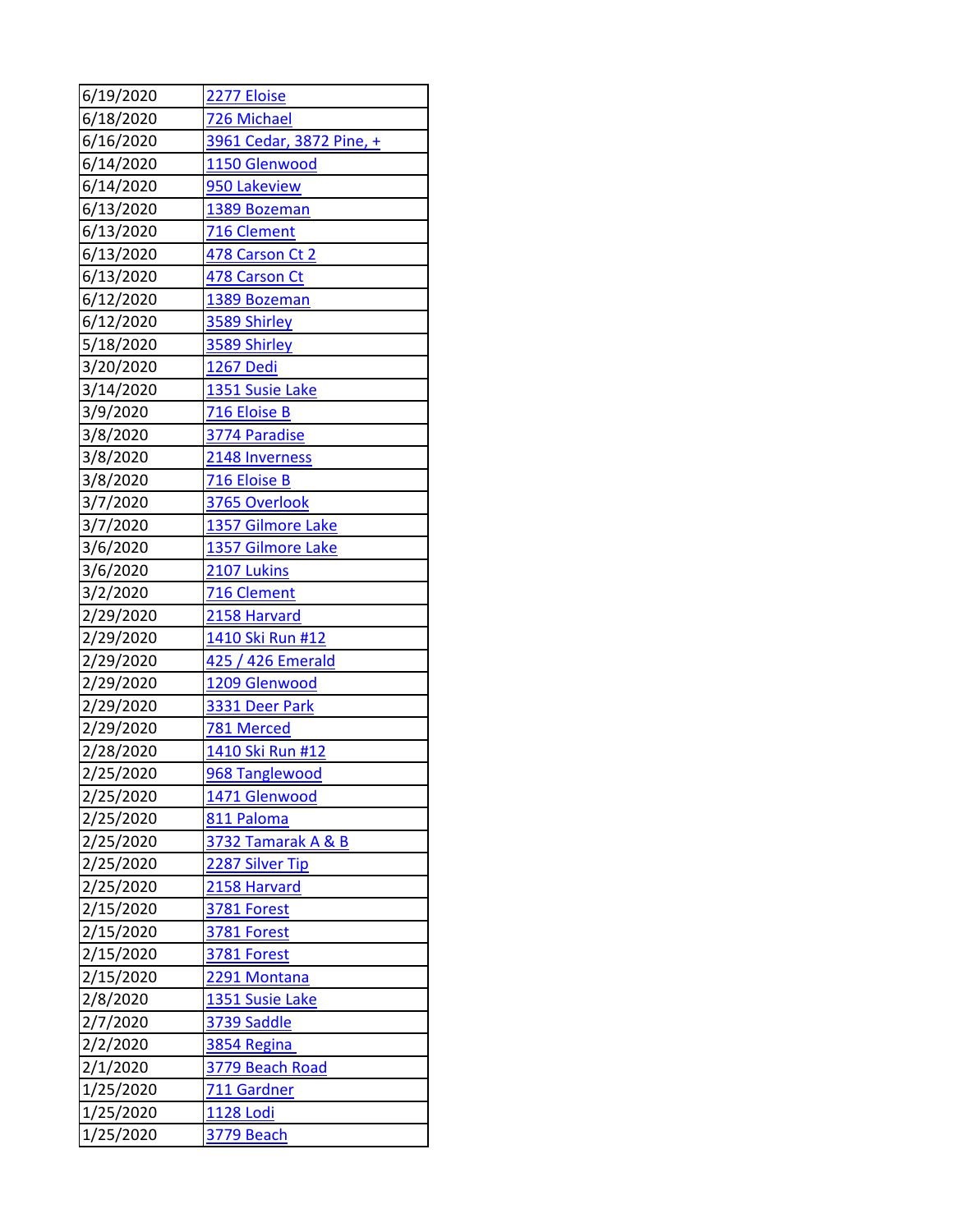| 6/19/2020 | 2277 Eloise              |
|-----------|--------------------------|
| 6/18/2020 | 726 Michael              |
| 6/16/2020 | 3961 Cedar, 3872 Pine, + |
| 6/14/2020 | 1150 Glenwood            |
| 6/14/2020 | 950 Lakeview             |
| 6/13/2020 | 1389 Bozeman             |
| 6/13/2020 | 716 Clement              |
| 6/13/2020 | 478 Carson Ct 2          |
| 6/13/2020 | 478 Carson Ct            |
| 6/12/2020 | 1389 Bozeman             |
| 6/12/2020 | 3589 Shirley             |
| 5/18/2020 | 3589 Shirley             |
| 3/20/2020 | 1267 Dedi                |
| 3/14/2020 | 1351 Susie Lake          |
| 3/9/2020  | 716 Eloise B             |
| 3/8/2020  | 3774 Paradise            |
| 3/8/2020  | 2148 Inverness           |
| 3/8/2020  | 716 Eloise B             |
| 3/7/2020  | 3765 Overlook            |
| 3/7/2020  | 1357 Gilmore Lake        |
| 3/6/2020  | 1357 Gilmore Lake        |
| 3/6/2020  | 2107 Lukins              |
| 3/2/2020  | 716 Clement              |
| 2/29/2020 | 2158 Harvard             |
| 2/29/2020 | <u>1410 Ski Run #12</u>  |
| 2/29/2020 | 425 / 426 Emerald        |
| 2/29/2020 | 1209 Glenwood            |
| 2/29/2020 | 3331 Deer Park           |
| 2/29/2020 | 781 Merced               |
| 2/28/2020 | 1410 Ski Run #12         |
| 2/25/2020 | 968 Tanglewood           |
| 2/25/2020 | 1471 Glenwood            |
| 2/25/2020 | 811 Paloma               |
| 2/25/2020 | 3732 Tamarak A & B       |
| 2/25/2020 | 2287 Silver Tip          |
| 2/25/2020 | 2158 Harvard             |
| 2/15/2020 | <u>3781 Forest</u>       |
| 2/15/2020 | 3781 Forest              |
| 2/15/2020 | 3781 Forest              |
| 2/15/2020 | 2291 Montana             |
| 2/8/2020  | 1351 Susie Lake          |
| 2/7/2020  | 3739 Saddle              |
| 2/2/2020  | 3854 Regina              |
| 2/1/2020  | 3779 Beach Road          |
| 1/25/2020 | 711 Gardner              |
| 1/25/2020 | <u>1128 Lodi</u>         |
| 1/25/2020 | <b>3779 Beach</b>        |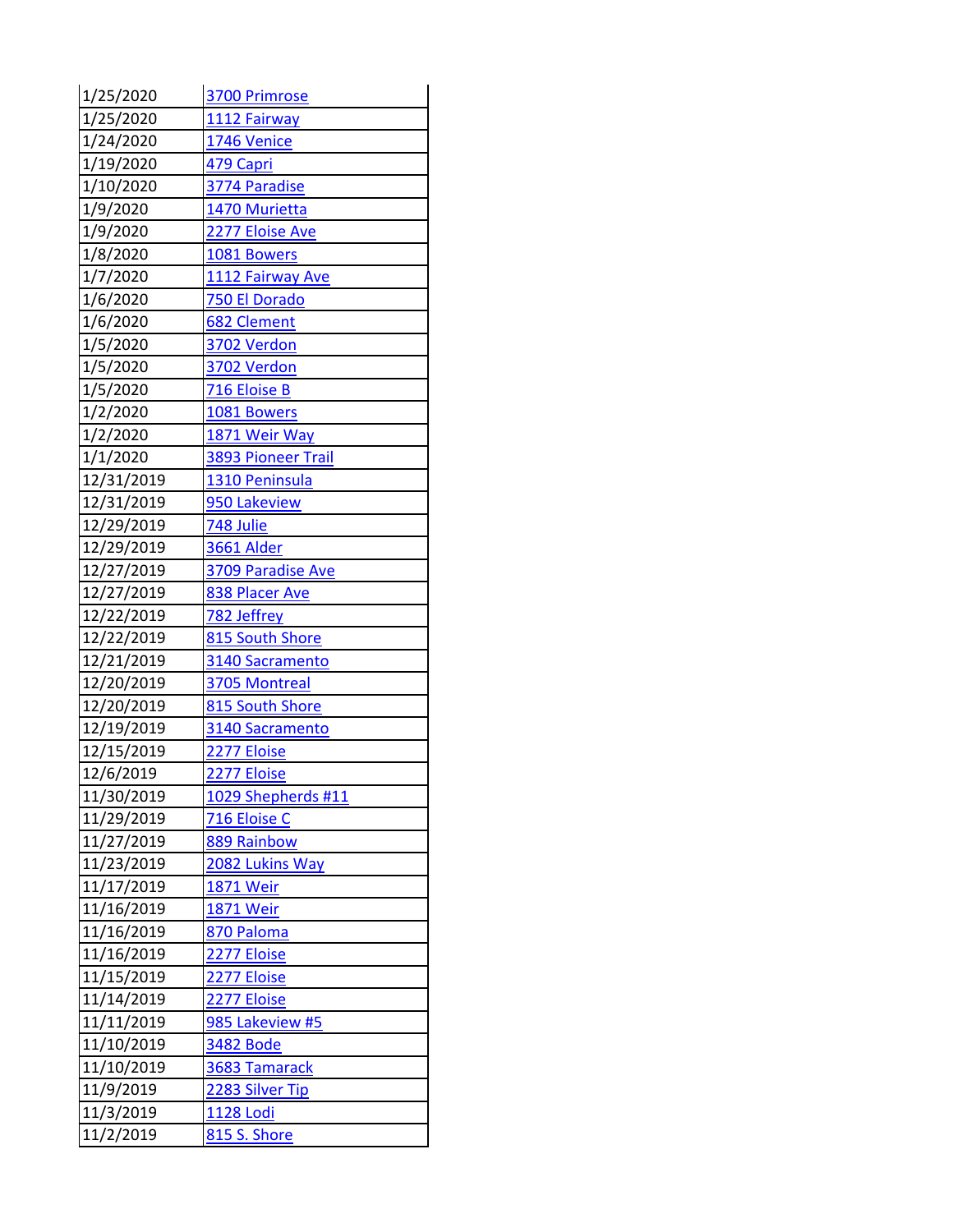| 1/25/2020  | 3700 Primrose             |
|------------|---------------------------|
| 1/25/2020  | 1112 Fairway              |
| 1/24/2020  | 1746 Venice               |
| 1/19/2020  | 479 Capri                 |
| 1/10/2020  | 3774 Paradise             |
| 1/9/2020   | 1470 Murietta             |
| 1/9/2020   | 2277 Eloise Ave           |
| 1/8/2020   | 1081 Bowers               |
| 1/7/2020   | 1112 Fairway Ave          |
| 1/6/2020   | 750 El Dorado             |
| 1/6/2020   | 682 Clement               |
| 1/5/2020   | 3702 Verdon               |
| 1/5/2020   | 3702 Verdon               |
| 1/5/2020   | 716 Eloise B              |
| 1/2/2020   | 1081 Bowers               |
| 1/2/2020   | 1871 Weir Way             |
| 1/1/2020   | <b>3893 Pioneer Trail</b> |
| 12/31/2019 | 1310 Peninsula            |
| 12/31/2019 | 950 Lakeview              |
| 12/29/2019 | 748 Julie                 |
| 12/29/2019 | 3661 Alder                |
| 12/27/2019 | 3709 Paradise Ave         |
| 12/27/2019 | 838 Placer Ave            |
| 12/22/2019 | 782 Jeffrey               |
| 12/22/2019 | 815 South Shore           |
| 12/21/2019 | 3140 Sacramento           |
| 12/20/2019 | 3705 Montreal             |
| 12/20/2019 | 815 South Shore           |
| 12/19/2019 | 3140 Sacramento           |
| 12/15/2019 | 2277 Eloise               |
| 12/6/2019  | 2277 Eloise               |
| 11/30/2019 | 1029 Shepherds #11        |
| 11/29/2019 | 716 Eloise C              |
| 11/27/2019 | 889 Rainbow               |
| 11/23/2019 | 2082 Lukins Way           |
| 11/17/2019 | 1871 Weir                 |
| 11/16/2019 | <b>1871 Weir</b>          |
| 11/16/2019 | 870 Paloma                |
| 11/16/2019 | 2277 Eloise               |
| 11/15/2019 | 2277 Eloise               |
| 11/14/2019 | 2277 Eloise               |
| 11/11/2019 | 985 Lakeview #5           |
| 11/10/2019 | <b>3482 Bode</b>          |
| 11/10/2019 | 3683 Tamarack             |
| 11/9/2019  | 2283 Silver Tip           |
| 11/3/2019  | 1128 Lodi                 |
| 11/2/2019  | <b>815 S. Shore</b>       |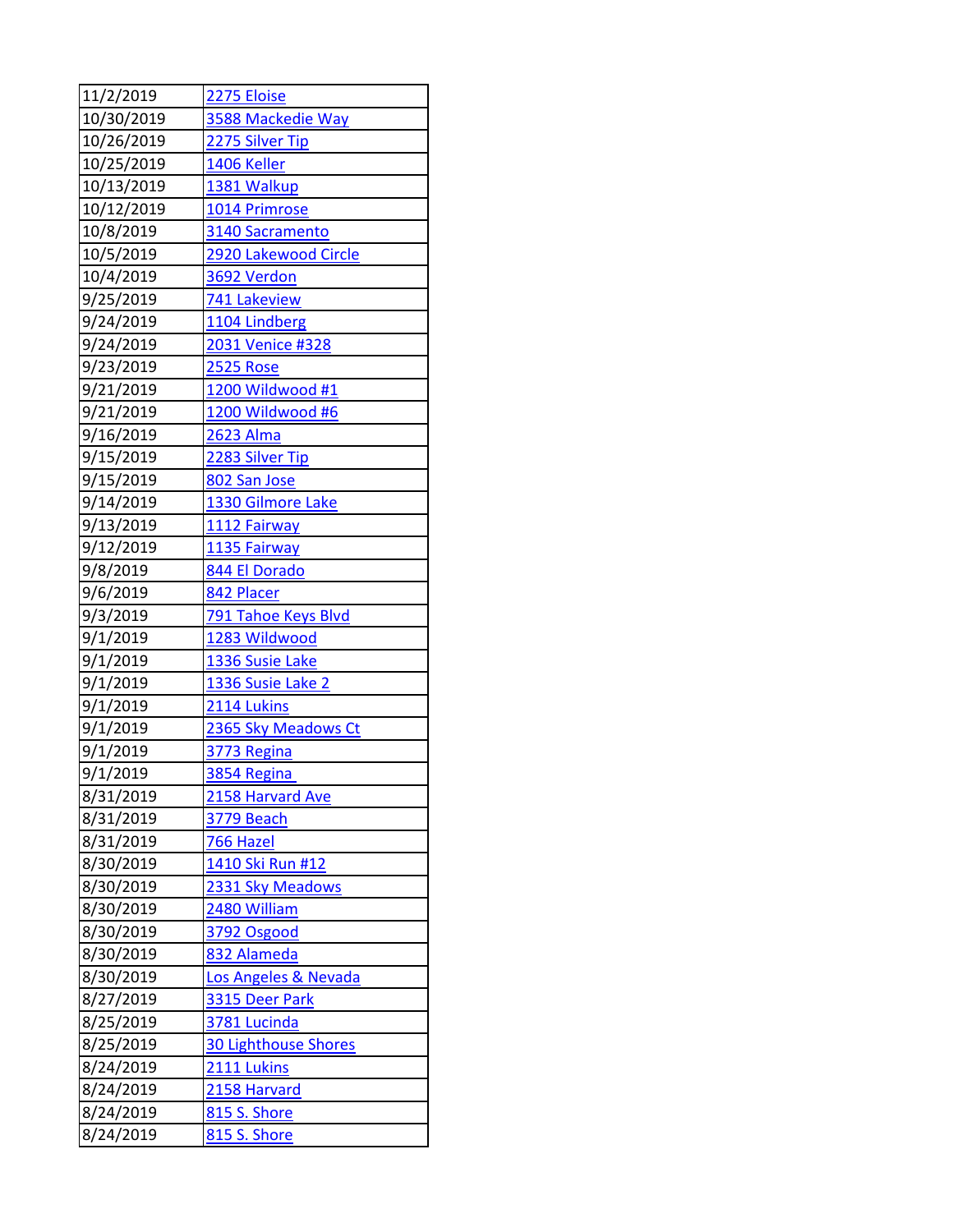| 11/2/2019  | 2275 Eloise                 |
|------------|-----------------------------|
| 10/30/2019 | 3588 Mackedie Way           |
| 10/26/2019 | 2275 Silver Tip             |
| 10/25/2019 | 1406 Keller                 |
| 10/13/2019 | 1381 Walkup                 |
| 10/12/2019 | 1014 Primrose               |
| 10/8/2019  | 3140 Sacramento             |
| 10/5/2019  | 2920 Lakewood Circle        |
| 10/4/2019  | 3692 Verdon                 |
| 9/25/2019  | 741 Lakeview                |
| 9/24/2019  | 1104 Lindberg               |
| 9/24/2019  | 2031 Venice #328            |
| 9/23/2019  | <b>2525 Rose</b>            |
| 9/21/2019  | 1200 Wildwood #1            |
| 9/21/2019  | 1200 Wildwood #6            |
| 9/16/2019  | <b>2623 Alma</b>            |
| 9/15/2019  | 2283 Silver Tip             |
| 9/15/2019  | 802 San Jose                |
| 9/14/2019  | 1330 Gilmore Lake           |
| 9/13/2019  | 1112 Fairway                |
| 9/12/2019  | 1135 Fairway                |
| 9/8/2019   | 844 El Dorado               |
| 9/6/2019   | 842 Placer                  |
| 9/3/2019   | 791 Tahoe Keys Blvd         |
| 9/1/2019   | 1283 Wildwood               |
| 9/1/2019   | 1336 Susie Lake             |
| 9/1/2019   | 1336 Susie Lake 2           |
| 9/1/2019   | 2114 Lukins                 |
| 9/1/2019   | 2365 Sky Meadows Ct         |
| 9/1/2019   | 3773 Regina                 |
| 9/1/2019   | 3854 Regina                 |
| 8/31/2019  | 2158 Harvard Ave            |
| 8/31/2019  | 3779 Beach                  |
| 8/31/2019  | 766 Hazel                   |
| 8/30/2019  | 1410 Ski Run #12            |
| 8/30/2019  | 2331 Sky Meadows            |
| 8/30/2019  | 2480 William                |
| 8/30/2019  | 3792 Osgood                 |
| 8/30/2019  | 832 Alameda                 |
| 8/30/2019  | Los Angeles & Nevada        |
| 8/27/2019  | 3315 Deer Park              |
| 8/25/2019  | 3781 Lucinda                |
| 8/25/2019  | <b>30 Lighthouse Shores</b> |
| 8/24/2019  | 2111 Lukins                 |
| 8/24/2019  | 2158 Harvard                |
| 8/24/2019  | 815 S. Shore                |
| 8/24/2019  | 815 S. Shore                |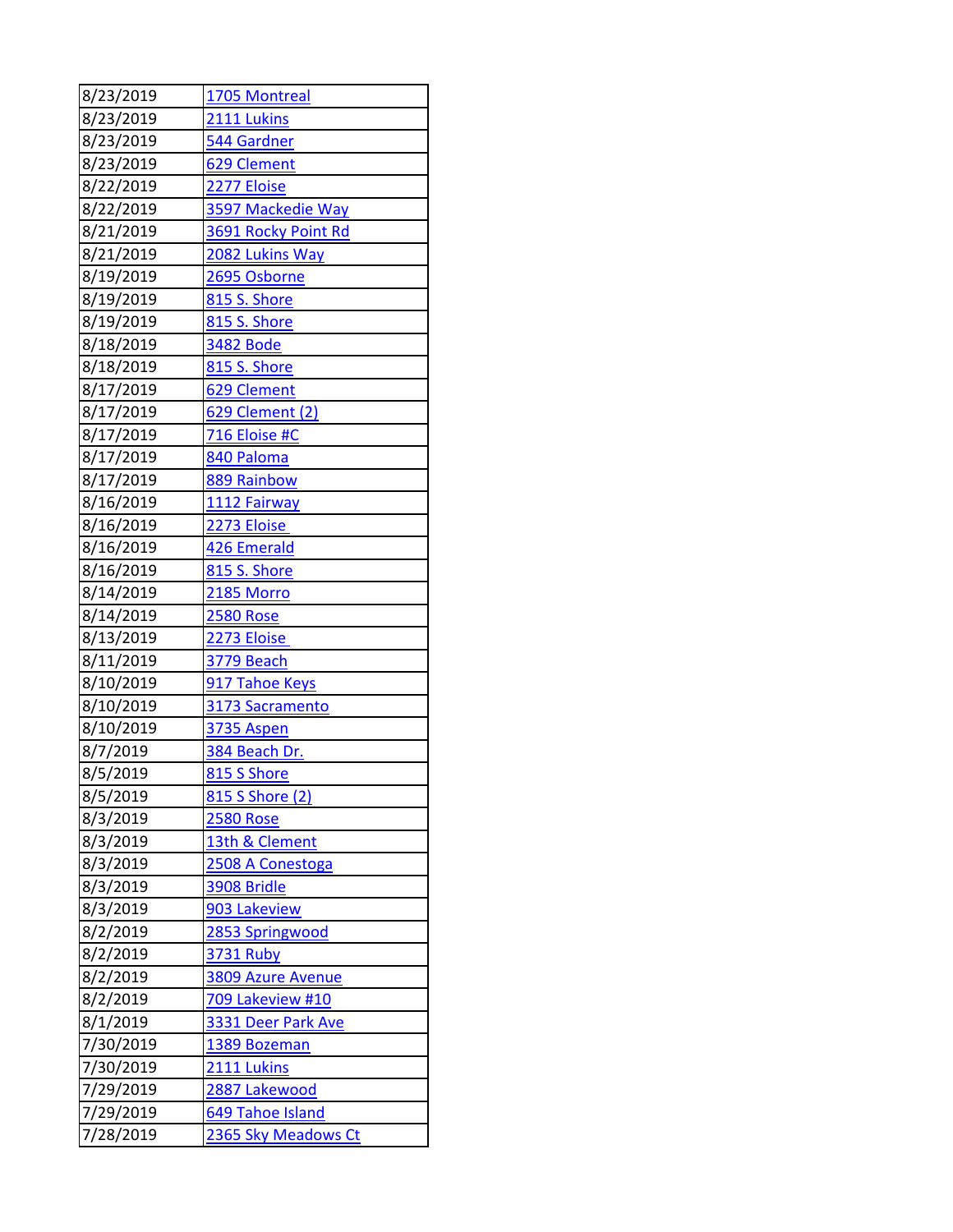| 8/23/2019 | 1705 Montreal       |
|-----------|---------------------|
| 8/23/2019 | 2111 Lukins         |
| 8/23/2019 | 544 Gardner         |
| 8/23/2019 | 629 Clement         |
| 8/22/2019 | 2277 Eloise         |
| 8/22/2019 | 3597 Mackedie Way   |
| 8/21/2019 | 3691 Rocky Point Rd |
| 8/21/2019 | 2082 Lukins Way     |
| 8/19/2019 | 2695 Osborne        |
| 8/19/2019 | 815 S. Shore        |
| 8/19/2019 | 815 S. Shore        |
| 8/18/2019 | <b>3482 Bode</b>    |
| 8/18/2019 | 815 S. Shore        |
| 8/17/2019 | 629 Clement         |
| 8/17/2019 | 629 Clement (2)     |
| 8/17/2019 | 716 Eloise #C       |
| 8/17/2019 | 840 Paloma          |
| 8/17/2019 | 889 Rainbow         |
| 8/16/2019 | 1112 Fairway        |
| 8/16/2019 | 2273 Eloise         |
| 8/16/2019 | 426 Emerald         |
| 8/16/2019 | 815 S. Shore        |
| 8/14/2019 | <b>2185 Morro</b>   |
| 8/14/2019 | <b>2580 Rose</b>    |
| 8/13/2019 | 2273 Eloise         |
| 8/11/2019 | 3779 Beach          |
| 8/10/2019 | 917 Tahoe Keys      |
| 8/10/2019 | 3173 Sacramento     |
| 8/10/2019 | <b>3735 Aspen</b>   |
| 8/7/2019  | 384 Beach Dr.       |
| 8/5/2019  | 815 S Shore         |
| 8/5/2019  | 815 S Shore (2)     |
| 8/3/2019  | <b>2580 Rose</b>    |
| 8/3/2019  | 13th & Clement      |
| 8/3/2019  | 2508 A Conestoga    |
| 8/3/2019  | 3908 Bridle         |
| 8/3/2019  | 903 Lakeview        |
| 8/2/2019  | 2853 Springwood     |
| 8/2/2019  | <b>3731 Ruby</b>    |
| 8/2/2019  | 3809 Azure Avenue   |
| 8/2/2019  | 709 Lakeview #10    |
| 8/1/2019  | 3331 Deer Park Ave  |
| 7/30/2019 | 1389 Bozeman        |
| 7/30/2019 | 2111 Lukins         |
| 7/29/2019 | 2887 Lakewood       |
| 7/29/2019 | 649 Tahoe Island    |
| 7/28/2019 | 2365 Sky Meadows Ct |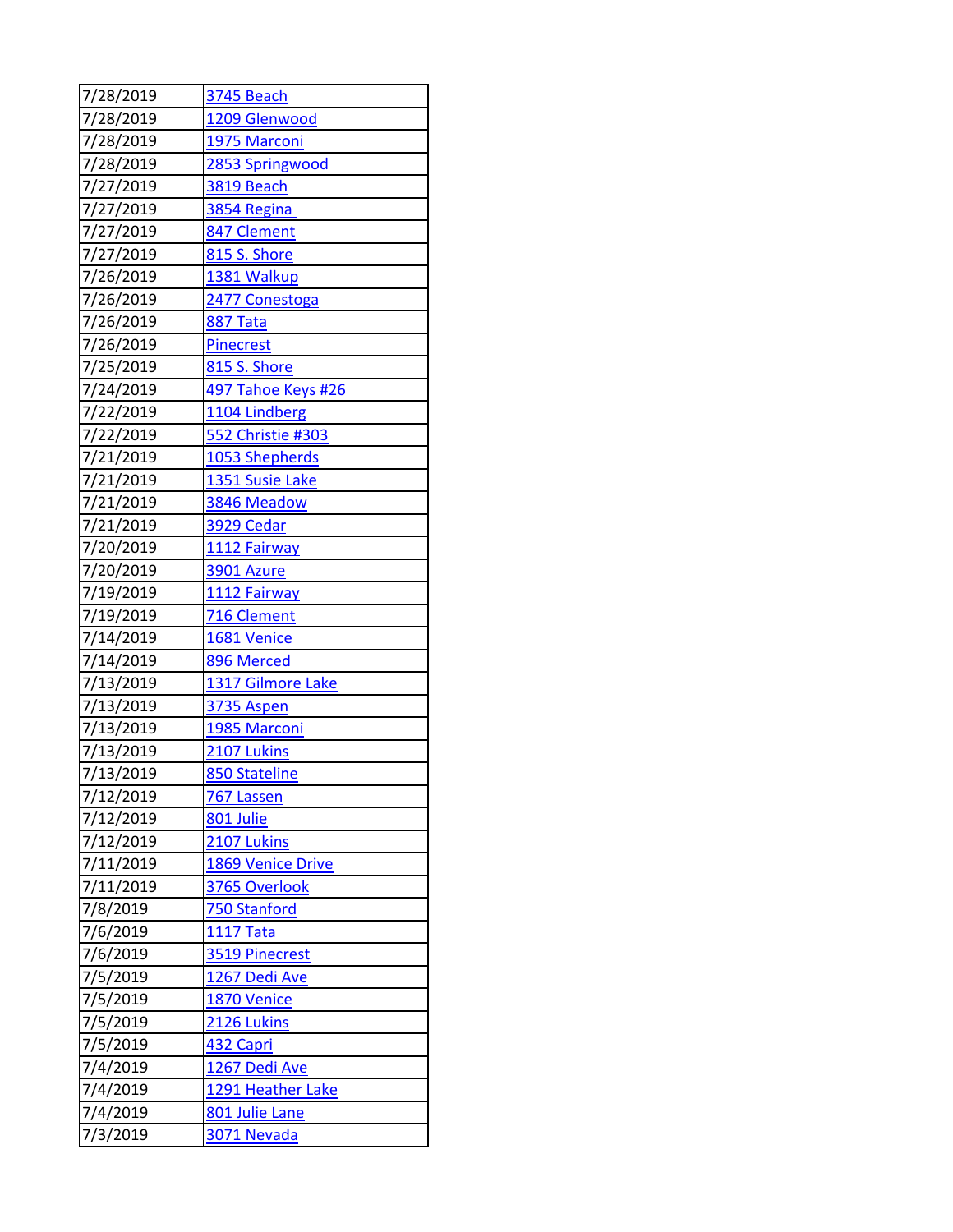| 7/28/2019 | <b>3745 Beach</b>  |
|-----------|--------------------|
| 7/28/2019 | 1209 Glenwood      |
| 7/28/2019 | 1975 Marconi       |
| 7/28/2019 | 2853 Springwood    |
| 7/27/2019 | <b>3819 Beach</b>  |
| 7/27/2019 | 3854 Regina        |
| 7/27/2019 | 847 Clement        |
| 7/27/2019 | 815 S. Shore       |
| 7/26/2019 | 1381 Walkup        |
| 7/26/2019 | 2477 Conestoga     |
| 7/26/2019 | <b>887 Tata</b>    |
| 7/26/2019 | <b>Pinecrest</b>   |
| 7/25/2019 | 815 S. Shore       |
| 7/24/2019 | 497 Tahoe Keys #26 |
| 7/22/2019 | 1104 Lindberg      |
| 7/22/2019 | 552 Christie #303  |
| 7/21/2019 | 1053 Shepherds     |
| 7/21/2019 | 1351 Susie Lake    |
| 7/21/2019 | 3846 Meadow        |
| 7/21/2019 | 3929 Cedar         |
| 7/20/2019 | 1112 Fairway       |
| 7/20/2019 | 3901 Azure         |
| 7/19/2019 | 1112 Fairway       |
| 7/19/2019 | 716 Clement        |
| 7/14/2019 | 1681 Venice        |
| 7/14/2019 | 896 Merced         |
| 7/13/2019 | 1317 Gilmore Lake  |
| 7/13/2019 | 3735 Aspen         |
| 7/13/2019 | 1985 Marconi       |
| 7/13/2019 | 2107 Lukins        |
| 7/13/2019 | 850 Stateline      |
| 7/12/2019 | <u>767 Lassen</u>  |
| 7/12/2019 | 801 Julie          |
| 7/12/2019 | 2107 Lukins        |
| 7/11/2019 | 1869 Venice Drive  |
| 7/11/2019 | 3765 Overlook      |
| 7/8/2019  | 750 Stanford       |
| 7/6/2019  | <b>1117 Tata</b>   |
| 7/6/2019  | 3519 Pinecrest     |
| 7/5/2019  | 1267 Dedi Ave      |
| 7/5/2019  | 1870 Venice        |
| 7/5/2019  | 2126 Lukins        |
| 7/5/2019  | 432 Capri          |
| 7/4/2019  | 1267 Dedi Ave      |
| 7/4/2019  | 1291 Heather Lake  |
| 7/4/2019  | 801 Julie Lane     |
| 7/3/2019  | 3071 Nevada        |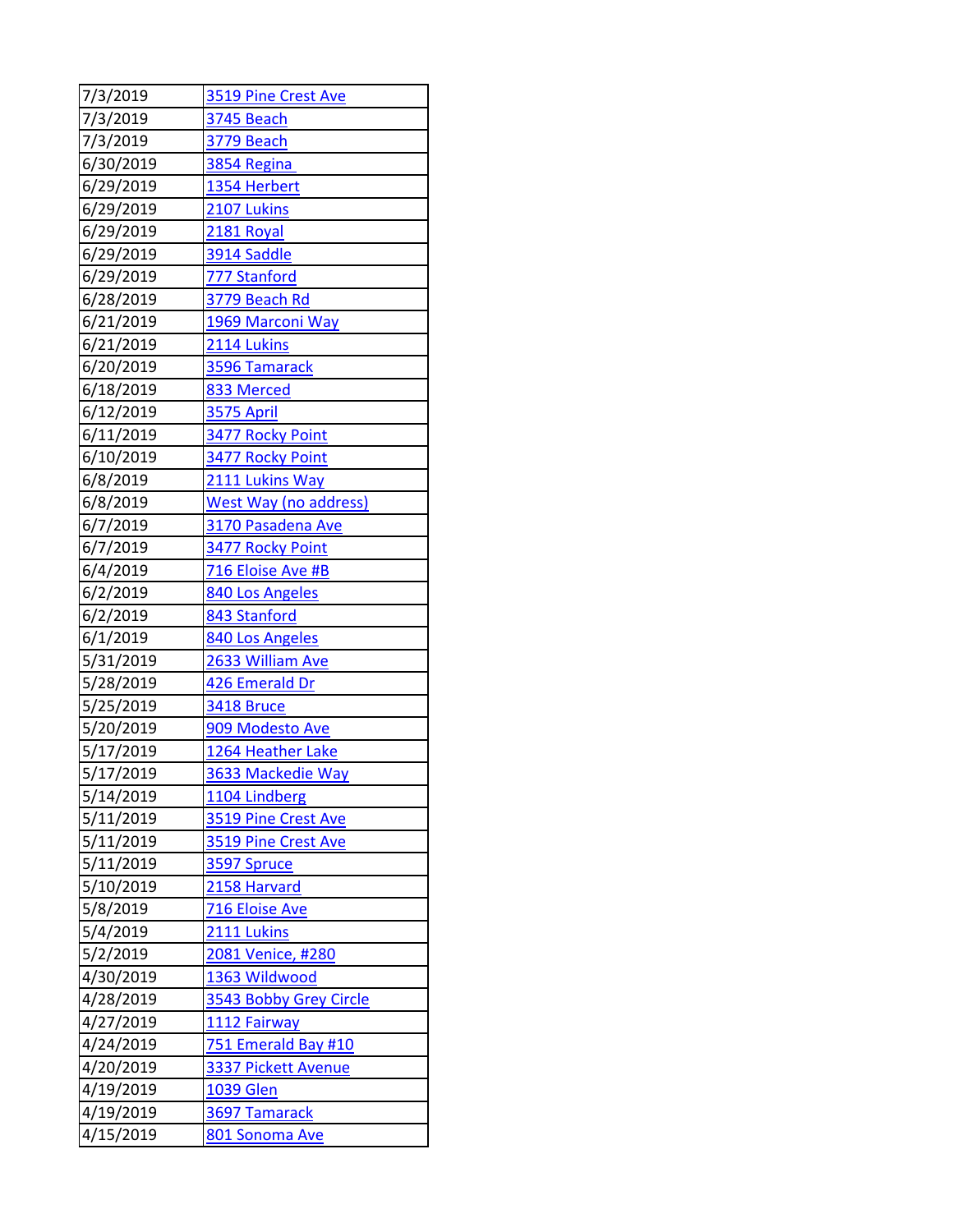| 7/3/2019  | 3519 Pine Crest Ave          |
|-----------|------------------------------|
| 7/3/2019  | <b>3745 Beach</b>            |
| 7/3/2019  | 3779 Beach                   |
| 6/30/2019 | 3854 Regina                  |
| 6/29/2019 | 1354 Herbert                 |
| 6/29/2019 | 2107 Lukins                  |
| 6/29/2019 | 2181 Royal                   |
| 6/29/2019 | 3914 Saddle                  |
| 6/29/2019 | 777 Stanford                 |
| 6/28/2019 | 3779 Beach Rd                |
| 6/21/2019 | 1969 Marconi Way             |
| 6/21/2019 | 2114 Lukins                  |
| 6/20/2019 | 3596 Tamarack                |
| 6/18/2019 | 833 Merced                   |
| 6/12/2019 | 3575 April                   |
| 6/11/2019 | 3477 Rocky Point             |
| 6/10/2019 | 3477 Rocky Point             |
| 6/8/2019  | 2111 Lukins Way              |
| 6/8/2019  | <b>West Way (no address)</b> |
| 6/7/2019  | 3170 Pasadena Ave            |
| 6/7/2019  | 3477 Rocky Point             |
| 6/4/2019  | 716 Eloise Ave #B            |
| 6/2/2019  | 840 Los Angeles              |
| 6/2/2019  | 843 Stanford                 |
| 6/1/2019  | 840 Los Angeles              |
| 5/31/2019 | 2633 William Ave             |
| 5/28/2019 | 426 Emerald Dr               |
| 5/25/2019 | 3418 Bruce                   |
| 5/20/2019 | 909 Modesto Ave              |
| 5/17/2019 | 1264 Heather Lake            |
| 5/17/2019 | 3633 Mackedie Way            |
| 5/14/2019 | 1104 Lindberg                |
| 5/11/2019 | 3519 Pine Crest Ave          |
| 5/11/2019 | 3519 Pine Crest Ave          |
| 5/11/2019 | 3597 Spruce                  |
| 5/10/2019 | 2158 Harvard                 |
| 5/8/2019  | 716 Eloise Ave               |
| 5/4/2019  | 2111 Lukins                  |
| 5/2/2019  | 2081 Venice, #280            |
| 4/30/2019 | 1363 Wildwood                |
| 4/28/2019 | 3543 Bobby Grey Circle       |
| 4/27/2019 | 1112 Fairway                 |
| 4/24/2019 | 751 Emerald Bay #10          |
| 4/20/2019 | 3337 Pickett Avenue          |
| 4/19/2019 | <b>1039 Glen</b>             |
| 4/19/2019 | 3697 Tamarack                |
| 4/15/2019 | 801 Sonoma Ave               |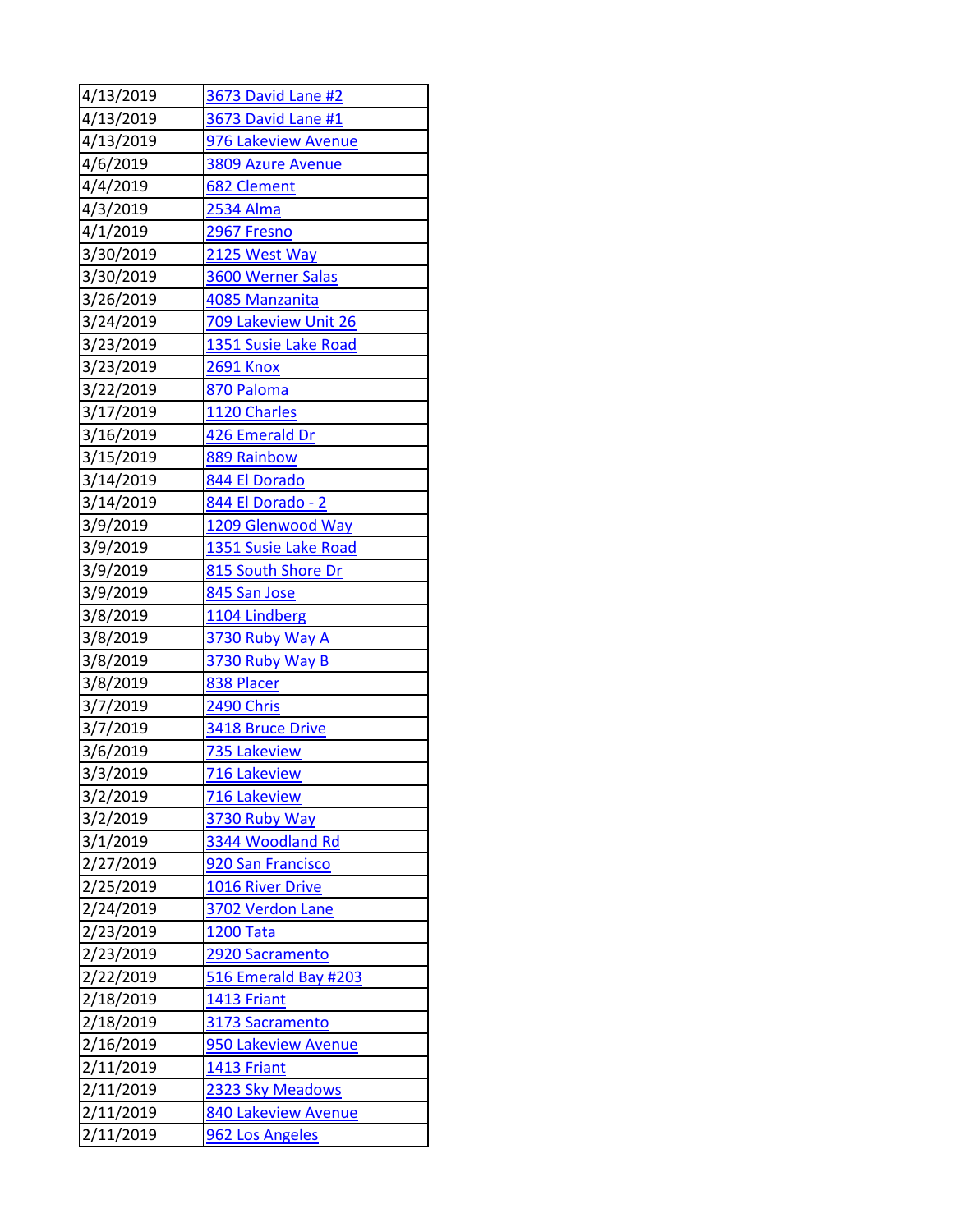| 4/13/2019              | <b>3673 David Lane #2</b>               |
|------------------------|-----------------------------------------|
| 4/13/2019              | 3673 David Lane #1                      |
| 4/13/2019              | 976 Lakeview Avenue                     |
| 4/6/2019               | 3809 Azure Avenue                       |
| 4/4/2019               | 682 Clement                             |
| 4/3/2019               | 2534 Alma                               |
| 4/1/2019               | 2967 Fresno                             |
| 3/30/2019              | 2125 West Way                           |
| 3/30/2019              | 3600 Werner Salas                       |
| 3/26/2019              | 4085 Manzanita                          |
| 3/24/2019              | 709 Lakeview Unit 26                    |
| 3/23/2019              | 1351 Susie Lake Road                    |
| 3/23/2019              | <b>2691 Knox</b>                        |
| 3/22/2019              | 870 Paloma                              |
| 3/17/2019              | 1120 Charles                            |
| 3/16/2019              | 426 Emerald Dr                          |
| 3/15/2019              | 889 Rainbow                             |
| 3/14/2019              | 844 El Dorado                           |
| 3/14/2019              | 844 El Dorado - 2                       |
| 3/9/2019               | 1209 Glenwood Way                       |
| 3/9/2019               | 1351 Susie Lake Road                    |
| 3/9/2019               | 815 South Shore Dr                      |
| 3/9/2019               | 845 San Jose                            |
| 3/8/2019               | 1104 Lindberg                           |
| 3/8/2019               | 3730 Ruby Way A                         |
| 3/8/2019               | 3730 Ruby Way B                         |
| 3/8/2019               | 838 Placer                              |
| 3/7/2019               | 2490 Chris                              |
| 3/7/2019               | 3418 Bruce Drive                        |
| 3/6/2019               | 735 Lakeview                            |
| 3/3/2019               | 716 Lakeview                            |
| 3/2/2019               | 716 Lakeview                            |
| 3/2/2019               | 3730 Ruby Way                           |
| 3/1/2019               | 3344 Woodland Rd                        |
| 2/27/2019              | 920 San Francisco                       |
| 2/25/2019              | <b>1016 River Drive</b>                 |
| 2/24/2019              | 3702 Verdon Lane                        |
| 2/23/2019              | <b>1200 Tata</b>                        |
| 2/23/2019<br>2/22/2019 | 2920 Sacramento<br>516 Emerald Bay #203 |
| 2/18/2019              | <b>1413 Friant</b>                      |
| 2/18/2019              | 3173 Sacramento                         |
| 2/16/2019              | 950 Lakeview Avenue                     |
| 2/11/2019              | 1413 Friant                             |
| 2/11/2019              | 2323 Sky Meadows                        |
| 2/11/2019              |                                         |
|                        | 840 Lakeview Avenue                     |
| 2/11/2019              | 962 Los Angeles                         |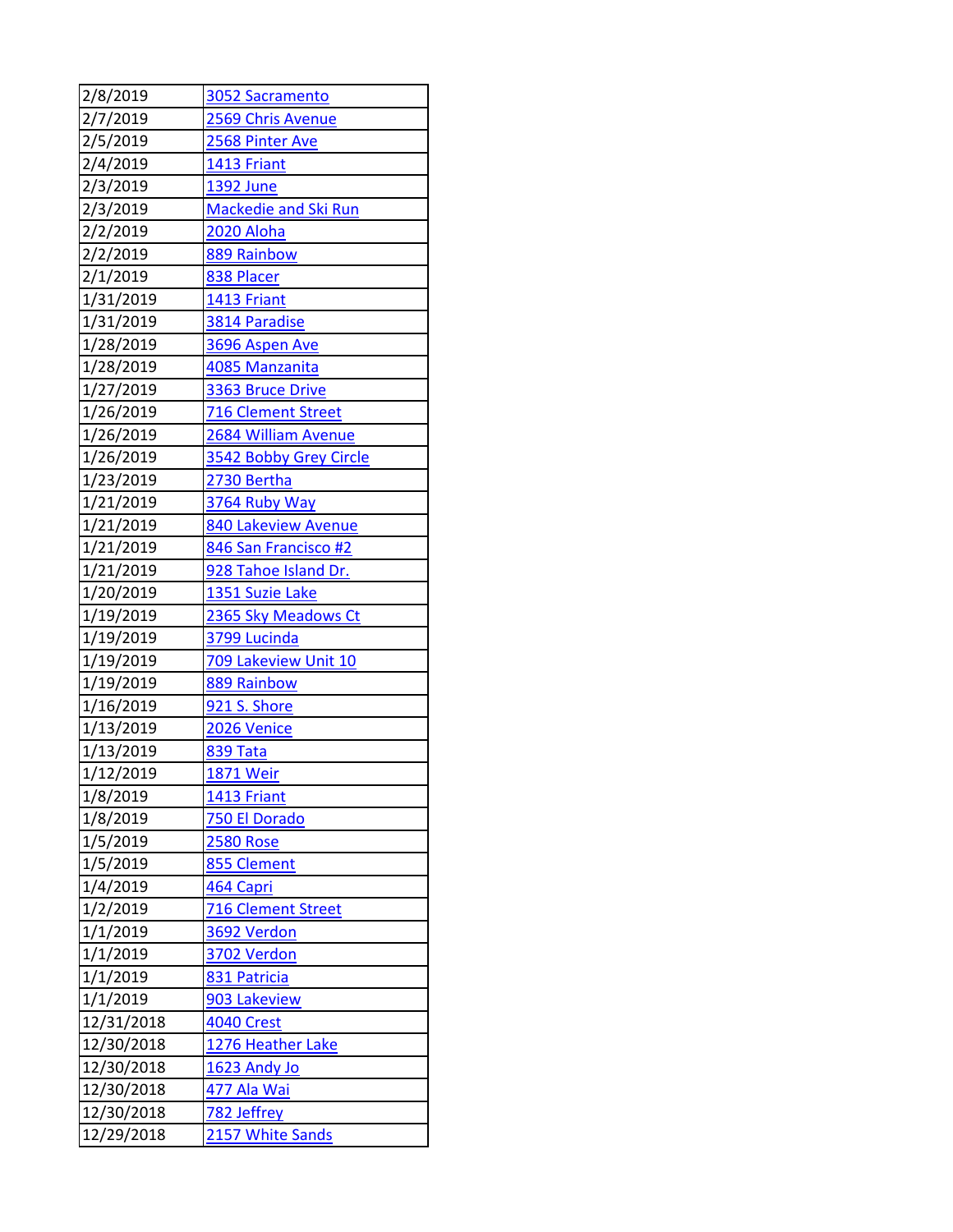| 2/8/2019   | 3052 Sacramento             |
|------------|-----------------------------|
| 2/7/2019   | 2569 Chris Avenue           |
| 2/5/2019   | 2568 Pinter Ave             |
| 2/4/2019   | 1413 Friant                 |
| 2/3/2019   | 1392 June                   |
| 2/3/2019   | <b>Mackedie and Ski Run</b> |
| 2/2/2019   | 2020 Aloha                  |
| 2/2/2019   | 889 Rainbow                 |
| 2/1/2019   | 838 Placer                  |
| 1/31/2019  | 1413 Friant                 |
| 1/31/2019  | 3814 Paradise               |
| 1/28/2019  | 3696 Aspen Ave              |
| 1/28/2019  | 4085 Manzanita              |
| 1/27/2019  | 3363 Bruce Drive            |
| 1/26/2019  | <b>716 Clement Street</b>   |
| 1/26/2019  | 2684 William Avenue         |
| 1/26/2019  | 3542 Bobby Grey Circle      |
| 1/23/2019  | 2730 Bertha                 |
| 1/21/2019  | 3764 Ruby Way               |
| 1/21/2019  | 840 Lakeview Avenue         |
| 1/21/2019  | 846 San Francisco #2        |
| 1/21/2019  | 928 Tahoe Island Dr.        |
| 1/20/2019  | 1351 Suzie Lake             |
| 1/19/2019  | 2365 Sky Meadows Ct         |
| 1/19/2019  | 3799 Lucinda                |
| 1/19/2019  | 709 Lakeview Unit 10        |
| 1/19/2019  | 889 Rainbow                 |
| 1/16/2019  | 921 S. Shore                |
| 1/13/2019  | 2026 Venice                 |
| 1/13/2019  | <b>839 Tata</b>             |
| 1/12/2019  | <b>1871 Weir</b>            |
| 1/8/2019   | <b>1413 Friant</b>          |
| 1/8/2019   | 750 El Dorado               |
| 1/5/2019   | <b>2580 Rose</b>            |
| 1/5/2019   | 855 Clement                 |
| 1/4/2019   | 464 Capri                   |
| 1/2/2019   | <b>716 Clement Street</b>   |
| 1/1/2019   | 3692 Verdon                 |
| 1/1/2019   | 3702 Verdon                 |
| 1/1/2019   | 831 Patricia                |
| 1/1/2019   | 903 Lakeview                |
| 12/31/2018 | <b>4040 Crest</b>           |
| 12/30/2018 | 1276 Heather Lake           |
| 12/30/2018 | 1623 Andy Jo                |
| 12/30/2018 | 477 Ala Wai                 |
| 12/30/2018 | 782 Jeffrey                 |
| 12/29/2018 | 2157 White Sands            |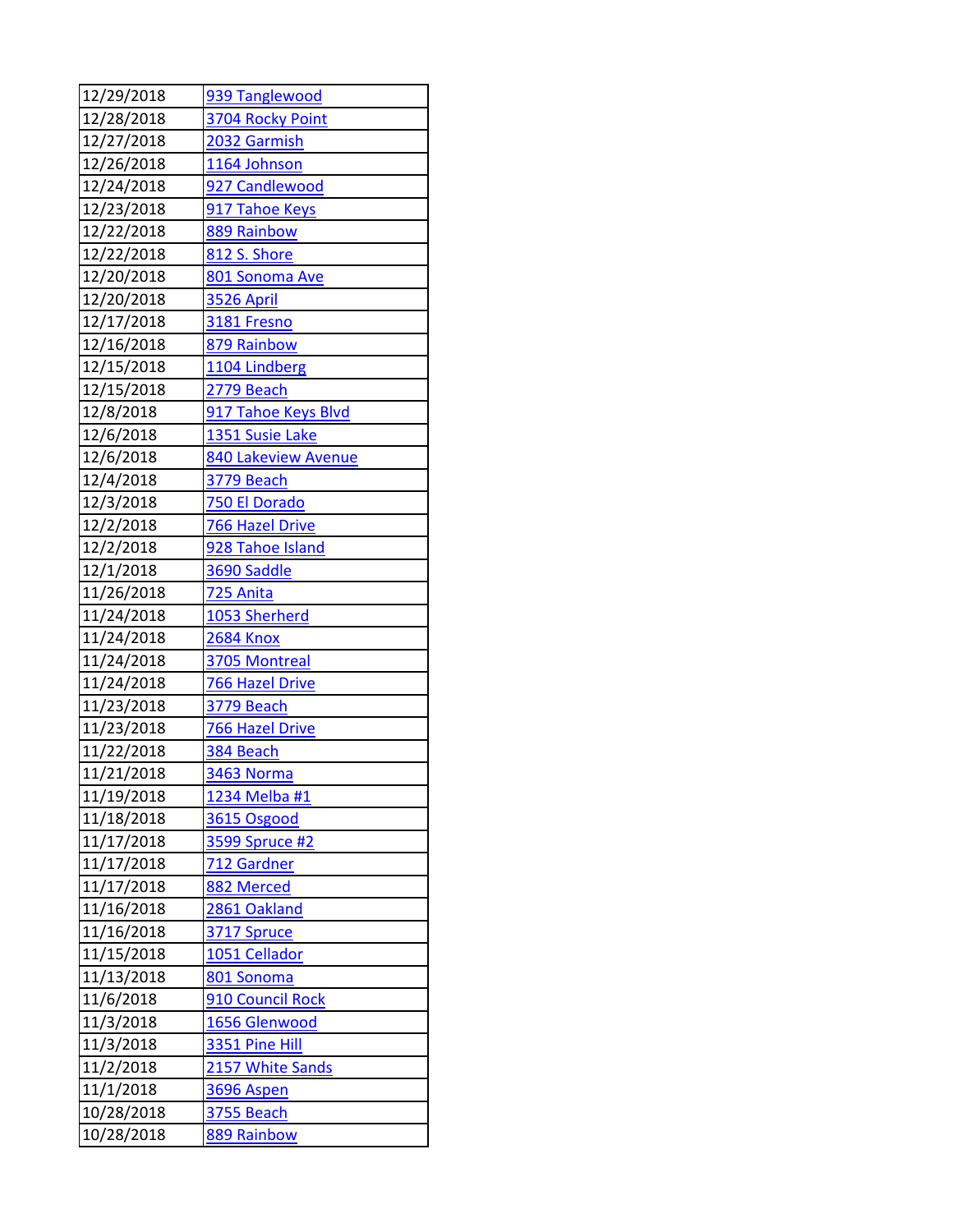| 12/29/2018 | 939 Tanglewood      |
|------------|---------------------|
| 12/28/2018 | 3704 Rocky Point    |
| 12/27/2018 | 2032 Garmish        |
| 12/26/2018 | 1164 Johnson        |
| 12/24/2018 | 927 Candlewood      |
| 12/23/2018 | 917 Tahoe Keys      |
| 12/22/2018 | 889 Rainbow         |
| 12/22/2018 | 812 S. Shore        |
| 12/20/2018 | 801 Sonoma Ave      |
| 12/20/2018 | <b>3526 April</b>   |
| 12/17/2018 | 3181 Fresno         |
| 12/16/2018 | 879 Rainbow         |
| 12/15/2018 | 1104 Lindberg       |
| 12/15/2018 | <b>2779 Beach</b>   |
| 12/8/2018  | 917 Tahoe Keys Blvd |
| 12/6/2018  | 1351 Susie Lake     |
| 12/6/2018  | 840 Lakeview Avenue |
| 12/4/2018  | 3779 Beach          |
| 12/3/2018  | 750 El Dorado       |
| 12/2/2018  | 766 Hazel Drive     |
| 12/2/2018  | 928 Tahoe Island    |
| 12/1/2018  | 3690 Saddle         |
| 11/26/2018 | 725 Anita           |
| 11/24/2018 | 1053 Sherherd       |
| 11/24/2018 | <b>2684 Knox</b>    |
| 11/24/2018 | 3705 Montreal       |
| 11/24/2018 | 766 Hazel Drive     |
| 11/23/2018 | <b>3779 Beach</b>   |
| 11/23/2018 | 766 Hazel Drive     |
| 11/22/2018 | 384 Beach           |
| 11/21/2018 | 3463 Norma          |
| 11/19/2018 | 1234 Melba #1       |
| 11/18/2018 | 3615 Osgood         |
| 11/17/2018 | 3599 Spruce #2      |
| 11/17/2018 | 712 Gardner         |
| 11/17/2018 | 882 Merced          |
| 11/16/2018 | 2861 Oakland        |
| 11/16/2018 | 3717 Spruce         |
| 11/15/2018 | 1051 Cellador       |
| 11/13/2018 | 801 Sonoma          |
| 11/6/2018  | 910 Council Rock    |
| 11/3/2018  | 1656 Glenwood       |
| 11/3/2018  | 3351 Pine Hill      |
| 11/2/2018  | 2157 White Sands    |
| 11/1/2018  | <b>3696 Aspen</b>   |
| 10/28/2018 | <b>3755 Beach</b>   |
| 10/28/2018 | 889 Rainbow         |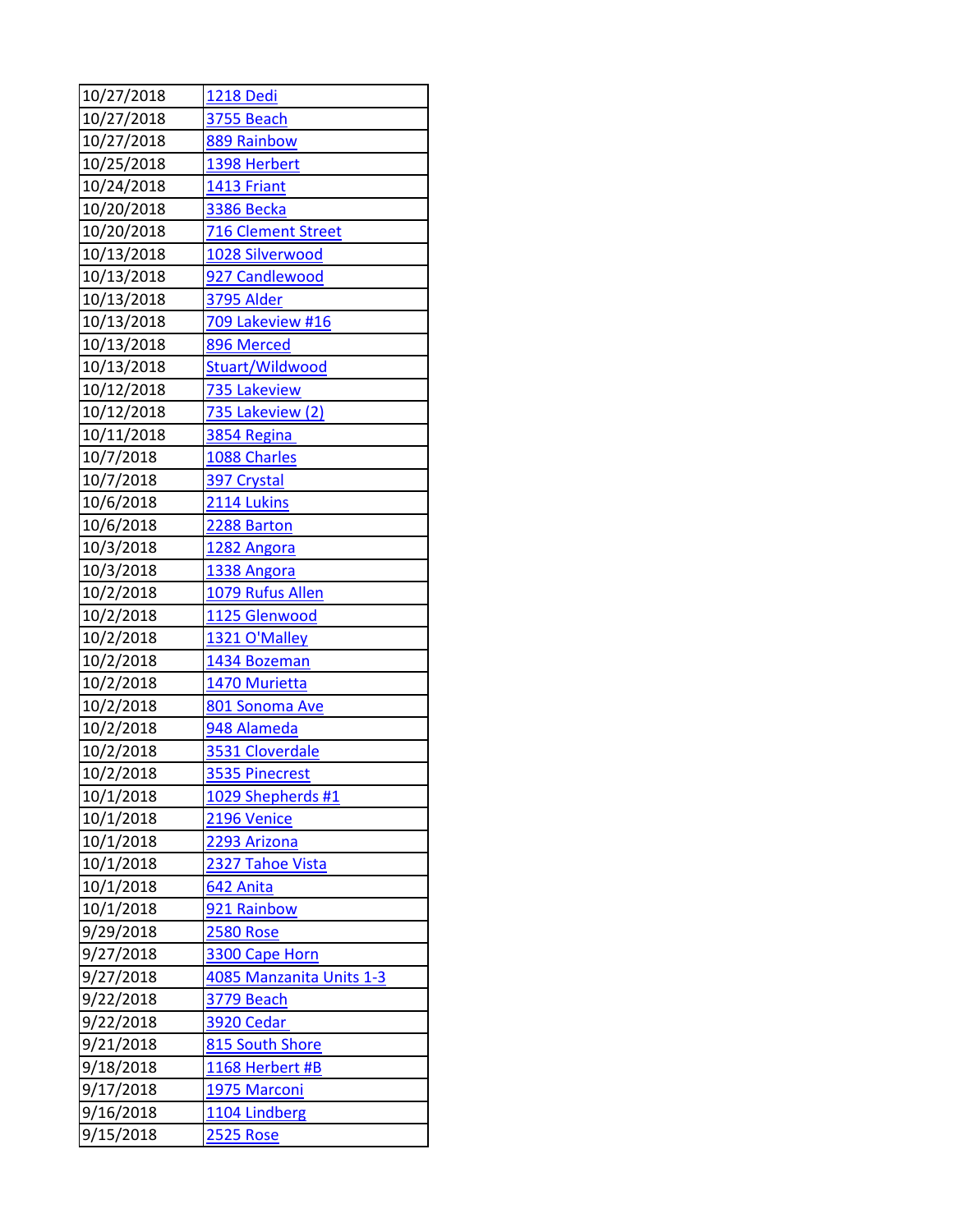| 10/27/2018 | 1218 Dedi                 |
|------------|---------------------------|
| 10/27/2018 | 3755 Beach                |
| 10/27/2018 | 889 Rainbow               |
| 10/25/2018 | 1398 Herbert              |
| 10/24/2018 | 1413 Friant               |
| 10/20/2018 | <b>3386 Becka</b>         |
| 10/20/2018 | <b>716 Clement Street</b> |
| 10/13/2018 | 1028 Silverwood           |
| 10/13/2018 | 927 Candlewood            |
| 10/13/2018 | <b>3795 Alder</b>         |
| 10/13/2018 | <b>709 Lakeview #16</b>   |
| 10/13/2018 | 896 Merced                |
| 10/13/2018 | Stuart/Wildwood           |
| 10/12/2018 | 735 Lakeview              |
| 10/12/2018 | 735 Lakeview (2)          |
| 10/11/2018 | 3854 Regina               |
| 10/7/2018  | 1088 Charles              |
| 10/7/2018  | 397 Crystal               |
| 10/6/2018  | 2114 Lukins               |
| 10/6/2018  | 2288 Barton               |
| 10/3/2018  | 1282 Angora               |
| 10/3/2018  | 1338 Angora               |
| 10/2/2018  | <b>1079 Rufus Allen</b>   |
| 10/2/2018  | 1125 Glenwood             |
| 10/2/2018  | 1321 O'Malley             |
| 10/2/2018  | 1434 Bozeman              |
| 10/2/2018  | 1470 Murietta             |
| 10/2/2018  | 801 Sonoma Ave            |
| 10/2/2018  | 948 Alameda               |
| 10/2/2018  | 3531 Cloverdale           |
| 10/2/2018  | 3535 Pinecrest            |
| 10/1/2018  | 1029 Shepherds #1         |
| 10/1/2018  | 2196 Venice               |
| 10/1/2018  | 2293 Arizona              |
| 10/1/2018  | 2327 Tahoe Vista          |
| 10/1/2018  | 642 Anita                 |
| 10/1/2018  | 921 Rainbow               |
| 9/29/2018  | <b>2580 Rose</b>          |
| 9/27/2018  | 3300 Cape Horn            |
| 9/27/2018  | 4085 Manzanita Units 1-3  |
| 9/22/2018  | 3779 Beach                |
| 9/22/2018  | <b>3920 Cedar</b>         |
| 9/21/2018  | 815 South Shore           |
| 9/18/2018  | 1168 Herbert #B           |
| 9/17/2018  | 1975 Marconi              |
| 9/16/2018  | 1104 Lindberg             |
| 9/15/2018  | <b>2525 Rose</b>          |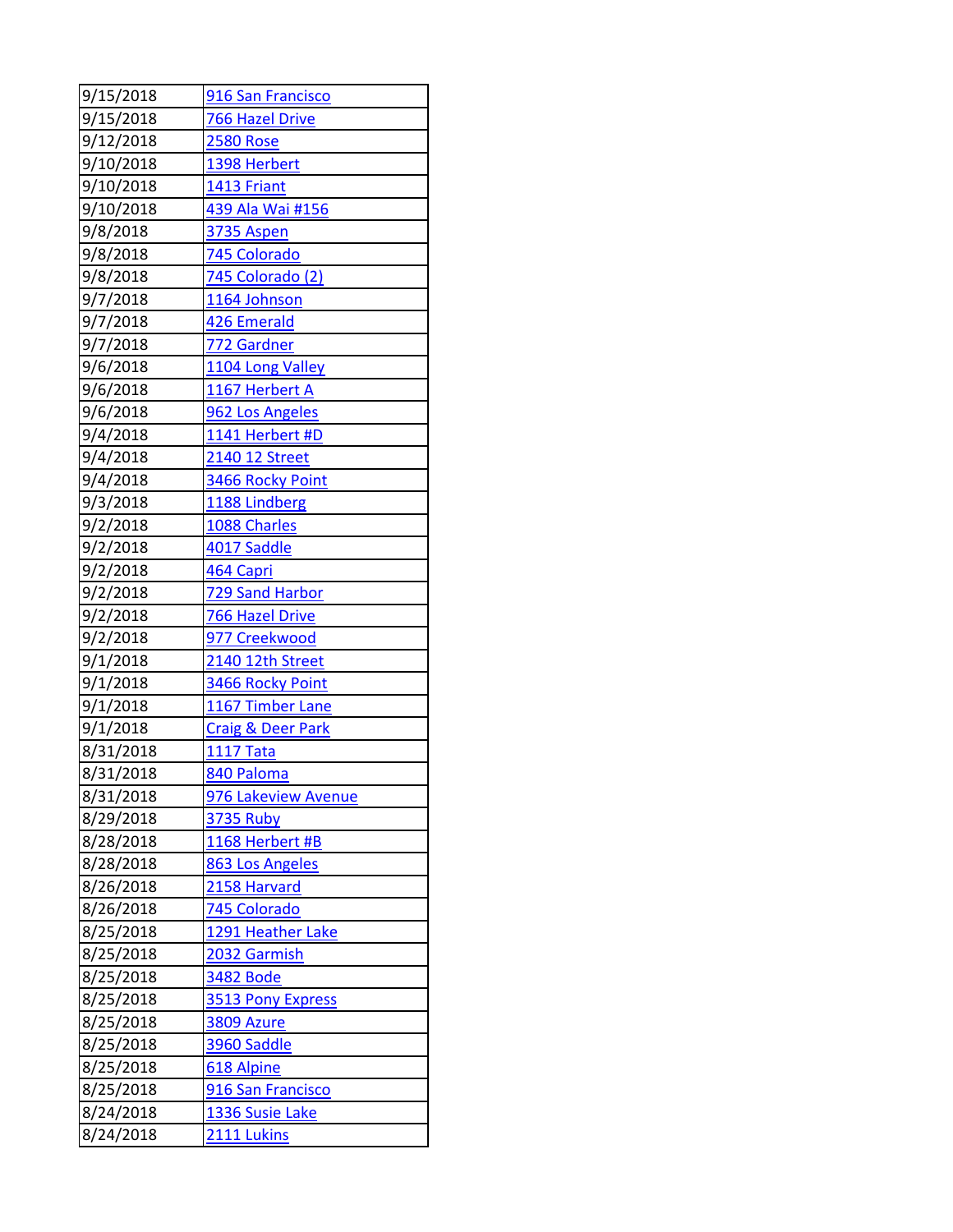| 9/15/2018 | 916 San Francisco            |
|-----------|------------------------------|
| 9/15/2018 | <b>766 Hazel Drive</b>       |
| 9/12/2018 | <b>2580 Rose</b>             |
| 9/10/2018 | 1398 Herbert                 |
| 9/10/2018 | 1413 Friant                  |
| 9/10/2018 | 439 Ala Wai #156             |
| 9/8/2018  | 3735 Aspen                   |
| 9/8/2018  | 745 Colorado                 |
| 9/8/2018  | 745 Colorado (2)             |
| 9/7/2018  | 1164 Johnson                 |
| 9/7/2018  | 426 Emerald                  |
| 9/7/2018  | 772 Gardner                  |
| 9/6/2018  | 1104 Long Valley             |
| 9/6/2018  | 1167 Herbert A               |
| 9/6/2018  | 962 Los Angeles              |
| 9/4/2018  | 1141 Herbert #D              |
| 9/4/2018  | 2140 12 Street               |
| 9/4/2018  | 3466 Rocky Point             |
| 9/3/2018  | 1188 Lindberg                |
| 9/2/2018  | 1088 Charles                 |
| 9/2/2018  | 4017 Saddle                  |
| 9/2/2018  | 464 Capri                    |
| 9/2/2018  | 729 Sand Harbor              |
| 9/2/2018  | 766 Hazel Drive              |
| 9/2/2018  | 977 Creekwood                |
| 9/1/2018  | 2140 12th Street             |
| 9/1/2018  | 3466 Rocky Point             |
| 9/1/2018  | 1167 Timber Lane             |
| 9/1/2018  | <b>Craig &amp; Deer Park</b> |
| 8/31/2018 | <b>1117 Tata</b>             |
| 8/31/2018 | 840 Paloma                   |
| 8/31/2018 | 976 Lakeview Avenue          |
| 8/29/2018 | <b>3735 Ruby</b>             |
| 8/28/2018 | 1168 Herbert #B              |
| 8/28/2018 | 863 Los Angeles              |
| 8/26/2018 | 2158 Harvard                 |
| 8/26/2018 | 745 Colorado                 |
| 8/25/2018 | 1291 Heather Lake            |
| 8/25/2018 | 2032 Garmish                 |
| 8/25/2018 | <b>3482 Bode</b>             |
| 8/25/2018 | 3513 Pony Express            |
| 8/25/2018 | <b>3809 Azure</b>            |
| 8/25/2018 | 3960 Saddle                  |
| 8/25/2018 | 618 Alpine                   |
| 8/25/2018 | 916 San Francisco            |
| 8/24/2018 | 1336 Susie Lake              |
| 8/24/2018 | 2111 Lukins                  |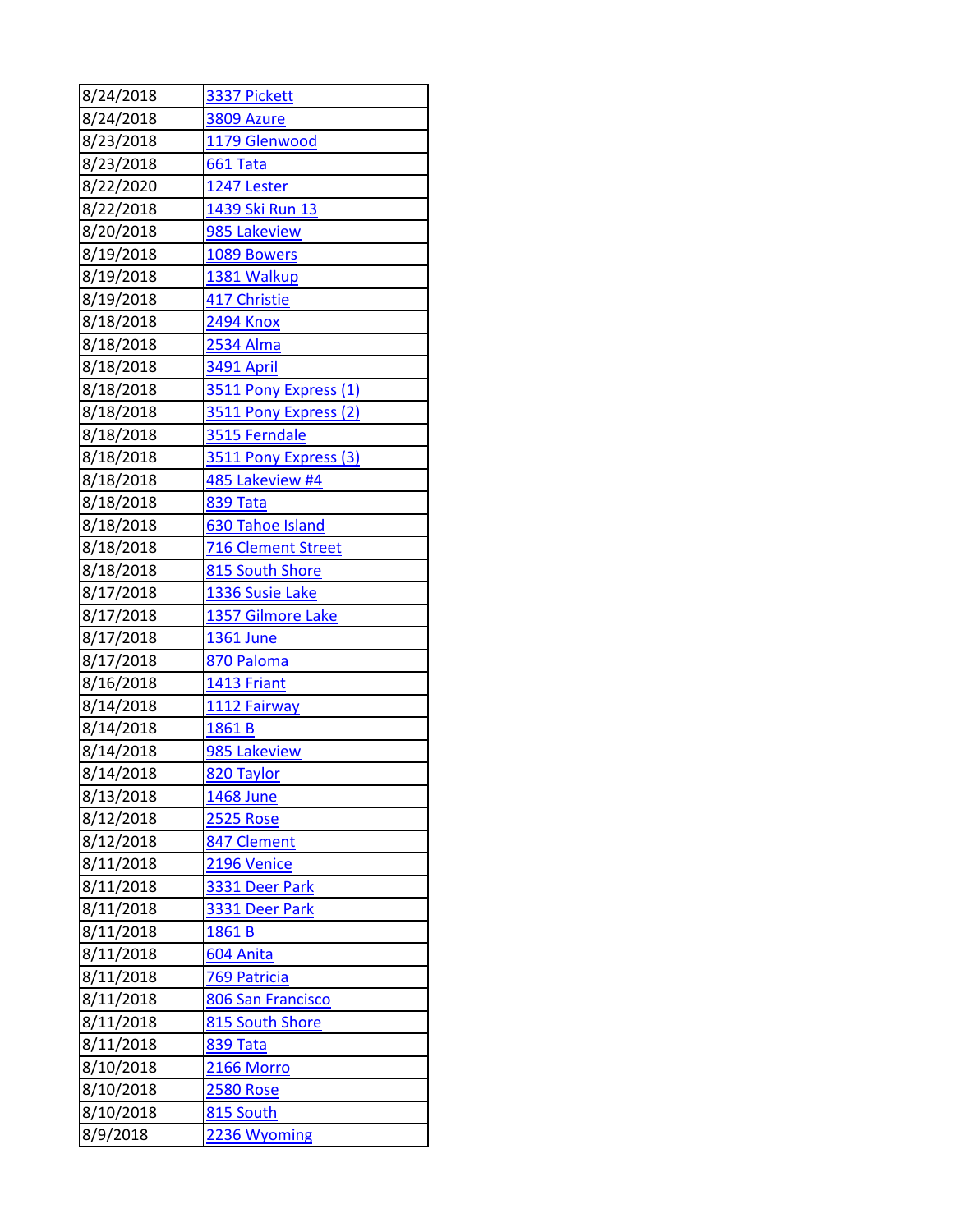| 8/24/2018 | 3337 Pickett          |
|-----------|-----------------------|
| 8/24/2018 | <b>3809 Azure</b>     |
| 8/23/2018 | 1179 Glenwood         |
| 8/23/2018 | 661 Tata              |
| 8/22/2020 | 1247 Lester           |
| 8/22/2018 | 1439 Ski Run 13       |
| 8/20/2018 | 985 Lakeview          |
| 8/19/2018 | 1089 Bowers           |
| 8/19/2018 | 1381 Walkup           |
| 8/19/2018 | 417 Christie          |
| 8/18/2018 | <b>2494 Knox</b>      |
| 8/18/2018 | 2534 Alma             |
| 8/18/2018 | 3491 April            |
| 8/18/2018 | 3511 Pony Express (1) |
| 8/18/2018 | 3511 Pony Express (2) |
| 8/18/2018 | 3515 Ferndale         |
| 8/18/2018 | 3511 Pony Express (3) |
| 8/18/2018 | 485 Lakeview #4       |
| 8/18/2018 | 839 Tata              |
| 8/18/2018 | 630 Tahoe Island      |
| 8/18/2018 | 716 Clement Street    |
| 8/18/2018 | 815 South Shore       |
| 8/17/2018 | 1336 Susie Lake       |
| 8/17/2018 | 1357 Gilmore Lake     |
| 8/17/2018 | 1361 June             |
| 8/17/2018 | 870 Paloma            |
| 8/16/2018 | 1413 Friant           |
| 8/14/2018 | 1112 Fairway          |
| 8/14/2018 | 1861B                 |
| 8/14/2018 | 985 Lakeview          |
| 8/14/2018 | 820 Taylor            |
| 8/13/2018 | 1468 June             |
| 8/12/2018 | <b>2525 Rose</b>      |
| 8/12/2018 | 847 Clement           |
| 8/11/2018 | 2196 Venice           |
| 8/11/2018 | 3331 Deer Park        |
| 8/11/2018 | 3331 Deer Park        |
| 8/11/2018 | 1861B                 |
| 8/11/2018 | 604 Anita             |
| 8/11/2018 | <b>769 Patricia</b>   |
| 8/11/2018 | 806 San Francisco     |
| 8/11/2018 | 815 South Shore       |
| 8/11/2018 | <b>839 Tata</b>       |
| 8/10/2018 | 2166 Morro            |
| 8/10/2018 | <b>2580 Rose</b>      |
| 8/10/2018 | 815 South             |
| 8/9/2018  | 2236 Wyoming          |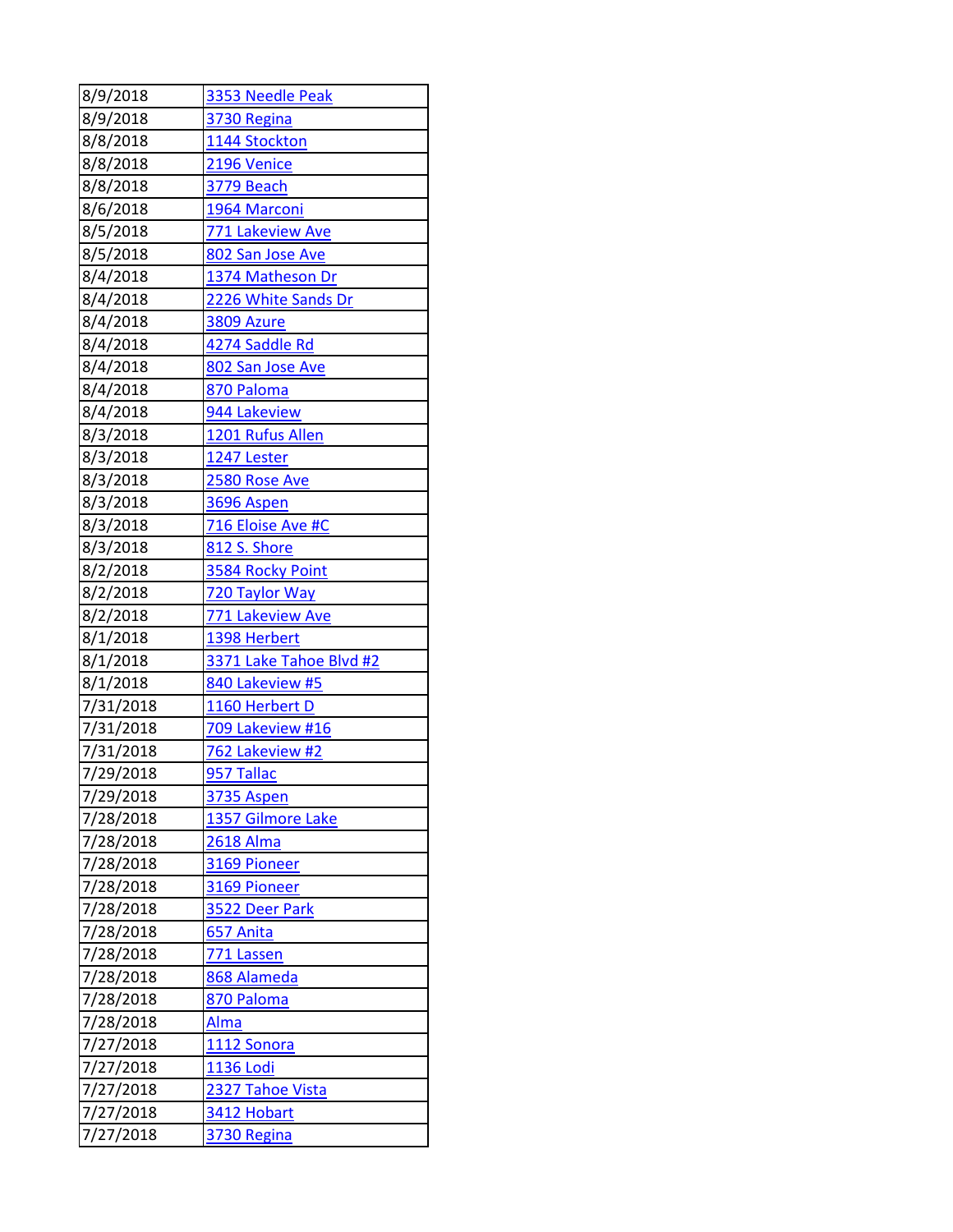| 8/9/2018  | 3353 Needle Peak        |
|-----------|-------------------------|
| 8/9/2018  | 3730 Regina             |
| 8/8/2018  | 1144 Stockton           |
| 8/8/2018  | 2196 Venice             |
| 8/8/2018  | <b>3779 Beach</b>       |
| 8/6/2018  | 1964 Marconi            |
| 8/5/2018  | 771 Lakeview Ave        |
| 8/5/2018  | 802 San Jose Ave        |
| 8/4/2018  | 1374 Matheson Dr        |
| 8/4/2018  | 2226 White Sands Dr     |
| 8/4/2018  | <b>3809 Azure</b>       |
| 8/4/2018  | 4274 Saddle Rd          |
| 8/4/2018  | 802 San Jose Ave        |
| 8/4/2018  | 870 Paloma              |
| 8/4/2018  | 944 Lakeview            |
| 8/3/2018  | 1201 Rufus Allen        |
| 8/3/2018  | 1247 Lester             |
| 8/3/2018  | 2580 Rose Ave           |
| 8/3/2018  | 3696 Aspen              |
| 8/3/2018  | 716 Eloise Ave #C       |
| 8/3/2018  | 812 S. Shore            |
| 8/2/2018  | 3584 Rocky Point        |
| 8/2/2018  | 720 Taylor Way          |
| 8/2/2018  | 771 Lakeview Ave        |
| 8/1/2018  | 1398 Herbert            |
| 8/1/2018  | 3371 Lake Tahoe Blvd #2 |
| 8/1/2018  | 840 Lakeview #5         |
| 7/31/2018 | 1160 Herbert D          |
| 7/31/2018 | 709 Lakeview #16        |
| 7/31/2018 | 762 Lakeview #2         |
| 7/29/2018 | 957 Tallac              |
| 7/29/2018 | <b>3735 Aspen</b>       |
| 7/28/2018 | 1357 Gilmore Lake       |
| 7/28/2018 | <b>2618 Alma</b>        |
| 7/28/2018 | 3169 Pioneer            |
| 7/28/2018 | 3169 Pioneer            |
| 7/28/2018 | 3522 Deer Park          |
| 7/28/2018 | 657 Anita               |
| 7/28/2018 | <b>771 Lassen</b>       |
| 7/28/2018 | 868 Alameda             |
| 7/28/2018 | 870 Paloma              |
| 7/28/2018 | Alma                    |
| 7/27/2018 | 1112 Sonora             |
| 7/27/2018 | <b>1136 Lodi</b>        |
| 7/27/2018 | 2327 Tahoe Vista        |
| 7/27/2018 | 3412 Hobart             |
| 7/27/2018 | 3730 Regina             |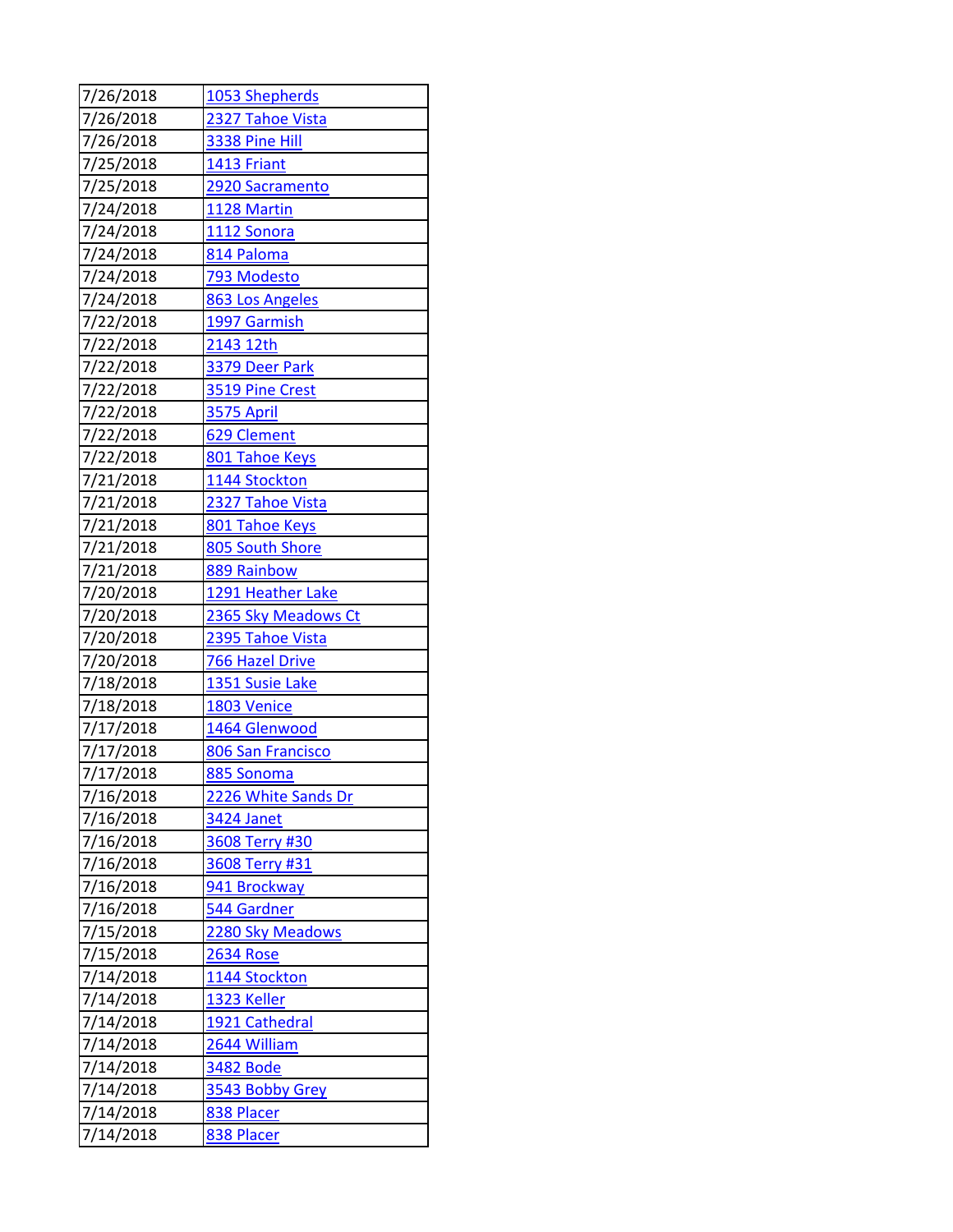| 7/26/2018 | 1053 Shepherds         |
|-----------|------------------------|
| 7/26/2018 | 2327 Tahoe Vista       |
| 7/26/2018 | 3338 Pine Hill         |
| 7/25/2018 | 1413 Friant            |
| 7/25/2018 | 2920 Sacramento        |
| 7/24/2018 | 1128 Martin            |
| 7/24/2018 | 1112 Sonora            |
| 7/24/2018 | 814 Paloma             |
| 7/24/2018 | 793 Modesto            |
| 7/24/2018 | 863 Los Angeles        |
| 7/22/2018 | 1997 Garmish           |
| 7/22/2018 | 2143 12th              |
| 7/22/2018 | 3379 Deer Park         |
| 7/22/2018 | 3519 Pine Crest        |
| 7/22/2018 | <b>3575 April</b>      |
| 7/22/2018 | 629 Clement            |
| 7/22/2018 | 801 Tahoe Keys         |
| 7/21/2018 | 1144 Stockton          |
| 7/21/2018 | 2327 Tahoe Vista       |
| 7/21/2018 | 801 Tahoe Keys         |
| 7/21/2018 | 805 South Shore        |
| 7/21/2018 | 889 Rainbow            |
| 7/20/2018 | 1291 Heather Lake      |
| 7/20/2018 | 2365 Sky Meadows Ct    |
| 7/20/2018 | 2395 Tahoe Vista       |
| 7/20/2018 | <b>766 Hazel Drive</b> |
| 7/18/2018 | 1351 Susie Lake        |
| 7/18/2018 | 1803 Venice            |
| 7/17/2018 | 1464 Glenwood          |
| 7/17/2018 | 806 San Francisco      |
| 7/17/2018 | 885 Sonoma             |
| 7/16/2018 | 2226 White Sands Dr    |
| 7/16/2018 | 3424 Janet             |
| 7/16/2018 | 3608 Terry #30         |
| 7/16/2018 | 3608 Terry #31         |
| 7/16/2018 | 941 Brockway           |
| 7/16/2018 | 544 Gardner            |
| 7/15/2018 | 2280 Sky Meadows       |
| 7/15/2018 | <b>2634 Rose</b>       |
| 7/14/2018 | 1144 Stockton          |
| 7/14/2018 | 1323 Keller            |
| 7/14/2018 | 1921 Cathedral         |
| 7/14/2018 | 2644 William           |
| 7/14/2018 | <b>3482 Bode</b>       |
| 7/14/2018 | 3543 Bobby Grey        |
| 7/14/2018 | 838 Placer             |
| 7/14/2018 | 838 Placer             |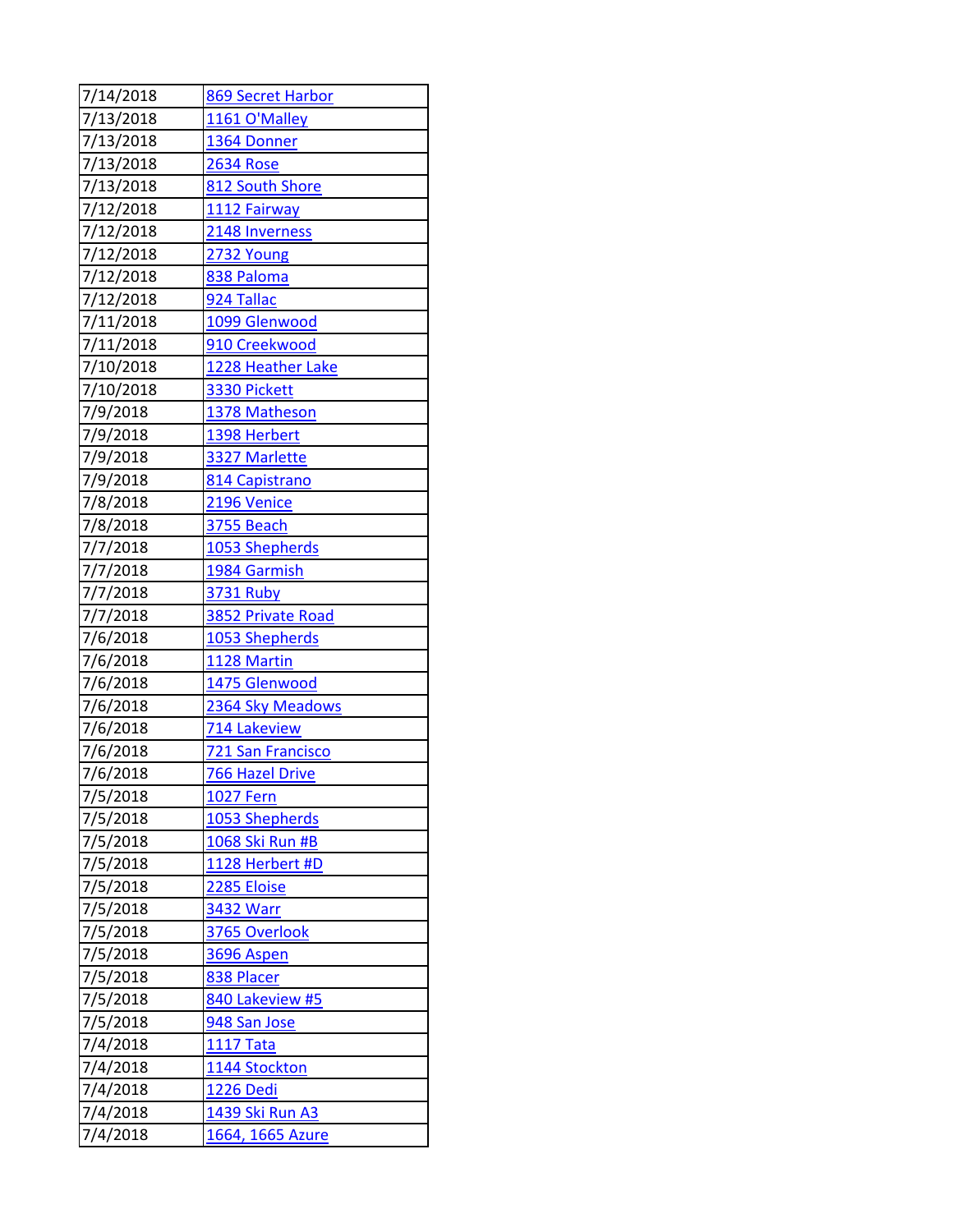| 7/14/2018            | 869 Secret Harbor                |
|----------------------|----------------------------------|
| 7/13/2018            | 1161 O'Malley                    |
| 7/13/2018            | 1364 Donner                      |
| 7/13/2018            | <b>2634 Rose</b>                 |
| 7/13/2018            | 812 South Shore                  |
| 7/12/2018            | 1112 Fairway                     |
| 7/12/2018            | 2148 Inverness                   |
| 7/12/2018            | 2732 Young                       |
| 7/12/2018            | 838 Paloma                       |
| 7/12/2018            | 924 Tallac                       |
| 7/11/2018            | 1099 Glenwood                    |
| 7/11/2018            | 910 Creekwood                    |
| 7/10/2018            | 1228 Heather Lake                |
| 7/10/2018            | 3330 Pickett                     |
| 7/9/2018             | 1378 Matheson                    |
| 7/9/2018             | 1398 Herbert                     |
| 7/9/2018             | 3327 Marlette                    |
| 7/9/2018             | 814 Capistrano                   |
| 7/8/2018             | 2196 Venice                      |
| 7/8/2018             | 3755 Beach                       |
| 7/7/2018             | 1053 Shepherds                   |
| 7/7/2018             | 1984 Garmish                     |
| 7/7/2018             | <b>3731 Ruby</b>                 |
| 7/7/2018             | 3852 Private Road                |
| 7/6/2018             | 1053 Shepherds                   |
| 7/6/2018             | 1128 Martin                      |
| 7/6/2018             | 1475 Glenwood                    |
| 7/6/2018             | 2364 Sky Meadows                 |
| 7/6/2018             | 714 Lakeview                     |
| 7/6/2018             | <b>721 San Francisco</b>         |
| 7/6/2018             | <b>766 Hazel Drive</b>           |
| 7/5/2018             | <u>1027 Fern</u>                 |
| 7/5/2018             | 1053 Shepherds                   |
| 7/5/2018             | 1068 Ski Run #B                  |
| 7/5/2018             | 1128 Herbert #D                  |
| 7/5/2018             | 2285 Eloise                      |
| 7/5/2018             | 3432 Warr                        |
| 7/5/2018             | 3765 Overlook                    |
| 7/5/2018             | 3696 Aspen                       |
| 7/5/2018<br>7/5/2018 | 838 Placer                       |
| 7/5/2018             | 840 Lakeview #5                  |
|                      | 948 San Jose<br><b>1117 Tata</b> |
| 7/4/2018<br>7/4/2018 | 1144 Stockton                    |
| 7/4/2018             |                                  |
| 7/4/2018             | 1226 Dedi                        |
|                      | <u>1439 Ski Run A3</u>           |
| 7/4/2018             | 1664, 1665 Azure                 |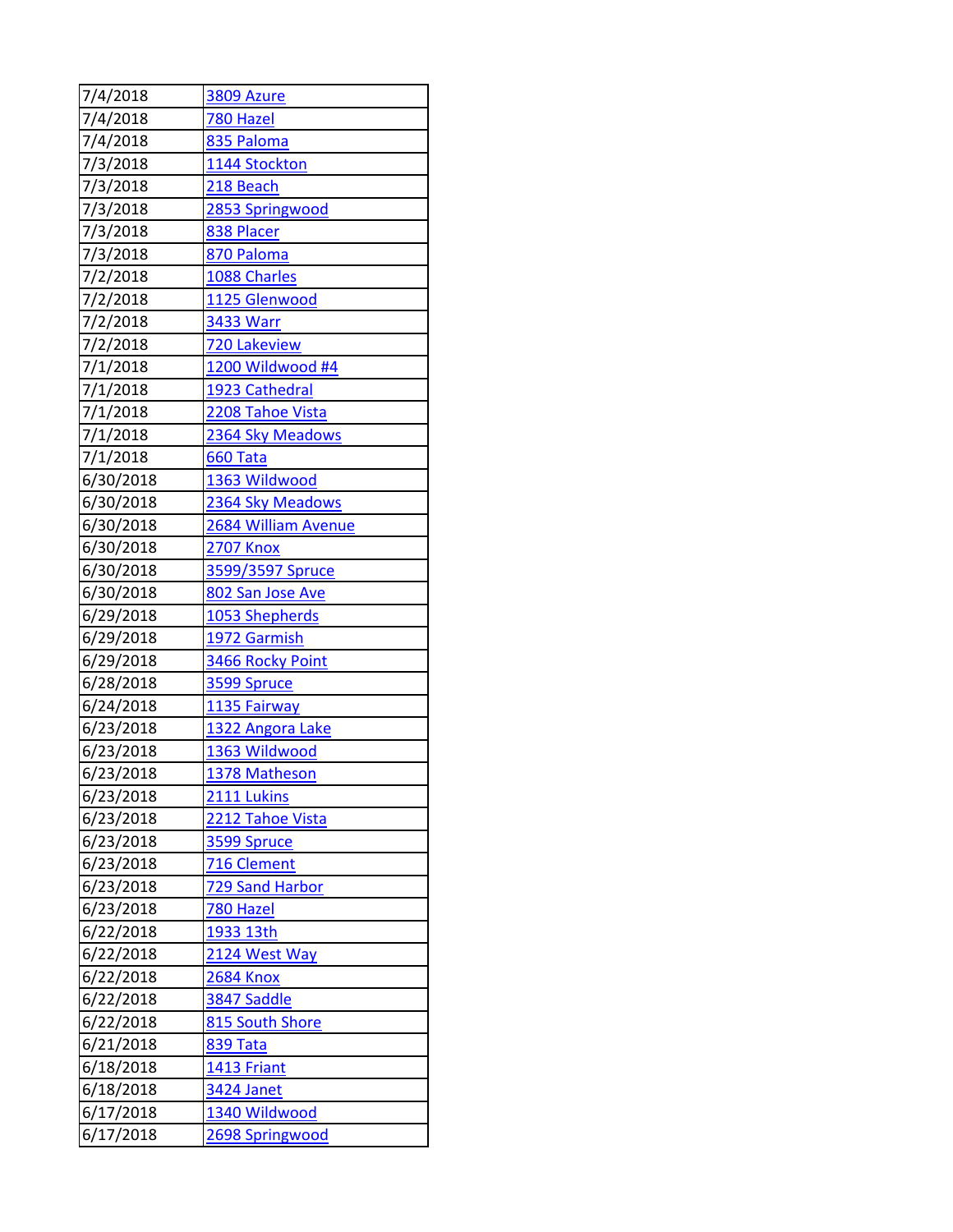| 7/4/2018  | 3809 Azure          |
|-----------|---------------------|
| 7/4/2018  | 780 Hazel           |
| 7/4/2018  | 835 Paloma          |
| 7/3/2018  | 1144 Stockton       |
| 7/3/2018  | 218 Beach           |
| 7/3/2018  | 2853 Springwood     |
| 7/3/2018  | 838 Placer          |
| 7/3/2018  | 870 Paloma          |
| 7/2/2018  | 1088 Charles        |
| 7/2/2018  | 1125 Glenwood       |
| 7/2/2018  | 3433 Warr           |
| 7/2/2018  | <b>720 Lakeview</b> |
| 7/1/2018  | 1200 Wildwood #4    |
| 7/1/2018  | 1923 Cathedral      |
| 7/1/2018  | 2208 Tahoe Vista    |
| 7/1/2018  | 2364 Sky Meadows    |
| 7/1/2018  | 660 Tata            |
| 6/30/2018 | 1363 Wildwood       |
| 6/30/2018 | 2364 Sky Meadows    |
| 6/30/2018 | 2684 William Avenue |
| 6/30/2018 | <b>2707 Knox</b>    |
| 6/30/2018 | 3599/3597 Spruce    |
| 6/30/2018 | 802 San Jose Ave    |
| 6/29/2018 | 1053 Shepherds      |
| 6/29/2018 | 1972 Garmish        |
| 6/29/2018 | 3466 Rocky Point    |
| 6/28/2018 | 3599 Spruce         |
| 6/24/2018 | 1135 Fairway        |
| 6/23/2018 | 1322 Angora Lake    |
| 6/23/2018 | 1363 Wildwood       |
| 6/23/2018 | 1378 Matheson       |
| 6/23/2018 | 2111 Lukins         |
| 6/23/2018 | 2212 Tahoe Vista    |
| 6/23/2018 | 3599 Spruce         |
| 6/23/2018 | 716 Clement         |
| 6/23/2018 | 729 Sand Harbor     |
| 6/23/2018 | <u>780 Hazel</u>    |
| 6/22/2018 | 1933 13th           |
| 6/22/2018 | 2124 West Way       |
| 6/22/2018 | <b>2684 Knox</b>    |
| 6/22/2018 | 3847 Saddle         |
| 6/22/2018 | 815 South Shore     |
| 6/21/2018 | <u>839 Tata</u>     |
| 6/18/2018 | 1413 Friant         |
| 6/18/2018 | 3424 Janet          |
| 6/17/2018 | 1340 Wildwood       |
| 6/17/2018 | 2698 Springwood     |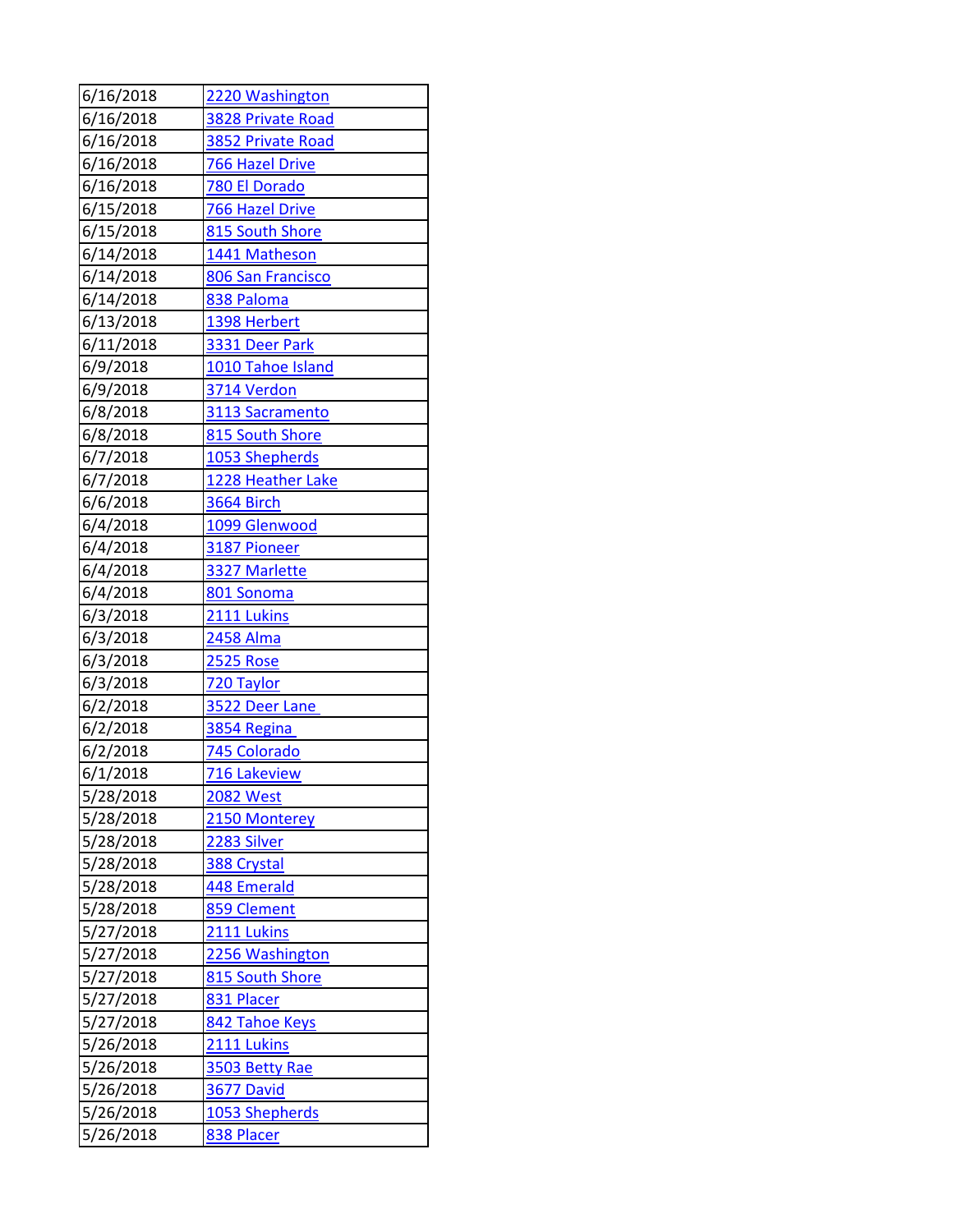| 6/16/2018              | 2220 Washington               |
|------------------------|-------------------------------|
| 6/16/2018              | 3828 Private Road             |
| 6/16/2018              | 3852 Private Road             |
| 6/16/2018              | 766 Hazel Drive               |
| 6/16/2018              | 780 El Dorado                 |
| 6/15/2018              | 766 Hazel Drive               |
| 6/15/2018              | 815 South Shore               |
| 6/14/2018              | 1441 Matheson                 |
| 6/14/2018              | 806 San Francisco             |
| 6/14/2018              | 838 Paloma                    |
| 6/13/2018              | 1398 Herbert                  |
| 6/11/2018              | 3331 Deer Park                |
| 6/9/2018               | 1010 Tahoe Island             |
| 6/9/2018               | 3714 Verdon                   |
| 6/8/2018               | 3113 Sacramento               |
| 6/8/2018               | 815 South Shore               |
| 6/7/2018               | 1053 Shepherds                |
| 6/7/2018               | 1228 Heather Lake             |
| 6/6/2018               | 3664 Birch                    |
| 6/4/2018               | 1099 Glenwood                 |
| 6/4/2018               | 3187 Pioneer                  |
| 6/4/2018               | 3327 Marlette                 |
| 6/4/2018               | 801 Sonoma                    |
| 6/3/2018               | 2111 Lukins                   |
| 6/3/2018               | 2458 Alma                     |
| 6/3/2018               | <b>2525 Rose</b>              |
| 6/3/2018               | 720 Taylor                    |
| 6/2/2018               | 3522 Deer Lane                |
| 6/2/2018               | 3854 Regina                   |
| 6/2/2018               | 745 Colorado                  |
| 6/1/2018               | <b>716 Lakeview</b>           |
| 5/28/2018              | 2082 West                     |
| 5/28/2018              | 2150 Monterey                 |
| 5/28/2018              | 2283 Silver                   |
| 5/28/2018              | 388 Crystal                   |
| 5/28/2018              | 448 Emerald                   |
| 5/28/2018              | 859 Clement                   |
| 5/27/2018              | 2111 Lukins                   |
| 5/27/2018              | 2256 Washington               |
| 5/27/2018              | 815 South Shore               |
| 5/27/2018<br>5/27/2018 | 831 Placer                    |
| 5/26/2018              | 842 Tahoe Keys<br>2111 Lukins |
| 5/26/2018              |                               |
|                        | 3503 Betty Rae                |
| 5/26/2018              | <b>3677 David</b>             |
| 5/26/2018              | 1053 Shepherds                |
| 5/26/2018              | 838 Placer                    |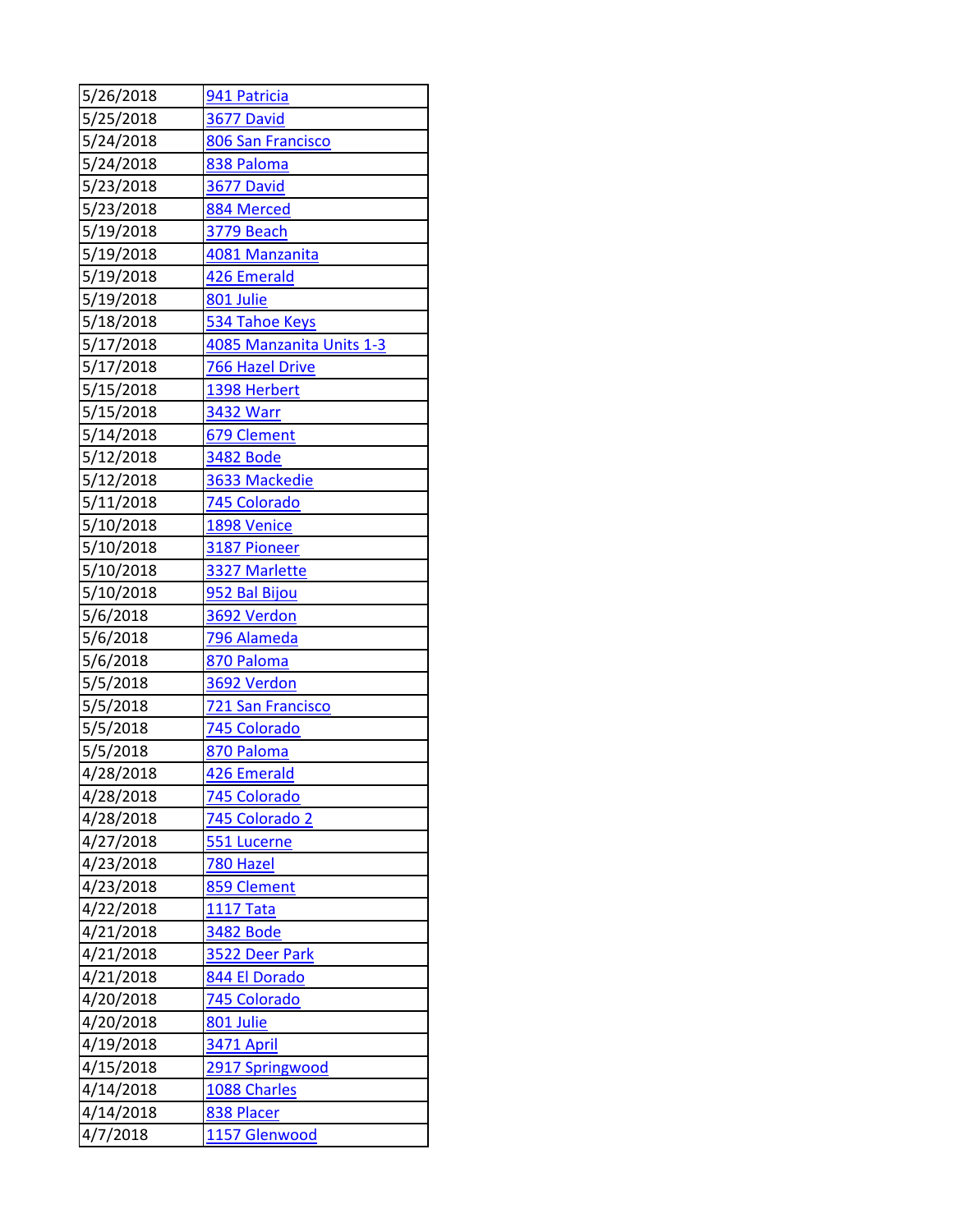| 5/26/2018 | 941 Patricia             |
|-----------|--------------------------|
| 5/25/2018 | 3677 David               |
| 5/24/2018 | 806 San Francisco        |
| 5/24/2018 | 838 Paloma               |
| 5/23/2018 | <b>3677 David</b>        |
| 5/23/2018 | 884 Merced               |
| 5/19/2018 | 3779 Beach               |
| 5/19/2018 | 4081 Manzanita           |
| 5/19/2018 | 426 Emerald              |
| 5/19/2018 | 801 Julie                |
| 5/18/2018 | 534 Tahoe Keys           |
| 5/17/2018 | 4085 Manzanita Units 1-3 |
| 5/17/2018 | 766 Hazel Drive          |
| 5/15/2018 | 1398 Herbert             |
| 5/15/2018 | 3432 Warr                |
| 5/14/2018 | 679 Clement              |
| 5/12/2018 | 3482 Bode                |
| 5/12/2018 | 3633 Mackedie            |
| 5/11/2018 | 745 Colorado             |
| 5/10/2018 | 1898 Venice              |
| 5/10/2018 | 3187 Pioneer             |
| 5/10/2018 | 3327 Marlette            |
| 5/10/2018 | 952 Bal Bijou            |
| 5/6/2018  | 3692 Verdon              |
| 5/6/2018  | 796 Alameda              |
| 5/6/2018  | 870 Paloma               |
| 5/5/2018  | 3692 Verdon              |
| 5/5/2018  | <b>721 San Francisco</b> |
| 5/5/2018  | 745 Colorado             |
| 5/5/2018  | 870 Paloma               |
| 4/28/2018 | 426 Emerald              |
| 4/28/2018 | 745 Colorado             |
| 4/28/2018 | 745 Colorado 2           |
| 4/27/2018 | 551 Lucerne              |
| 4/23/2018 | 780 Hazel                |
| 4/23/2018 | 859 Clement              |
| 4/22/2018 | 1117 Tata                |
| 4/21/2018 | 3482 Bode                |
| 4/21/2018 | 3522 Deer Park           |
| 4/21/2018 | 844 El Dorado            |
| 4/20/2018 | 745 Colorado             |
| 4/20/2018 | 801 Julie                |
| 4/19/2018 | 3471 April               |
| 4/15/2018 | 2917 Springwood          |
| 4/14/2018 | 1088 Charles             |
| 4/14/2018 | 838 Placer               |
| 4/7/2018  | 1157 Glenwood            |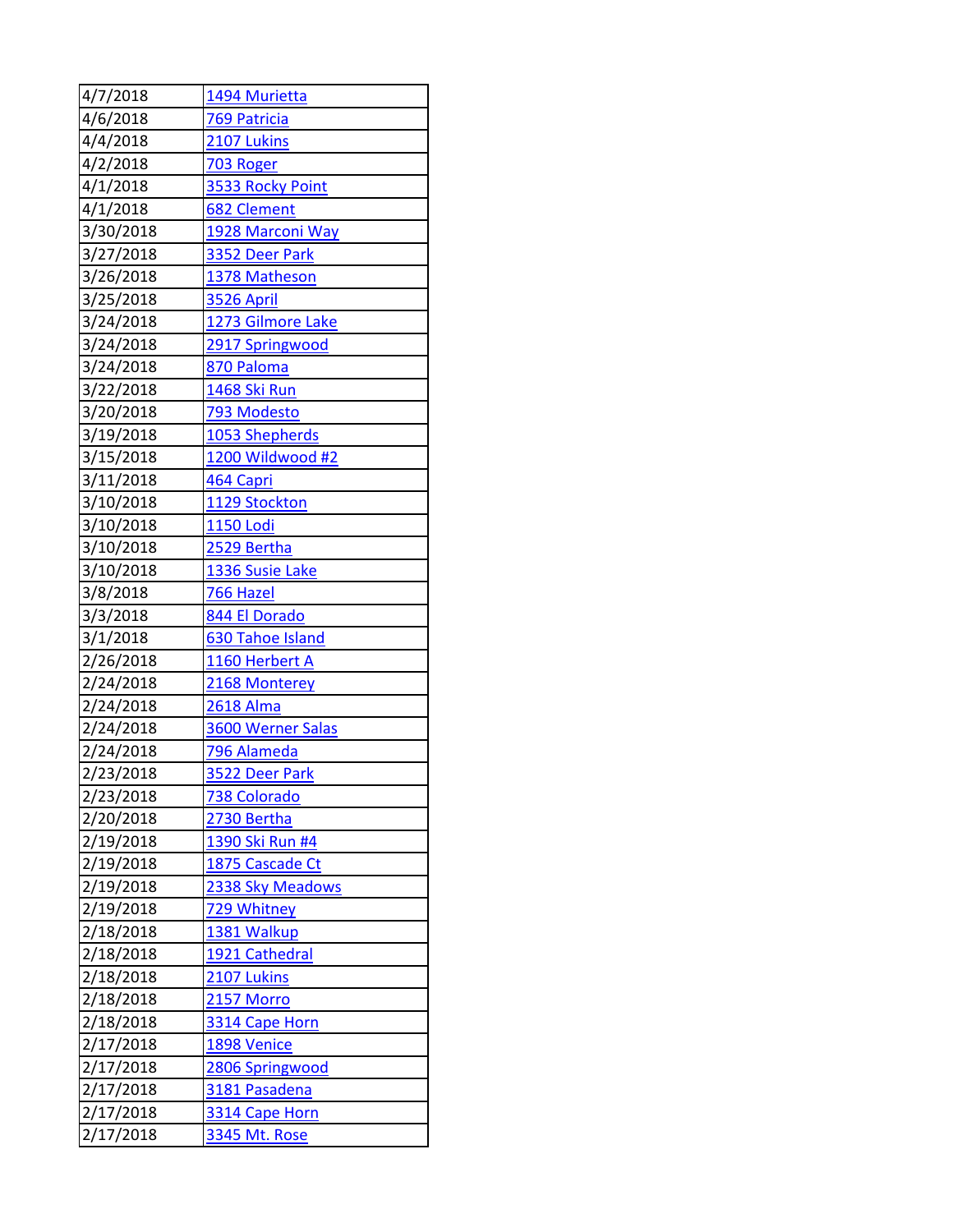| 4/7/2018  | 1494 Murietta            |
|-----------|--------------------------|
| 4/6/2018  | 769 Patricia             |
| 4/4/2018  | 2107 Lukins              |
| 4/2/2018  | 703 Roger                |
| 4/1/2018  | 3533 Rocky Point         |
| 4/1/2018  | 682 Clement              |
| 3/30/2018 | 1928 Marconi Way         |
| 3/27/2018 | 3352 Deer Park           |
| 3/26/2018 | 1378 Matheson            |
| 3/25/2018 | <b>3526 April</b>        |
| 3/24/2018 | 1273 Gilmore Lake        |
| 3/24/2018 | 2917 Springwood          |
| 3/24/2018 | 870 Paloma               |
| 3/22/2018 | 1468 Ski Run             |
| 3/20/2018 | 793 Modesto              |
| 3/19/2018 | 1053 Shepherds           |
| 3/15/2018 | 1200 Wildwood #2         |
| 3/11/2018 | 464 Capri                |
| 3/10/2018 | 1129 Stockton            |
| 3/10/2018 | 1150 Lodi                |
| 3/10/2018 | 2529 Bertha              |
| 3/10/2018 | 1336 Susie Lake          |
| 3/8/2018  | 766 Hazel                |
| 3/3/2018  | 844 El Dorado            |
| 3/1/2018  | 630 Tahoe Island         |
| 2/26/2018 | 1160 Herbert A           |
| 2/24/2018 | 2168 Monterey            |
| 2/24/2018 | <b>2618 Alma</b>         |
| 2/24/2018 | <b>3600 Werner Salas</b> |
| 2/24/2018 | 796 Alameda              |
| 2/23/2018 | 3522 Deer Park           |
| 2/23/2018 | <b>738 Colorado</b>      |
| 2/20/2018 | 2730 Bertha              |
| 2/19/2018 | 1390 Ski Run #4          |
| 2/19/2018 | 1875 Cascade Ct          |
| 2/19/2018 | 2338 Sky Meadows         |
| 2/19/2018 | 729 Whitney              |
| 2/18/2018 | 1381 Walkup              |
| 2/18/2018 | 1921 Cathedral           |
| 2/18/2018 | 2107 Lukins              |
| 2/18/2018 | 2157 Morro               |
| 2/18/2018 | 3314 Cape Horn           |
| 2/17/2018 | 1898 Venice              |
| 2/17/2018 | 2806 Springwood          |
| 2/17/2018 | 3181 Pasadena            |
| 2/17/2018 | 3314 Cape Horn           |
| 2/17/2018 | 3345 Mt. Rose            |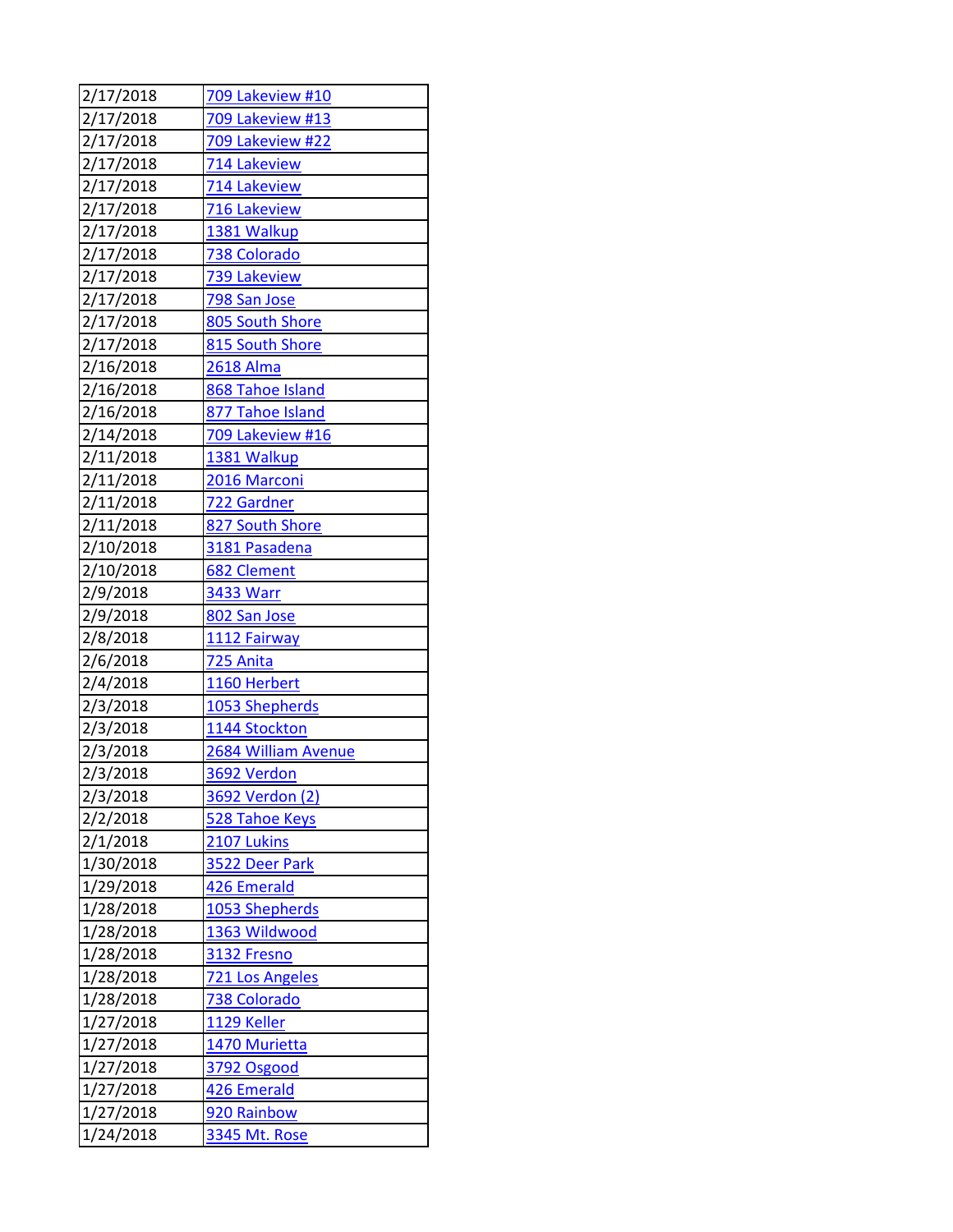| 2/17/2018 | 709 Lakeview #10    |
|-----------|---------------------|
| 2/17/2018 | 709 Lakeview #13    |
| 2/17/2018 | 709 Lakeview #22    |
| 2/17/2018 | 714 Lakeview        |
| 2/17/2018 | 714 Lakeview        |
| 2/17/2018 | 716 Lakeview        |
| 2/17/2018 | 1381 Walkup         |
| 2/17/2018 | 738 Colorado        |
| 2/17/2018 | 739 Lakeview        |
| 2/17/2018 | 798 San Jose        |
| 2/17/2018 | 805 South Shore     |
| 2/17/2018 | 815 South Shore     |
| 2/16/2018 | 2618 Alma           |
| 2/16/2018 | 868 Tahoe Island    |
| 2/16/2018 | 877 Tahoe Island    |
| 2/14/2018 | 709 Lakeview #16    |
| 2/11/2018 | 1381 Walkup         |
| 2/11/2018 | 2016 Marconi        |
| 2/11/2018 | 722 Gardner         |
| 2/11/2018 | 827 South Shore     |
| 2/10/2018 | 3181 Pasadena       |
| 2/10/2018 | 682 Clement         |
| 2/9/2018  | <b>3433 Warr</b>    |
| 2/9/2018  | 802 San Jose        |
| 2/8/2018  | 1112 Fairway        |
| 2/6/2018  | 725 Anita           |
| 2/4/2018  | 1160 Herbert        |
| 2/3/2018  | 1053 Shepherds      |
| 2/3/2018  | 1144 Stockton       |
| 2/3/2018  | 2684 William Avenue |
| 2/3/2018  | 3692 Verdon         |
| 2/3/2018  | 3692 Verdon (2)     |
| 2/2/2018  | 528 Tahoe Keys      |
| 2/1/2018  | 2107 Lukins         |
| 1/30/2018 | 3522 Deer Park      |
| 1/29/2018 | 426 Emerald         |
| 1/28/2018 | 1053 Shepherds      |
| 1/28/2018 | 1363 Wildwood       |
| 1/28/2018 | 3132 Fresno         |
| 1/28/2018 | 721 Los Angeles     |
| 1/28/2018 | 738 Colorado        |
| 1/27/2018 | 1129 Keller         |
| 1/27/2018 | 1470 Murietta       |
| 1/27/2018 | 3792 Osgood         |
| 1/27/2018 | 426 Emerald         |
| 1/27/2018 | 920 Rainbow         |
| 1/24/2018 | 3345 Mt. Rose       |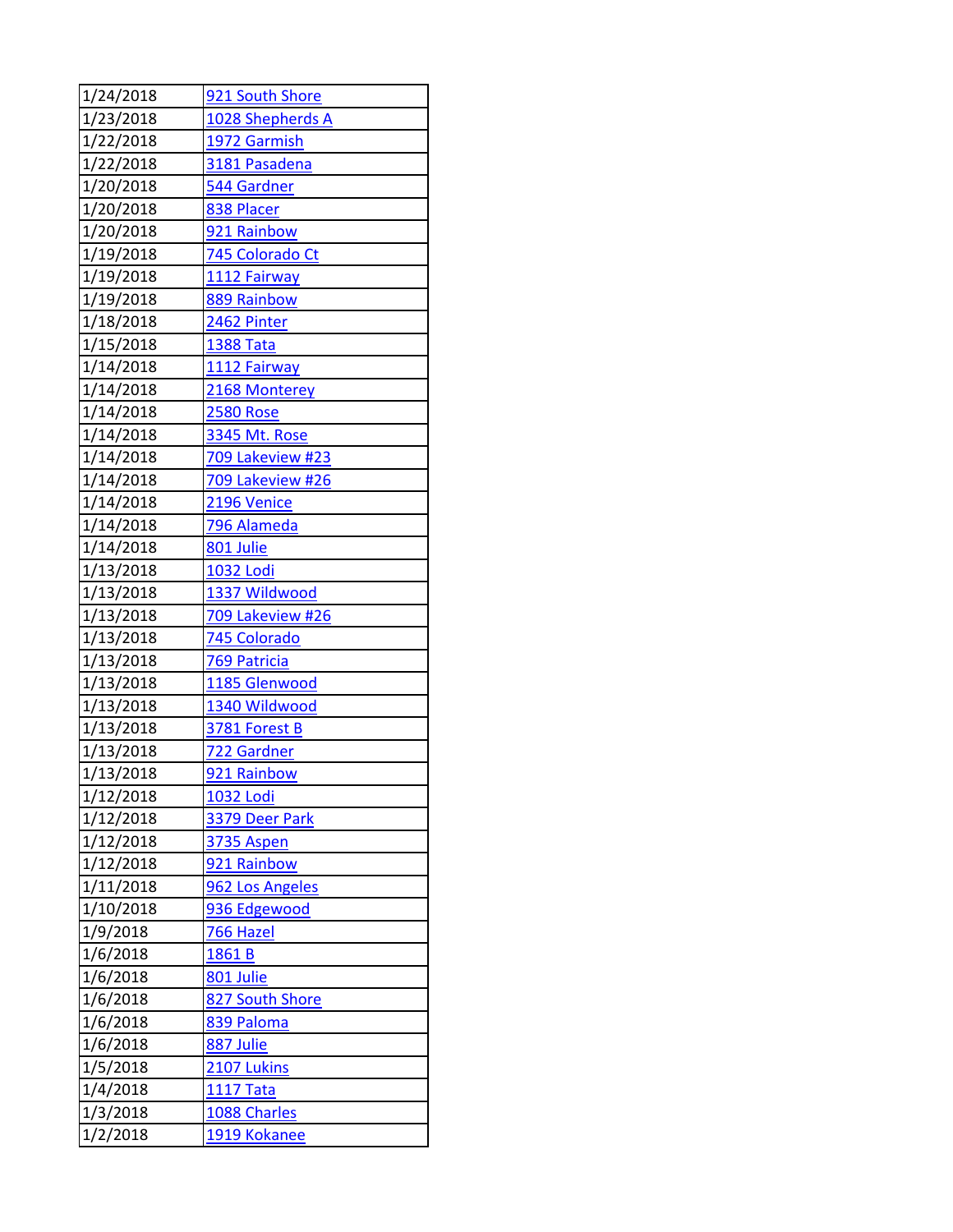| 1/24/2018            | 921 South Shore         |
|----------------------|-------------------------|
| 1/23/2018            | 1028 Shepherds A        |
| 1/22/2018            | 1972 Garmish            |
| 1/22/2018            | 3181 Pasadena           |
| 1/20/2018            | 544 Gardner             |
| 1/20/2018            | 838 Placer              |
| 1/20/2018            | 921 Rainbow             |
| 1/19/2018            | 745 Colorado Ct         |
| 1/19/2018            | 1112 Fairway            |
| 1/19/2018            | 889 Rainbow             |
| 1/18/2018            | 2462 Pinter             |
| 1/15/2018            | <b>1388 Tata</b>        |
| 1/14/2018            | 1112 Fairway            |
| 1/14/2018            | 2168 Monterey           |
| 1/14/2018            | <b>2580 Rose</b>        |
| 1/14/2018            | 3345 Mt. Rose           |
| 1/14/2018            | 709 Lakeview #23        |
| 1/14/2018            | 709 Lakeview #26        |
| 1/14/2018            | 2196 Venice             |
| 1/14/2018            | 796 Alameda             |
| 1/14/2018            | 801 Julie               |
| 1/13/2018            | <b>1032 Lodi</b>        |
| 1/13/2018            | 1337 Wildwood           |
| 1/13/2018            | 709 Lakeview #26        |
| 1/13/2018            | 745 Colorado            |
| 1/13/2018            | 769 Patricia            |
| 1/13/2018            | 1185 Glenwood           |
| 1/13/2018            | 1340 Wildwood           |
| 1/13/2018            | 3781 Forest B           |
| 1/13/2018            | 722 Gardner             |
| 1/13/2018            | 921 Rainbow             |
| 1/12/2018            | 1032 Lodi               |
| 1/12/2018            | 3379 Deer Park          |
| 1/12/2018            | 3735 Aspen              |
| 1/12/2018            | 921 Rainbow             |
| 1/11/2018            | 962 Los Angeles         |
| 1/10/2018            | 936 Edgewood            |
| 1/9/2018             | 766 Hazel               |
| 1/6/2018             | 1861 B                  |
| 1/6/2018             | 801 Julie               |
| 1/6/2018             | 827 South Shore         |
| 1/6/2018             | 839 Paloma<br>887 Julie |
| 1/6/2018<br>1/5/2018 |                         |
|                      | 2107 Lukins             |
| 1/4/2018             | <b>1117 Tata</b>        |
| 1/3/2018             | 1088 Charles            |
| 1/2/2018             | 1919 Kokanee            |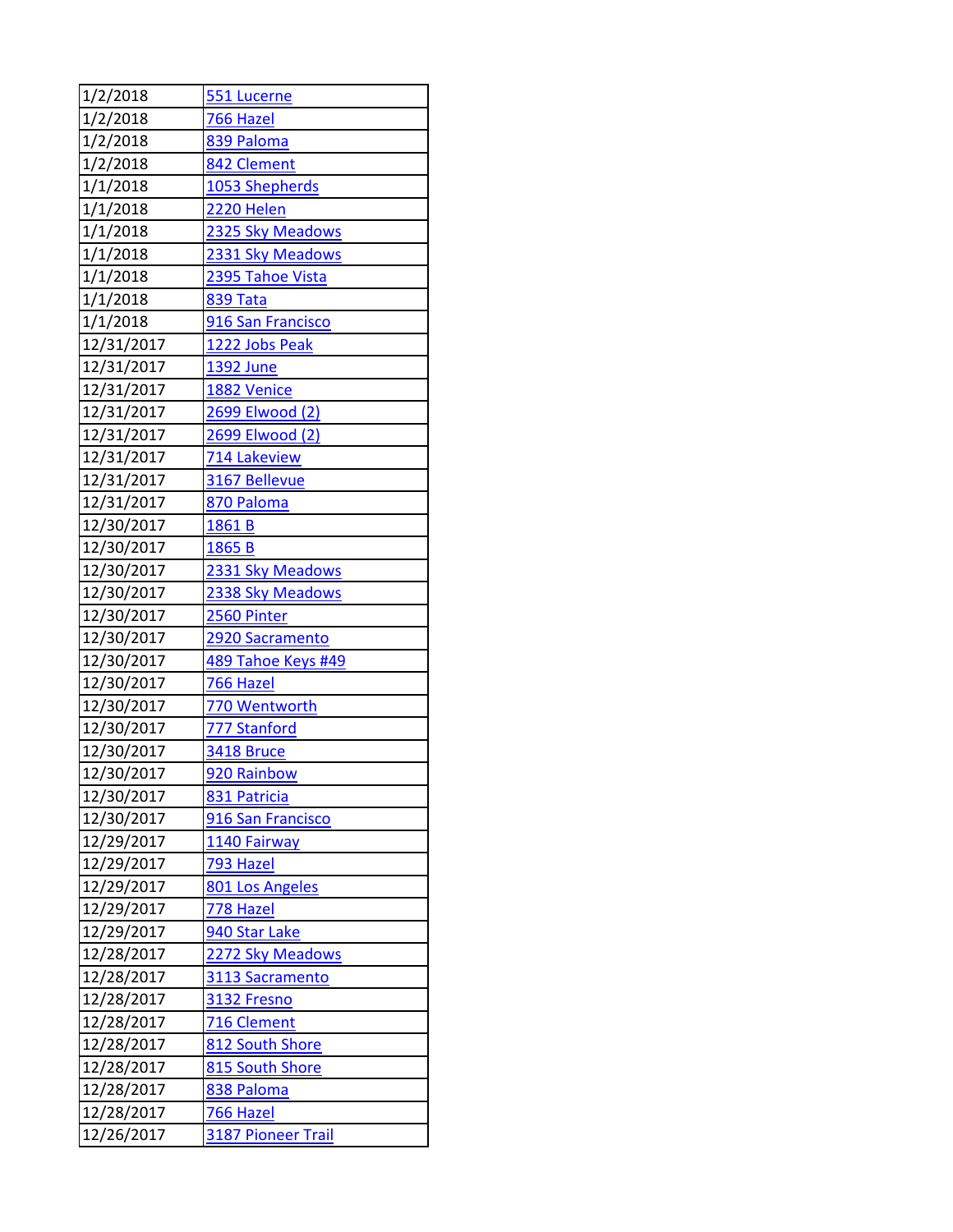| 1/2/2018   | 551 Lucerne               |
|------------|---------------------------|
| 1/2/2018   | 766 Hazel                 |
| 1/2/2018   | 839 Paloma                |
| 1/2/2018   | 842 Clement               |
| 1/1/2018   | 1053 Shepherds            |
| 1/1/2018   | <b>2220 Helen</b>         |
| 1/1/2018   | 2325 Sky Meadows          |
| 1/1/2018   | 2331 Sky Meadows          |
| 1/1/2018   | 2395 Tahoe Vista          |
| 1/1/2018   | 839 Tata                  |
| 1/1/2018   | 916 San Francisco         |
| 12/31/2017 | 1222 Jobs Peak            |
| 12/31/2017 | 1392 June                 |
| 12/31/2017 | 1882 Venice               |
| 12/31/2017 | 2699 Elwood (2)           |
| 12/31/2017 | 2699 Elwood (2)           |
| 12/31/2017 | 714 Lakeview              |
| 12/31/2017 | 3167 Bellevue             |
| 12/31/2017 | 870 Paloma                |
| 12/30/2017 | 1861 B                    |
| 12/30/2017 | 1865 B                    |
| 12/30/2017 | 2331 Sky Meadows          |
| 12/30/2017 | 2338 Sky Meadows          |
| 12/30/2017 | <b>2560 Pinter</b>        |
| 12/30/2017 | 2920 Sacramento           |
| 12/30/2017 | 489 Tahoe Keys #49        |
| 12/30/2017 | 766 Hazel                 |
| 12/30/2017 | 770 Wentworth             |
| 12/30/2017 | 777 Stanford              |
| 12/30/2017 | 3418 Bruce                |
| 12/30/2017 | 920 Rainbow               |
| 12/30/2017 | 831 Patricia              |
| 12/30/2017 | 916 San Francisco         |
| 12/29/2017 | 1140 Fairway              |
| 12/29/2017 | 793 Hazel                 |
| 12/29/2017 | 801 Los Angeles           |
| 12/29/2017 | 778 Hazel                 |
| 12/29/2017 | 940 Star Lake             |
| 12/28/2017 | 2272 Sky Meadows          |
| 12/28/2017 | 3113 Sacramento           |
| 12/28/2017 | 3132 Fresno               |
| 12/28/2017 | 716 Clement               |
| 12/28/2017 | 812 South Shore           |
| 12/28/2017 | 815 South Shore           |
| 12/28/2017 | 838 Paloma                |
| 12/28/2017 | <u>766 Hazel</u>          |
| 12/26/2017 | <b>3187 Pioneer Trail</b> |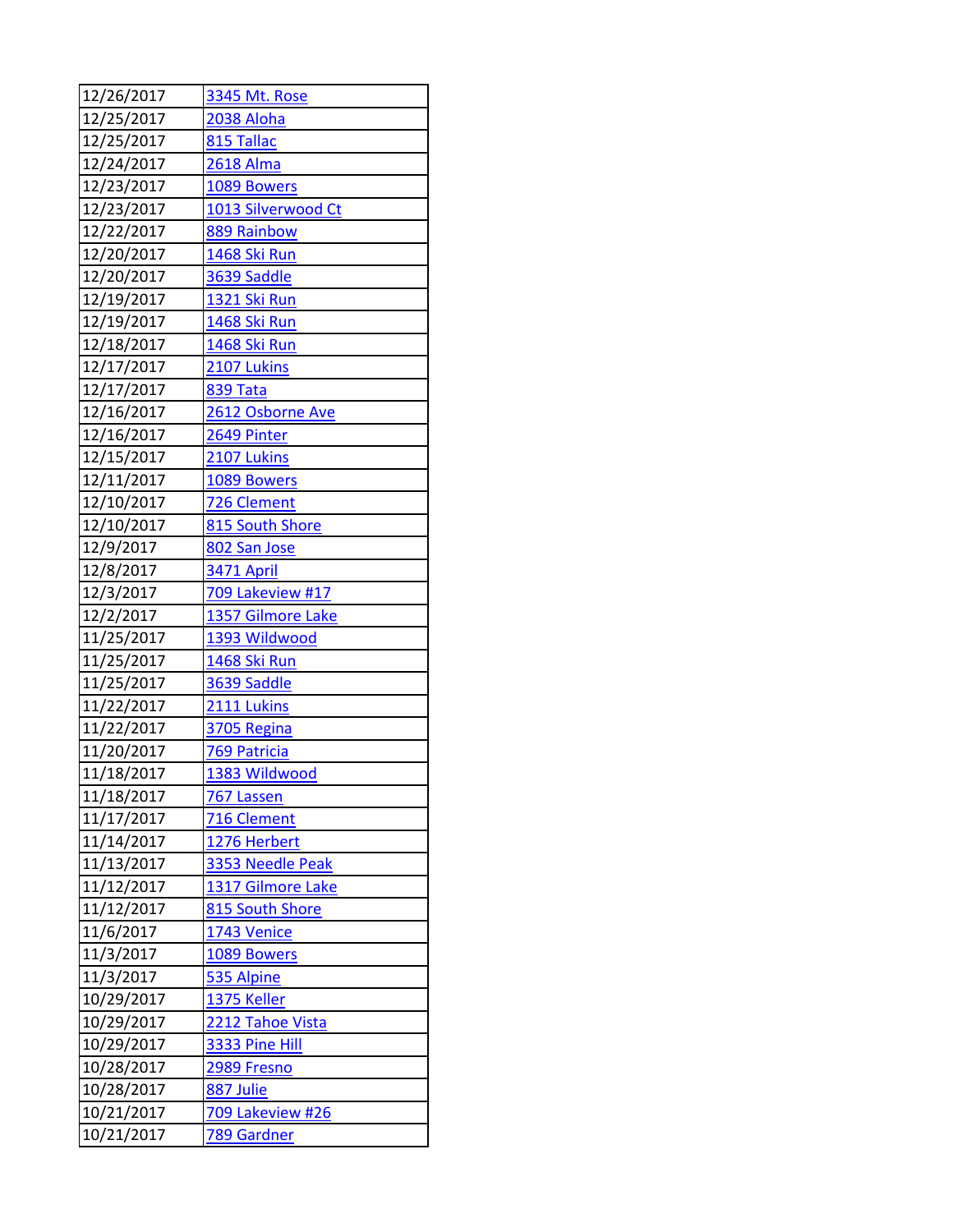| 12/26/2017 | 3345 Mt. Rose           |
|------------|-------------------------|
| 12/25/2017 | 2038 Aloha              |
| 12/25/2017 | 815 Tallac              |
| 12/24/2017 | <b>2618 Alma</b>        |
| 12/23/2017 | 1089 Bowers             |
| 12/23/2017 | 1013 Silverwood Ct      |
| 12/22/2017 | 889 Rainbow             |
| 12/20/2017 | 1468 Ski Run            |
| 12/20/2017 | 3639 Saddle             |
| 12/19/2017 | 1321 Ski Run            |
| 12/19/2017 | 1468 Ski Run            |
| 12/18/2017 | 1468 Ski Run            |
| 12/17/2017 | 2107 Lukins             |
| 12/17/2017 | <b>839 Tata</b>         |
| 12/16/2017 | 2612 Osborne Ave        |
| 12/16/2017 | 2649 Pinter             |
| 12/15/2017 | 2107 Lukins             |
| 12/11/2017 | 1089 Bowers             |
| 12/10/2017 | 726 Clement             |
| 12/10/2017 | 815 South Shore         |
| 12/9/2017  | 802 San Jose            |
| 12/8/2017  | <b>3471 April</b>       |
| 12/3/2017  | <b>709 Lakeview #17</b> |
| 12/2/2017  | 1357 Gilmore Lake       |
| 11/25/2017 | 1393 Wildwood           |
| 11/25/2017 | 1468 Ski Run            |
| 11/25/2017 | 3639 Saddle             |
| 11/22/2017 | 2111 Lukins             |
| 11/22/2017 | 3705 Regina             |
| 11/20/2017 | 769 Patricia            |
| 11/18/2017 | 1383 Wildwood           |
| 11/18/2017 | 767 Lassen              |
| 11/17/2017 | 716 Clement             |
| 11/14/2017 | 1276 Herbert            |
| 11/13/2017 | 3353 Needle Peak        |
| 11/12/2017 | 1317 Gilmore Lake       |
| 11/12/2017 | 815 South Shore         |
| 11/6/2017  | 1743 Venice             |
| 11/3/2017  | 1089 Bowers             |
| 11/3/2017  | 535 Alpine              |
| 10/29/2017 | 1375 Keller             |
| 10/29/2017 | 2212 Tahoe Vista        |
| 10/29/2017 | 3333 Pine Hill          |
| 10/28/2017 | 2989 Fresno             |
| 10/28/2017 | 887 Julie               |
| 10/21/2017 | 709 Lakeview #26        |
| 10/21/2017 | 789 Gardner             |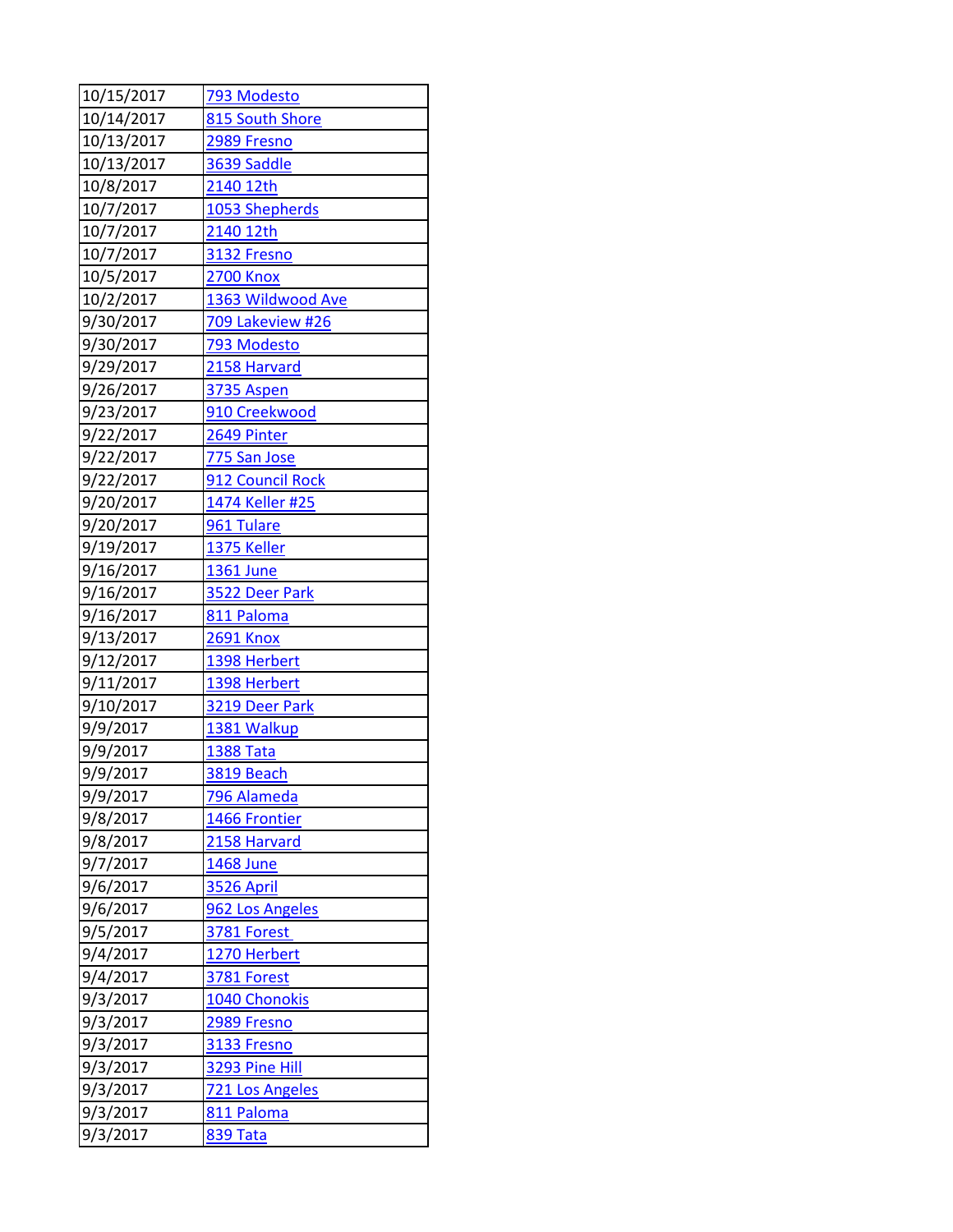| 10/15/2017 | 793 Modesto       |
|------------|-------------------|
| 10/14/2017 | 815 South Shore   |
| 10/13/2017 | 2989 Fresno       |
| 10/13/2017 | 3639 Saddle       |
| 10/8/2017  | 2140 12th         |
| 10/7/2017  | 1053 Shepherds    |
| 10/7/2017  | 2140 12th         |
| 10/7/2017  | 3132 Fresno       |
| 10/5/2017  | <b>2700 Knox</b>  |
| 10/2/2017  | 1363 Wildwood Ave |
| 9/30/2017  | 709 Lakeview #26  |
| 9/30/2017  | 793 Modesto       |
| 9/29/2017  | 2158 Harvard      |
| 9/26/2017  | 3735 Aspen        |
| 9/23/2017  | 910 Creekwood     |
| 9/22/2017  | 2649 Pinter       |
| 9/22/2017  | 775 San Jose      |
| 9/22/2017  | 912 Council Rock  |
| 9/20/2017  | 1474 Keller #25   |
| 9/20/2017  | 961 Tulare        |
| 9/19/2017  | 1375 Keller       |
| 9/16/2017  | 1361 June         |
| 9/16/2017  | 3522 Deer Park    |
| 9/16/2017  | 811 Paloma        |
| 9/13/2017  | 2691 Knox         |
| 9/12/2017  | 1398 Herbert      |
| 9/11/2017  | 1398 Herbert      |
| 9/10/2017  | 3219 Deer Park    |
| 9/9/2017   | 1381 Walkup       |
| 9/9/2017   | <b>1388 Tata</b>  |
| 9/9/2017   | 3819 Beach        |
| 9/9/2017   | 796 Alameda       |
| 9/8/2017   | 1466 Frontier     |
| 9/8/2017   | 2158 Harvard      |
| 9/7/2017   | <b>1468 June</b>  |
| 9/6/2017   | <b>3526 April</b> |
| 9/6/2017   | 962 Los Angeles   |
| 9/5/2017   | 3781 Forest       |
| 9/4/2017   | 1270 Herbert      |
| 9/4/2017   | 3781 Forest       |
| 9/3/2017   | 1040 Chonokis     |
| 9/3/2017   | 2989 Fresno       |
| 9/3/2017   | 3133 Fresno       |
| 9/3/2017   | 3293 Pine Hill    |
| 9/3/2017   | 721 Los Angeles   |
| 9/3/2017   | 811 Paloma        |
| 9/3/2017   | 839 Tata          |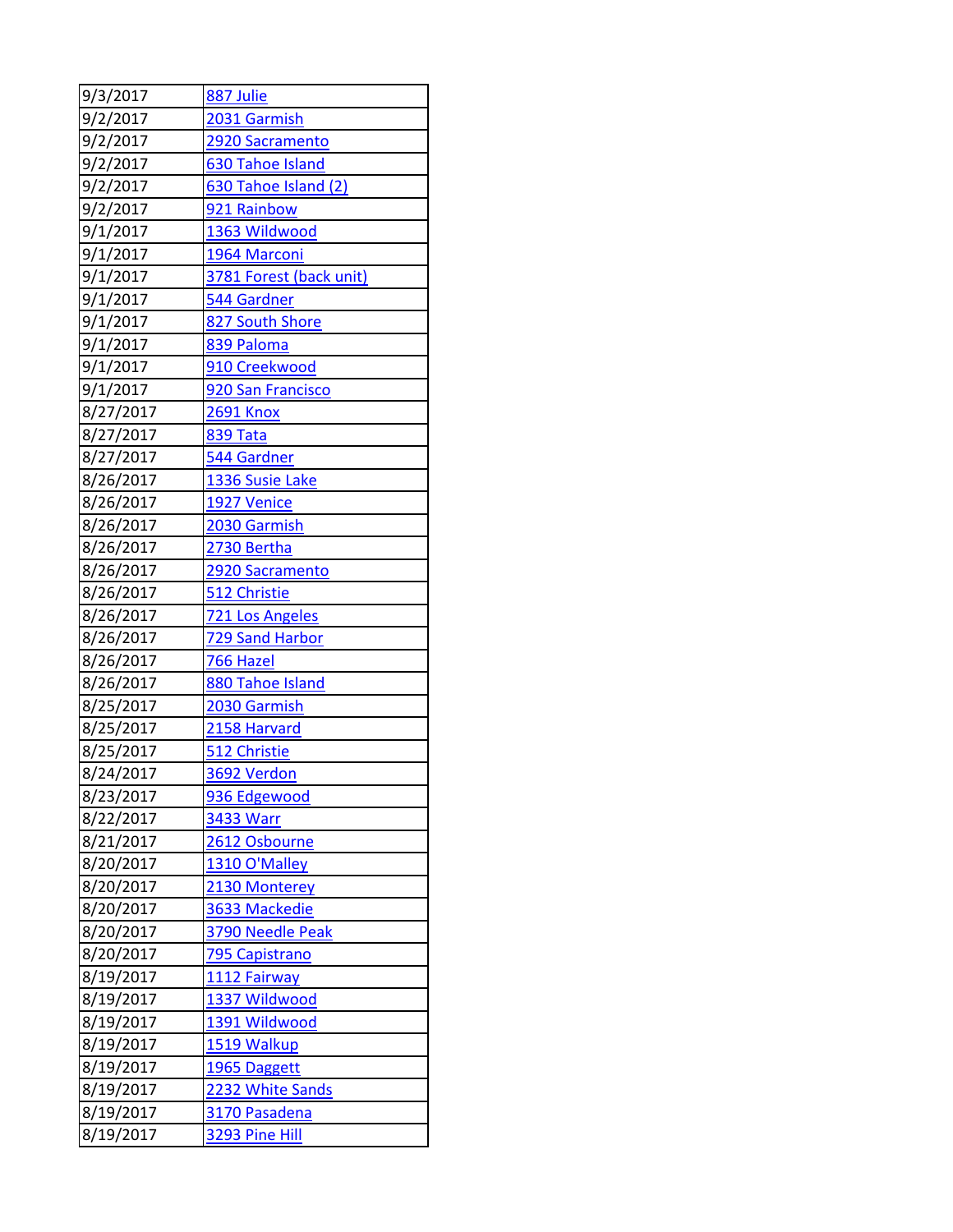| 9/3/2017  | 887 Julie               |
|-----------|-------------------------|
| 9/2/2017  | 2031 Garmish            |
| 9/2/2017  | 2920 Sacramento         |
| 9/2/2017  | <b>630 Tahoe Island</b> |
| 9/2/2017  | 630 Tahoe Island (2)    |
| 9/2/2017  | 921 Rainbow             |
| 9/1/2017  | 1363 Wildwood           |
| 9/1/2017  | 1964 Marconi            |
| 9/1/2017  | 3781 Forest (back unit) |
| 9/1/2017  | 544 Gardner             |
| 9/1/2017  | 827 South Shore         |
| 9/1/2017  | 839 Paloma              |
| 9/1/2017  | 910 Creekwood           |
| 9/1/2017  | 920 San Francisco       |
| 8/27/2017 | <b>2691 Knox</b>        |
| 8/27/2017 | 839 Tata                |
| 8/27/2017 | 544 Gardner             |
| 8/26/2017 | 1336 Susie Lake         |
| 8/26/2017 | 1927 Venice             |
| 8/26/2017 | 2030 Garmish            |
| 8/26/2017 | 2730 Bertha             |
| 8/26/2017 | 2920 Sacramento         |
| 8/26/2017 | 512 Christie            |
| 8/26/2017 | 721 Los Angeles         |
| 8/26/2017 | 729 Sand Harbor         |
| 8/26/2017 | 766 Hazel               |
| 8/26/2017 | 880 Tahoe Island        |
| 8/25/2017 | 2030 Garmish            |
| 8/25/2017 | 2158 Harvard            |
| 8/25/2017 | 512 Christie            |
| 8/24/2017 | 3692 Verdon             |
| 8/23/2017 | 936 Edgewood            |
| 8/22/2017 | <b>3433 Warr</b>        |
| 8/21/2017 | 2612 Osbourne           |
| 8/20/2017 | 1310 O'Malley           |
| 8/20/2017 | 2130 Monterey           |
| 8/20/2017 | 3633 Mackedie           |
| 8/20/2017 | 3790 Needle Peak        |
| 8/20/2017 | 795 Capistrano          |
| 8/19/2017 | 1112 Fairway            |
| 8/19/2017 | 1337 Wildwood           |
| 8/19/2017 | 1391 Wildwood           |
| 8/19/2017 | 1519 Walkup             |
| 8/19/2017 | 1965 Daggett            |
| 8/19/2017 | 2232 White Sands        |
| 8/19/2017 | 3170 Pasadena           |
| 8/19/2017 | 3293 Pine Hill          |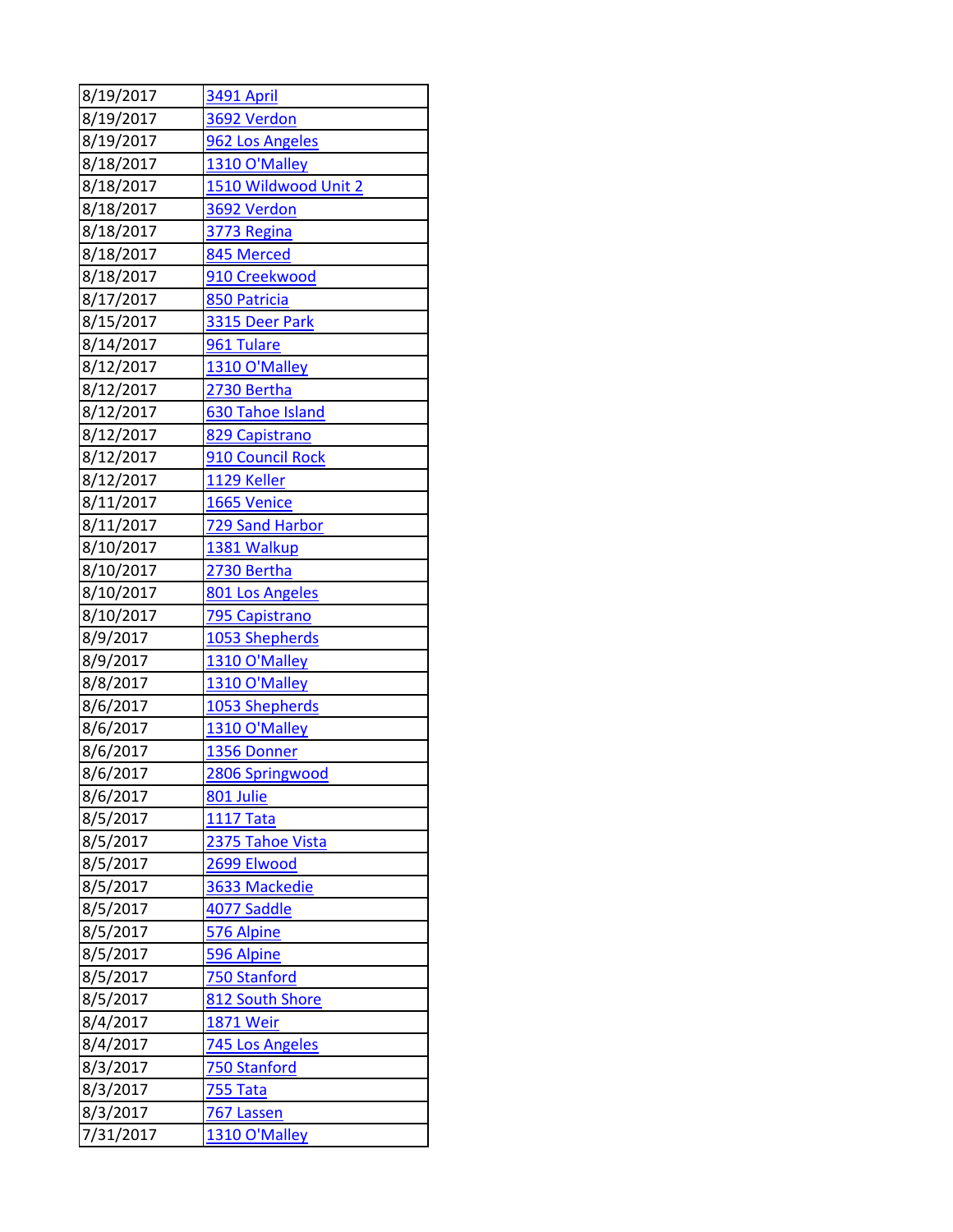| 8/19/2017 | 3491 April              |
|-----------|-------------------------|
| 8/19/2017 | 3692 Verdon             |
| 8/19/2017 | 962 Los Angeles         |
| 8/18/2017 | 1310 O'Malley           |
| 8/18/2017 | 1510 Wildwood Unit 2    |
| 8/18/2017 | <b>3692 Verdon</b>      |
| 8/18/2017 | 3773 Regina             |
| 8/18/2017 | 845 Merced              |
| 8/18/2017 | 910 Creekwood           |
| 8/17/2017 | 850 Patricia            |
| 8/15/2017 | 3315 Deer Park          |
| 8/14/2017 | 961 Tulare              |
| 8/12/2017 | 1310 O'Malley           |
| 8/12/2017 | 2730 Bertha             |
| 8/12/2017 | <b>630 Tahoe Island</b> |
| 8/12/2017 | 829 Capistrano          |
| 8/12/2017 | 910 Council Rock        |
| 8/12/2017 | 1129 Keller             |
| 8/11/2017 | 1665 Venice             |
| 8/11/2017 | 729 Sand Harbor         |
| 8/10/2017 | 1381 Walkup             |
| 8/10/2017 | 2730 Bertha             |
| 8/10/2017 | 801 Los Angeles         |
| 8/10/2017 | 795 Capistrano          |
| 8/9/2017  | 1053 Shepherds          |
| 8/9/2017  | 1310 O'Malley           |
| 8/8/2017  | 1310 O'Malley           |
| 8/6/2017  | 1053 Shepherds          |
| 8/6/2017  | 1310 O'Malley           |
| 8/6/2017  | 1356 Donner             |
| 8/6/2017  | 2806 Springwood         |
| 8/6/2017  | <u>801 Julie</u>        |
| 8/5/2017  | <b>1117 Tata</b>        |
| 8/5/2017  | 2375 Tahoe Vista        |
| 8/5/2017  | 2699 Elwood             |
| 8/5/2017  | 3633 Mackedie           |
| 8/5/2017  | <u>4077 Saddle</u>      |
| 8/5/2017  | 576 Alpine              |
| 8/5/2017  | 596 Alpine              |
| 8/5/2017  | 750 Stanford            |
| 8/5/2017  | 812 South Shore         |
| 8/4/2017  | 1871 Weir               |
| 8/4/2017  | 745 Los Angeles         |
| 8/3/2017  | 750 Stanford            |
| 8/3/2017  | 755 Tata                |
| 8/3/2017  | 767 Lassen              |
| 7/31/2017 | 1310 O'Malley           |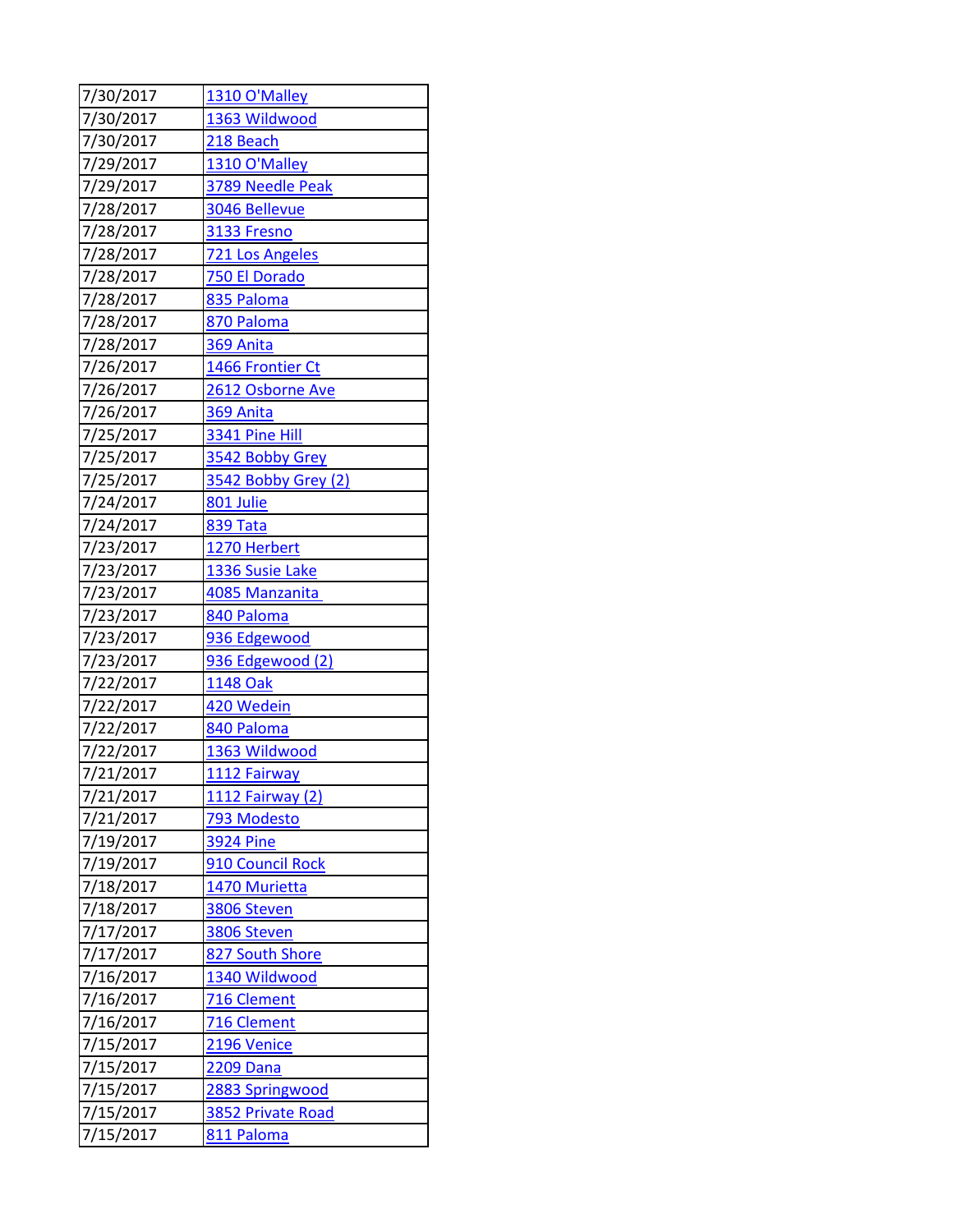| 7/30/2017 | 1310 O'Malley       |
|-----------|---------------------|
| 7/30/2017 | 1363 Wildwood       |
| 7/30/2017 | 218 Beach           |
| 7/29/2017 | 1310 O'Malley       |
| 7/29/2017 | 3789 Needle Peak    |
| 7/28/2017 | 3046 Bellevue       |
| 7/28/2017 | 3133 Fresno         |
| 7/28/2017 | 721 Los Angeles     |
| 7/28/2017 | 750 El Dorado       |
| 7/28/2017 | 835 Paloma          |
| 7/28/2017 | 870 Paloma          |
| 7/28/2017 | 369 Anita           |
| 7/26/2017 | 1466 Frontier Ct    |
| 7/26/2017 | 2612 Osborne Ave    |
| 7/26/2017 | 369 Anita           |
| 7/25/2017 | 3341 Pine Hill      |
| 7/25/2017 | 3542 Bobby Grey     |
| 7/25/2017 | 3542 Bobby Grey (2) |
| 7/24/2017 | 801 Julie           |
| 7/24/2017 | <b>839 Tata</b>     |
| 7/23/2017 | 1270 Herbert        |
| 7/23/2017 | 1336 Susie Lake     |
| 7/23/2017 | 4085 Manzanita      |
| 7/23/2017 | 840 Paloma          |
| 7/23/2017 | 936 Edgewood        |
| 7/23/2017 | 936 Edgewood (2)    |
| 7/22/2017 | 1148 Oak            |
| 7/22/2017 | 420 Wedein          |
| 7/22/2017 | 840 Paloma          |
| 7/22/2017 | 1363 Wildwood       |
| 7/21/2017 | 1112 Fairway        |
| 7/21/2017 | 1112 Fairway (2)    |
| 7/21/2017 | 793 Modesto         |
| 7/19/2017 | <b>3924 Pine</b>    |
| 7/19/2017 | 910 Council Rock    |
| 7/18/2017 | 1470 Murietta       |
| 7/18/2017 | 3806 Steven         |
| 7/17/2017 | 3806 Steven         |
| 7/17/2017 | 827 South Shore     |
| 7/16/2017 | 1340 Wildwood       |
| 7/16/2017 | 716 Clement         |
| 7/16/2017 | 716 Clement         |
| 7/15/2017 | 2196 Venice         |
| 7/15/2017 | 2209 Dana           |
| 7/15/2017 | 2883 Springwood     |
| 7/15/2017 | 3852 Private Road   |
| 7/15/2017 | 811 Paloma          |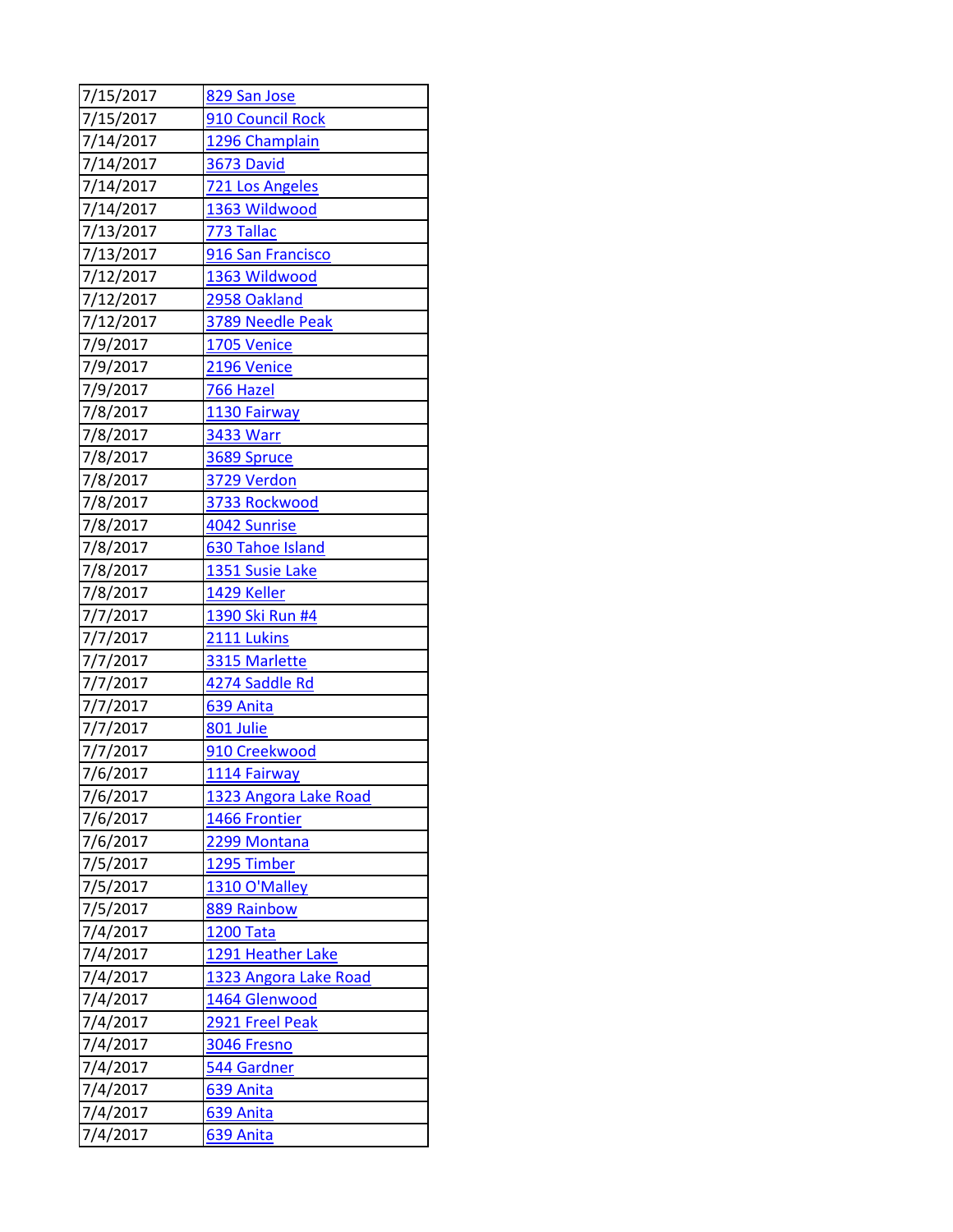| 7/15/2017 | 829 San Jose          |
|-----------|-----------------------|
| 7/15/2017 | 910 Council Rock      |
| 7/14/2017 | 1296 Champlain        |
| 7/14/2017 | 3673 David            |
| 7/14/2017 | 721 Los Angeles       |
| 7/14/2017 | 1363 Wildwood         |
| 7/13/2017 | 773 Tallac            |
| 7/13/2017 | 916 San Francisco     |
| 7/12/2017 | 1363 Wildwood         |
| 7/12/2017 | 2958 Oakland          |
| 7/12/2017 | 3789 Needle Peak      |
| 7/9/2017  | 1705 Venice           |
| 7/9/2017  | 2196 Venice           |
| 7/9/2017  | 766 Hazel             |
| 7/8/2017  | 1130 Fairway          |
| 7/8/2017  | 3433 Warr             |
| 7/8/2017  | 3689 Spruce           |
| 7/8/2017  | 3729 Verdon           |
| 7/8/2017  | 3733 Rockwood         |
| 7/8/2017  | 4042 Sunrise          |
| 7/8/2017  | 630 Tahoe Island      |
| 7/8/2017  | 1351 Susie Lake       |
| 7/8/2017  | 1429 Keller           |
| 7/7/2017  | 1390 Ski Run #4       |
| 7/7/2017  | 2111 Lukins           |
| 7/7/2017  | 3315 Marlette         |
| 7/7/2017  | 4274 Saddle Rd        |
| 7/7/2017  | 639 Anita             |
| 7/7/2017  | 801 Julie             |
| 7/7/2017  | 910 Creekwood         |
| 7/6/2017  | 1114 Fairway          |
| 7/6/2017  | 1323 Angora Lake Road |
| 7/6/2017  | 1466 Frontier         |
| 7/6/2017  | 2299 Montana          |
| 7/5/2017  | 1295 Timber           |
| 7/5/2017  | 1310 O'Malley         |
| 7/5/2017  | 889 Rainbow           |
| 7/4/2017  | <b>1200 Tata</b>      |
| 7/4/2017  | 1291 Heather Lake     |
| 7/4/2017  | 1323 Angora Lake Road |
| 7/4/2017  | 1464 Glenwood         |
| 7/4/2017  | 2921 Freel Peak       |
| 7/4/2017  | 3046 Fresno           |
| 7/4/2017  | 544 Gardner           |
| 7/4/2017  | 639 Anita             |
| 7/4/2017  | 639 Anita             |
| 7/4/2017  | 639 Anita             |